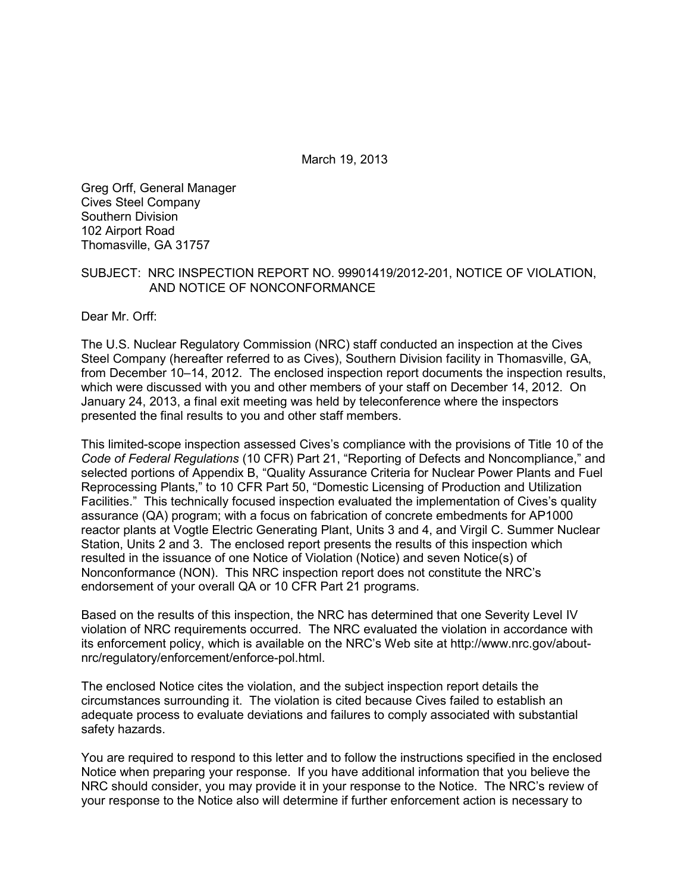March 19, 2013

Greg Orff, General Manager Cives Steel Company Southern Division 102 Airport Road Thomasville, GA 31757

#### SUBJECT: NRC INSPECTION REPORT NO. 99901419/2012-201, NOTICE OF VIOLATION, AND NOTICE OF NONCONFORMANCE

Dear Mr. Orff:

The U.S. Nuclear Regulatory Commission (NRC) staff conducted an inspection at the Cives Steel Company (hereafter referred to as Cives), Southern Division facility in Thomasville, GA, from December 10–14, 2012. The enclosed inspection report documents the inspection results, which were discussed with you and other members of your staff on December 14, 2012. On January 24, 2013, a final exit meeting was held by teleconference where the inspectors presented the final results to you and other staff members.

This limited-scope inspection assessed Cives's compliance with the provisions of Title 10 of the *Code of Federal Regulations* (10 CFR) Part 21, "Reporting of Defects and Noncompliance," and selected portions of Appendix B, "Quality Assurance Criteria for Nuclear Power Plants and Fuel Reprocessing Plants," to 10 CFR Part 50, "Domestic Licensing of Production and Utilization Facilities." This technically focused inspection evaluated the implementation of Cives's quality assurance (QA) program; with a focus on fabrication of concrete embedments for AP1000 reactor plants at Vogtle Electric Generating Plant, Units 3 and 4, and Virgil C. Summer Nuclear Station, Units 2 and 3. The enclosed report presents the results of this inspection which resulted in the issuance of one Notice of Violation (Notice) and seven Notice(s) of Nonconformance (NON). This NRC inspection report does not constitute the NRC's endorsement of your overall QA or 10 CFR Part 21 programs.

Based on the results of this inspection, the NRC has determined that one Severity Level IV violation of NRC requirements occurred. The NRC evaluated the violation in accordance with its enforcement policy, which is available on the NRC's Web site at http://www.nrc.gov/aboutnrc/regulatory/enforcement/enforce-pol.html.

The enclosed Notice cites the violation, and the subject inspection report details the circumstances surrounding it. The violation is cited because Cives failed to establish an adequate process to evaluate deviations and failures to comply associated with substantial safety hazards.

You are required to respond to this letter and to follow the instructions specified in the enclosed Notice when preparing your response. If you have additional information that you believe the NRC should consider, you may provide it in your response to the Notice. The NRC's review of your response to the Notice also will determine if further enforcement action is necessary to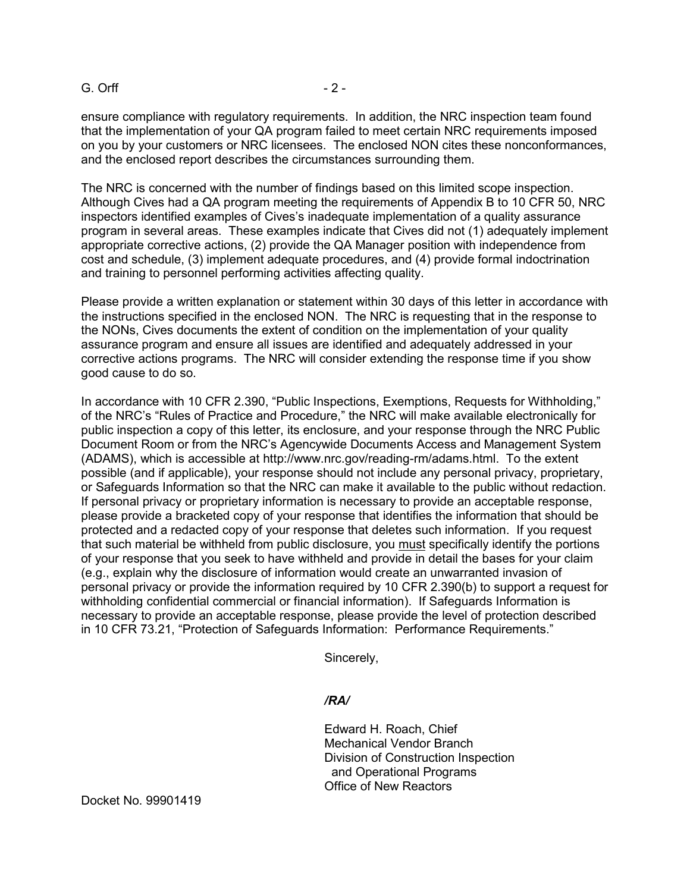#### G. Orff - 2 -

ensure compliance with regulatory requirements. In addition, the NRC inspection team found that the implementation of your QA program failed to meet certain NRC requirements imposed on you by your customers or NRC licensees. The enclosed NON cites these nonconformances, and the enclosed report describes the circumstances surrounding them.

The NRC is concerned with the number of findings based on this limited scope inspection. Although Cives had a QA program meeting the requirements of Appendix B to 10 CFR 50, NRC inspectors identified examples of Cives's inadequate implementation of a quality assurance program in several areas. These examples indicate that Cives did not (1) adequately implement appropriate corrective actions, (2) provide the QA Manager position with independence from cost and schedule, (3) implement adequate procedures, and (4) provide formal indoctrination and training to personnel performing activities affecting quality.

Please provide a written explanation or statement within 30 days of this letter in accordance with the instructions specified in the enclosed NON. The NRC is requesting that in the response to the NONs, Cives documents the extent of condition on the implementation of your quality assurance program and ensure all issues are identified and adequately addressed in your corrective actions programs. The NRC will consider extending the response time if you show good cause to do so.

In accordance with 10 CFR 2.390, "Public Inspections, Exemptions, Requests for Withholding," of the NRC's "Rules of Practice and Procedure," the NRC will make available electronically for public inspection a copy of this letter, its enclosure, and your response through the NRC Public Document Room or from the NRC's Agencywide Documents Access and Management System (ADAMS), which is accessible at http://www.nrc.gov/reading-rm/adams.html. To the extent possible (and if applicable), your response should not include any personal privacy, proprietary, or Safeguards Information so that the NRC can make it available to the public without redaction. If personal privacy or proprietary information is necessary to provide an acceptable response, please provide a bracketed copy of your response that identifies the information that should be protected and a redacted copy of your response that deletes such information. If you request that such material be withheld from public disclosure, you must specifically identify the portions of your response that you seek to have withheld and provide in detail the bases for your claim (e.g., explain why the disclosure of information would create an unwarranted invasion of personal privacy or provide the information required by 10 CFR 2.390(b) to support a request for withholding confidential commercial or financial information). If Safeguards Information is necessary to provide an acceptable response, please provide the level of protection described in 10 CFR 73.21, "Protection of Safeguards Information: Performance Requirements."

Sincerely,

### */RA/*

Edward H. Roach, Chief Mechanical Vendor Branch Division of Construction Inspection and Operational Programs Office of New Reactors

Docket No. 99901419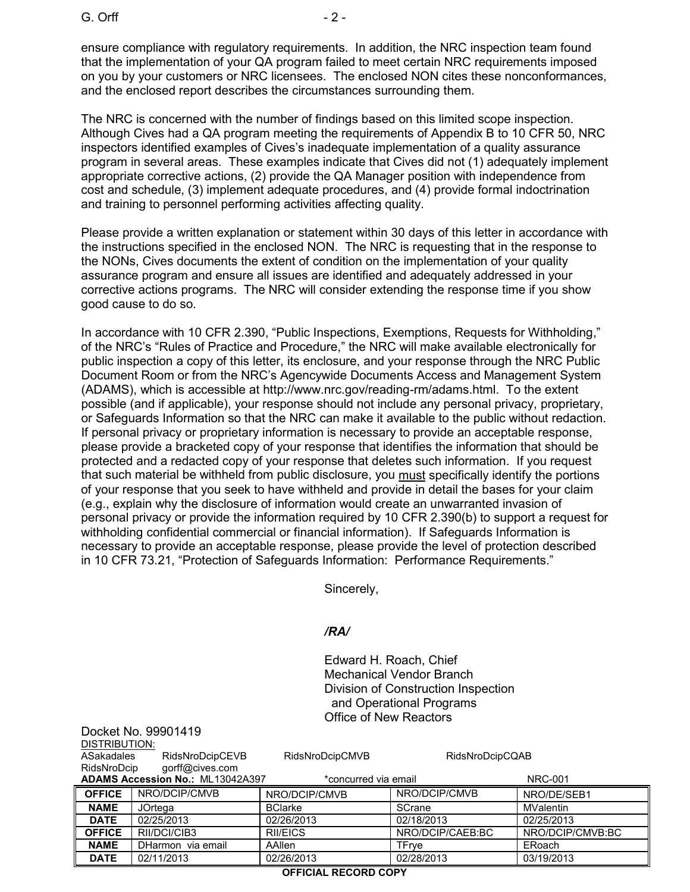Docket No. 99901419

ensure compliance with regulatory requirements. In addition, the NRC inspection team found that the implementation of your QA program failed to meet certain NRC requirements imposed on you by your customers or NRC licensees. The enclosed NON cites these nonconformances, and the enclosed report describes the circumstances surrounding them.

The NRC is concerned with the number of findings based on this limited scope inspection. Although Cives had a QA program meeting the requirements of Appendix B to 10 CFR 50, NRC inspectors identified examples of Cives's inadequate implementation of a quality assurance program in several areas. These examples indicate that Cives did not (1) adequately implement appropriate corrective actions, (2) provide the QA Manager position with independence from cost and schedule, (3) implement adequate procedures, and (4) provide formal indoctrination and training to personnel performing activities affecting quality.

Please provide a written explanation or statement within 30 days of this letter in accordance with the instructions specified in the enclosed NON. The NRC is requesting that in the response to the NONs, Cives documents the extent of condition on the implementation of your quality assurance program and ensure all issues are identified and adequately addressed in your corrective actions programs. The NRC will consider extending the response time if you show good cause to do so.

In accordance with 10 CFR 2.390, "Public Inspections, Exemptions, Requests for Withholding," of the NRC's "Rules of Practice and Procedure," the NRC will make available electronically for public inspection a copy of this letter, its enclosure, and your response through the NRC Public Document Room or from the NRC's Agencywide Documents Access and Management System (ADAMS), which is accessible at http://www.nrc.gov/reading-rm/adams.html. To the extent possible (and if applicable), your response should not include any personal privacy, proprietary, or Safeguards Information so that the NRC can make it available to the public without redaction. If personal privacy or proprietary information is necessary to provide an acceptable response, please provide a bracketed copy of your response that identifies the information that should be protected and a redacted copy of your response that deletes such information. If you request that such material be withheld from public disclosure, you must specifically identify the portions of your response that you seek to have withheld and provide in detail the bases for your claim (e.g., explain why the disclosure of information would create an unwarranted invasion of personal privacy or provide the information required by 10 CFR 2.390(b) to support a request for withholding confidential commercial or financial information). If Safeguards Information is necessary to provide an acceptable response, please provide the level of protection described in 10 CFR 73.21, "Protection of Safeguards Information: Performance Requirements."

Sincerely,

### */RA/*

Edward H. Roach, Chief Mechanical Vendor Branch Division of Construction Inspection and Operational Programs Office of New Reactors

| DISTRIBUTION:                                                                     |                   |                 |                  |                  |
|-----------------------------------------------------------------------------------|-------------------|-----------------|------------------|------------------|
| ASakadales                                                                        | RidsNroDcipCEVB   | RidsNroDcipCMVB | RidsNroDcipCQAB  |                  |
| RidsNroDcip                                                                       | gorff@cives.com   |                 |                  |                  |
| <b>ADAMS Accession No.: ML13042A397</b><br>*concurred via email<br><b>NRC-001</b> |                   |                 |                  |                  |
| <b>OFFICE</b>                                                                     | NRO/DCIP/CMVB     | NRO/DCIP/CMVB   | NRO/DCIP/CMVB    | NRO/DE/SEB1      |
| <b>NAME</b>                                                                       | JOrtega           | <b>BClarke</b>  | <b>SCrane</b>    | <b>MValentin</b> |
| <b>DATE</b>                                                                       | 02/25/2013        | 02/26/2013      | 02/18/2013       | 02/25/2013       |
| <b>OFFICE</b>                                                                     | RII/DCI/CIB3      | <b>RII/EICS</b> | NRO/DCIP/CAEB:BC | NRO/DCIP/CMVB:BC |
| <b>NAME</b>                                                                       | DHarmon via email | AAllen          | TFrve            | ERoach           |
| <b>DATE</b>                                                                       | 02/11/2013        | 02/26/2013      | 02/28/2013       | 03/19/2013       |

**OFFICIAL RECORD COPY**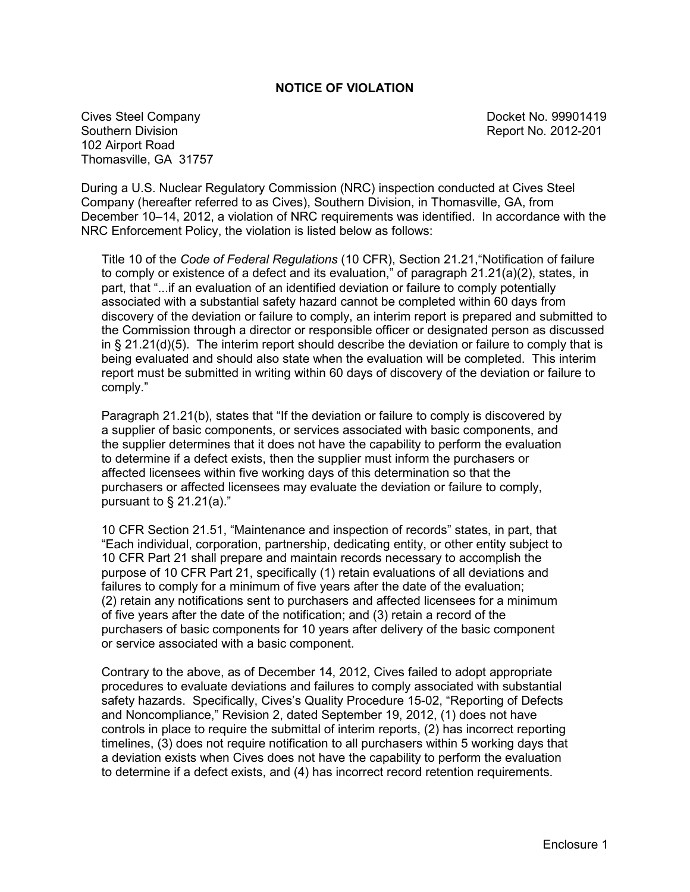### **NOTICE OF VIOLATION**

Cives Steel Company **Docket No. 99901419** Southern Division **Report No. 2012-201** 102 Airport Road Thomasville, GA 31757

During a U.S. Nuclear Regulatory Commission (NRC) inspection conducted at Cives Steel Company (hereafter referred to as Cives), Southern Division, in Thomasville, GA, from December 10–14, 2012, a violation of NRC requirements was identified. In accordance with the NRC Enforcement Policy, the violation is listed below as follows:

Title 10 of the *Code of Federal Regulations* (10 CFR), Section 21.21,"Notification of failure to comply or existence of a defect and its evaluation," of paragraph 21.21(a)(2), states, in part, that "...if an evaluation of an identified deviation or failure to comply potentially associated with a substantial safety hazard cannot be completed within 60 days from discovery of the deviation or failure to comply, an interim report is prepared and submitted to the Commission through a director or responsible officer or designated person as discussed in § 21.21(d)(5). The interim report should describe the deviation or failure to comply that is being evaluated and should also state when the evaluation will be completed. This interim report must be submitted in writing within 60 days of discovery of the deviation or failure to comply."

Paragraph 21.21(b), states that "If the deviation or failure to comply is discovered by a supplier of basic components, or services associated with basic components, and the supplier determines that it does not have the capability to perform the evaluation to determine if a defect exists, then the supplier must inform the purchasers or affected licensees within five working days of this determination so that the purchasers or affected licensees may evaluate the deviation or failure to comply, pursuant to  $\S$  21.21(a)."

10 CFR Section 21.51, "Maintenance and inspection of records" states, in part, that "Each individual, corporation, partnership, dedicating entity, or other entity subject to 10 CFR Part 21 shall prepare and maintain records necessary to accomplish the purpose of 10 CFR Part 21, specifically (1) retain evaluations of all deviations and failures to comply for a minimum of five years after the date of the evaluation; (2) retain any notifications sent to purchasers and affected licensees for a minimum of five years after the date of the notification; and (3) retain a record of the purchasers of basic components for 10 years after delivery of the basic component or service associated with a basic component.

Contrary to the above, as of December 14, 2012, Cives failed to adopt appropriate procedures to evaluate deviations and failures to comply associated with substantial safety hazards. Specifically, Cives's Quality Procedure 15-02, "Reporting of Defects and Noncompliance," Revision 2, dated September 19, 2012, (1) does not have controls in place to require the submittal of interim reports, (2) has incorrect reporting timelines, (3) does not require notification to all purchasers within 5 working days that a deviation exists when Cives does not have the capability to perform the evaluation to determine if a defect exists, and (4) has incorrect record retention requirements.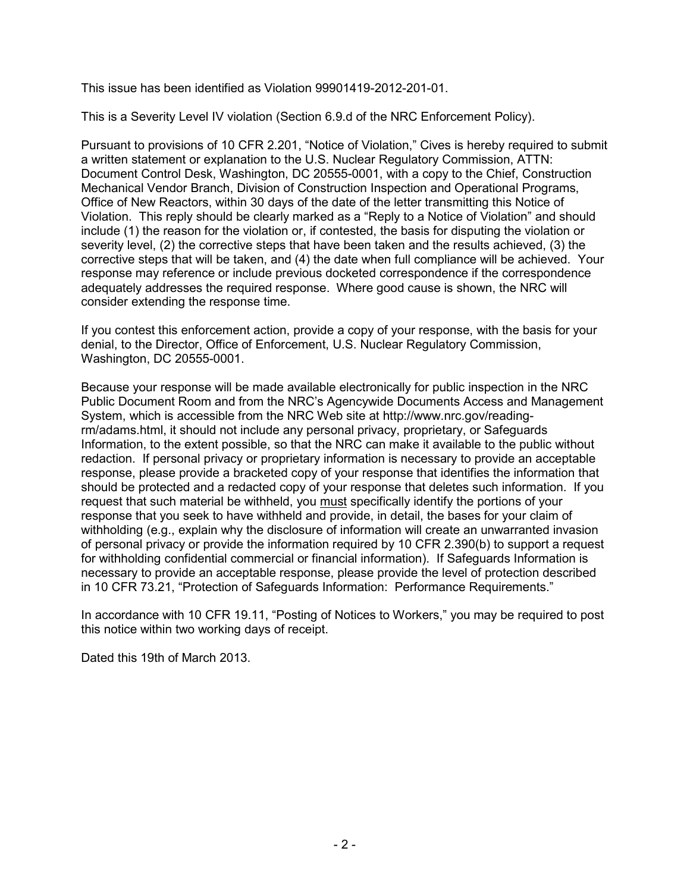This issue has been identified as Violation 99901419-2012-201-01.

This is a Severity Level IV violation (Section 6.9.d of the NRC Enforcement Policy).

Pursuant to provisions of 10 CFR 2.201, "Notice of Violation," Cives is hereby required to submit a written statement or explanation to the U.S. Nuclear Regulatory Commission, ATTN: Document Control Desk, Washington, DC 20555-0001, with a copy to the Chief, Construction Mechanical Vendor Branch, Division of Construction Inspection and Operational Programs, Office of New Reactors, within 30 days of the date of the letter transmitting this Notice of Violation. This reply should be clearly marked as a "Reply to a Notice of Violation" and should include (1) the reason for the violation or, if contested, the basis for disputing the violation or severity level, (2) the corrective steps that have been taken and the results achieved, (3) the corrective steps that will be taken, and (4) the date when full compliance will be achieved. Your response may reference or include previous docketed correspondence if the correspondence adequately addresses the required response. Where good cause is shown, the NRC will consider extending the response time.

If you contest this enforcement action, provide a copy of your response, with the basis for your denial, to the Director, Office of Enforcement, U.S. Nuclear Regulatory Commission, Washington, DC 20555-0001.

Because your response will be made available electronically for public inspection in the NRC Public Document Room and from the NRC's Agencywide Documents Access and Management System, which is accessible from the NRC Web site at http://www.nrc.gov/readingrm/adams.html, it should not include any personal privacy, proprietary, or Safeguards Information, to the extent possible, so that the NRC can make it available to the public without redaction. If personal privacy or proprietary information is necessary to provide an acceptable response, please provide a bracketed copy of your response that identifies the information that should be protected and a redacted copy of your response that deletes such information. If you request that such material be withheld, you must specifically identify the portions of your response that you seek to have withheld and provide, in detail, the bases for your claim of withholding (e.g., explain why the disclosure of information will create an unwarranted invasion of personal privacy or provide the information required by 10 CFR 2.390(b) to support a request for withholding confidential commercial or financial information). If Safeguards Information is necessary to provide an acceptable response, please provide the level of protection described in 10 CFR 73.21, "Protection of Safeguards Information: Performance Requirements."

In accordance with 10 CFR 19.11, "Posting of Notices to Workers," you may be required to post this notice within two working days of receipt.

Dated this 19th of March 2013.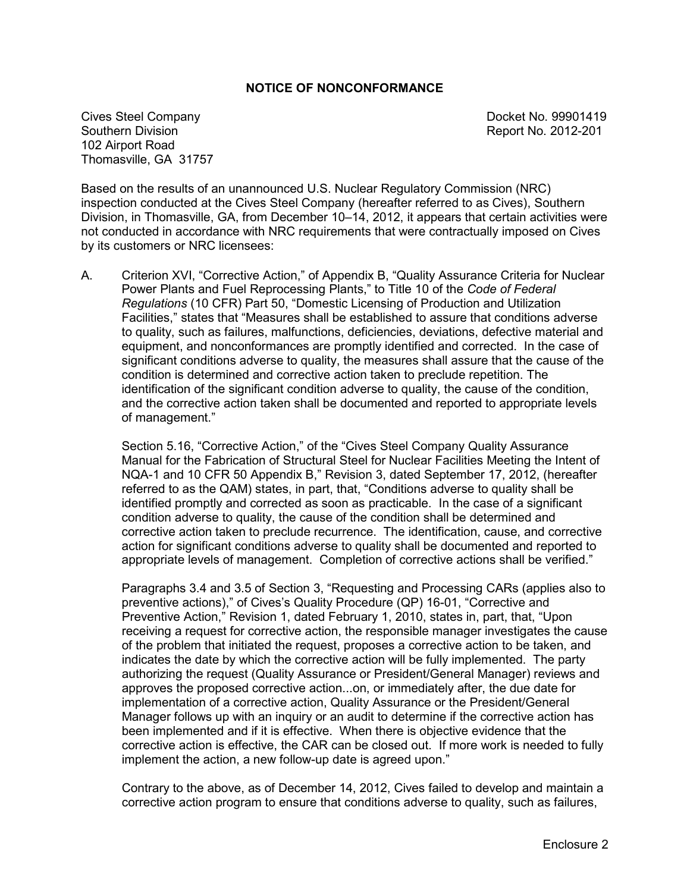### **NOTICE OF NONCONFORMANCE**

Cives Steel Company **Docket No. 99901419** Southern Division **Report No. 2012-201** 102 Airport Road Thomasville, GA 31757

Based on the results of an unannounced U.S. Nuclear Regulatory Commission (NRC) inspection conducted at the Cives Steel Company (hereafter referred to as Cives), Southern Division, in Thomasville, GA, from December 10–14, 2012, it appears that certain activities were not conducted in accordance with NRC requirements that were contractually imposed on Cives by its customers or NRC licensees:

A. Criterion XVI, "Corrective Action," of Appendix B, "Quality Assurance Criteria for Nuclear Power Plants and Fuel Reprocessing Plants," to Title 10 of the *Code of Federal Regulations* (10 CFR) Part 50, "Domestic Licensing of Production and Utilization Facilities," states that "Measures shall be established to assure that conditions adverse to quality, such as failures, malfunctions, deficiencies, deviations, defective material and equipment, and nonconformances are promptly identified and corrected. In the case of significant conditions adverse to quality, the measures shall assure that the cause of the condition is determined and corrective action taken to preclude repetition. The identification of the significant condition adverse to quality, the cause of the condition, and the corrective action taken shall be documented and reported to appropriate levels of management."

Section 5.16, "Corrective Action," of the "Cives Steel Company Quality Assurance Manual for the Fabrication of Structural Steel for Nuclear Facilities Meeting the Intent of NQA-1 and 10 CFR 50 Appendix B," Revision 3, dated September 17, 2012, (hereafter referred to as the QAM) states, in part, that, "Conditions adverse to quality shall be identified promptly and corrected as soon as practicable. In the case of a significant condition adverse to quality, the cause of the condition shall be determined and corrective action taken to preclude recurrence. The identification, cause, and corrective action for significant conditions adverse to quality shall be documented and reported to appropriate levels of management. Completion of corrective actions shall be verified."

Paragraphs 3.4 and 3.5 of Section 3, "Requesting and Processing CARs (applies also to preventive actions)," of Cives's Quality Procedure (QP) 16-01, "Corrective and Preventive Action," Revision 1, dated February 1, 2010, states in, part, that, "Upon receiving a request for corrective action, the responsible manager investigates the cause of the problem that initiated the request, proposes a corrective action to be taken, and indicates the date by which the corrective action will be fully implemented. The party authorizing the request (Quality Assurance or President/General Manager) reviews and approves the proposed corrective action...on, or immediately after, the due date for implementation of a corrective action, Quality Assurance or the President/General Manager follows up with an inquiry or an audit to determine if the corrective action has been implemented and if it is effective. When there is objective evidence that the corrective action is effective, the CAR can be closed out. If more work is needed to fully implement the action, a new follow-up date is agreed upon."

Contrary to the above, as of December 14, 2012, Cives failed to develop and maintain a corrective action program to ensure that conditions adverse to quality, such as failures,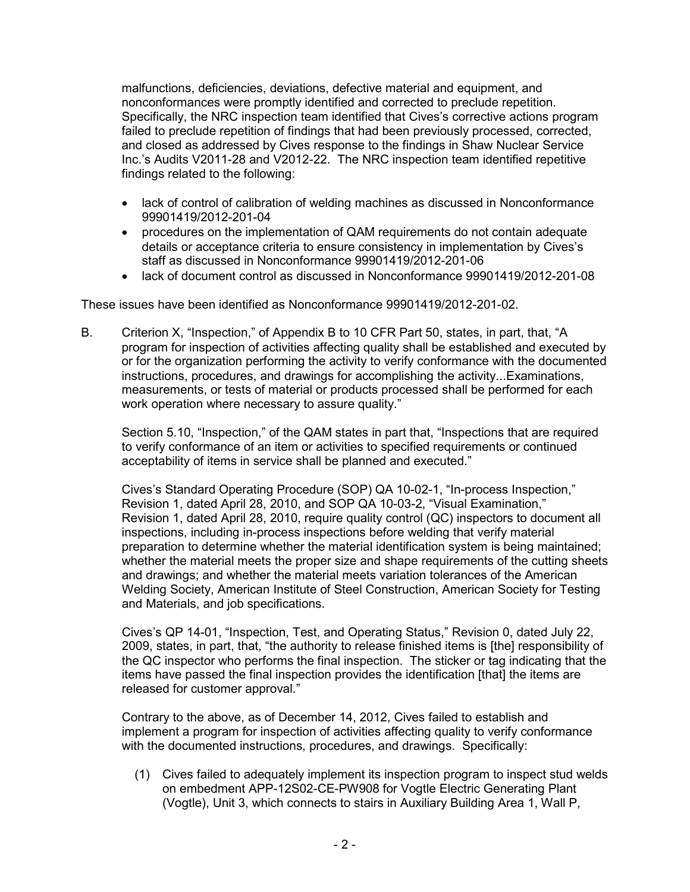malfunctions, deficiencies, deviations, defective material and equipment, and nonconformances were promptly identified and corrected to preclude repetition. Specifically, the NRC inspection team identified that Cives's corrective actions program failed to preclude repetition of findings that had been previously processed, corrected, and closed as addressed by Cives response to the findings in Shaw Nuclear Service Inc.'s Audits V2011-28 and V2012-22. The NRC inspection team identified repetitive findings related to the following:

- lack of control of calibration of welding machines as discussed in Nonconformance 99901419/2012-201-04
- procedures on the implementation of QAM requirements do not contain adequate details or acceptance criteria to ensure consistency in implementation by Cives's staff as discussed in Nonconformance 99901419/2012-201-06
- lack of document control as discussed in Nonconformance 99901419/2012-201-08

These issues have been identified as Nonconformance 99901419/2012-201-02.

B. Criterion X, "Inspection," of Appendix B to 10 CFR Part 50, states, in part, that, "A program for inspection of activities affecting quality shall be established and executed by or for the organization performing the activity to verify conformance with the documented instructions, procedures, and drawings for accomplishing the activity...Examinations, measurements, or tests of material or products processed shall be performed for each work operation where necessary to assure quality."

Section 5.10, "Inspection," of the QAM states in part that, "Inspections that are required to verify conformance of an item or activities to specified requirements or continued acceptability of items in service shall be planned and executed."

Cives's Standard Operating Procedure (SOP) QA 10-02-1, "In-process Inspection," Revision 1, dated April 28, 2010, and SOP QA 10-03-2, "Visual Examination," Revision 1, dated April 28, 2010, require quality control (QC) inspectors to document all inspections, including in-process inspections before welding that verify material preparation to determine whether the material identification system is being maintained; whether the material meets the proper size and shape requirements of the cutting sheets and drawings; and whether the material meets variation tolerances of the American Welding Society, American Institute of Steel Construction, American Society for Testing and Materials, and job specifications.

Cives's QP 14-01, "Inspection, Test, and Operating Status," Revision 0, dated July 22, 2009, states, in part, that, "the authority to release finished items is [the] responsibility of the QC inspector who performs the final inspection. The sticker or tag indicating that the items have passed the final inspection provides the identification [that] the items are released for customer approval."

Contrary to the above, as of December 14, 2012, Cives failed to establish and implement a program for inspection of activities affecting quality to verify conformance with the documented instructions, procedures, and drawings. Specifically:

(1) Cives failed to adequately implement its inspection program to inspect stud welds on embedment APP-12S02-CE-PW908 for Vogtle Electric Generating Plant (Vogtle), Unit 3, which connects to stairs in Auxiliary Building Area 1, Wall P,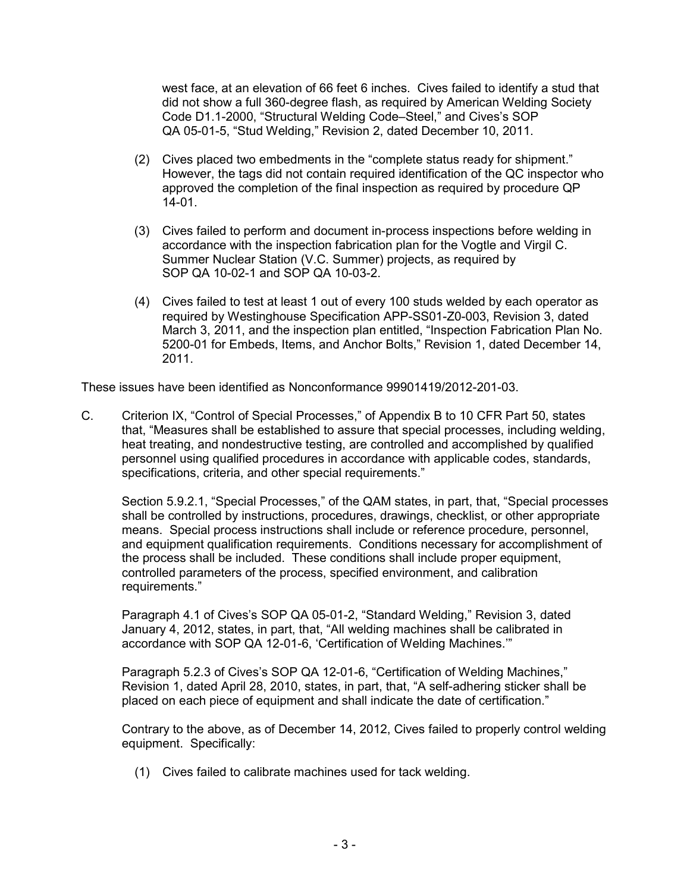west face, at an elevation of 66 feet 6 inches. Cives failed to identify a stud that did not show a full 360-degree flash, as required by American Welding Society Code D1.1-2000, "Structural Welding Code–Steel," and Cives's SOP QA 05-01-5, "Stud Welding," Revision 2, dated December 10, 2011.

- (2) Cives placed two embedments in the "complete status ready for shipment." However, the tags did not contain required identification of the QC inspector who approved the completion of the final inspection as required by procedure QP 14-01.
- (3) Cives failed to perform and document in-process inspections before welding in accordance with the inspection fabrication plan for the Vogtle and Virgil C. Summer Nuclear Station (V.C. Summer) projects, as required by SOP QA 10-02-1 and SOP QA 10-03-2.
- (4) Cives failed to test at least 1 out of every 100 studs welded by each operator as required by Westinghouse Specification APP-SS01-Z0-003, Revision 3, dated March 3, 2011, and the inspection plan entitled, "Inspection Fabrication Plan No. 5200-01 for Embeds, Items, and Anchor Bolts," Revision 1, dated December 14, 2011.

These issues have been identified as Nonconformance 99901419/2012-201-03.

C. Criterion IX, "Control of Special Processes," of Appendix B to 10 CFR Part 50, states that, "Measures shall be established to assure that special processes, including welding, heat treating, and nondestructive testing, are controlled and accomplished by qualified personnel using qualified procedures in accordance with applicable codes, standards, specifications, criteria, and other special requirements."

Section 5.9.2.1, "Special Processes," of the QAM states, in part, that, "Special processes shall be controlled by instructions, procedures, drawings, checklist, or other appropriate means. Special process instructions shall include or reference procedure, personnel, and equipment qualification requirements. Conditions necessary for accomplishment of the process shall be included. These conditions shall include proper equipment, controlled parameters of the process, specified environment, and calibration requirements."

Paragraph 4.1 of Cives's SOP QA 05-01-2, "Standard Welding," Revision 3, dated January 4, 2012, states, in part, that, "All welding machines shall be calibrated in accordance with SOP QA 12-01-6, 'Certification of Welding Machines.'"

Paragraph 5.2.3 of Cives's SOP QA 12-01-6, "Certification of Welding Machines," Revision 1, dated April 28, 2010, states, in part, that, "A self-adhering sticker shall be placed on each piece of equipment and shall indicate the date of certification."

Contrary to the above, as of December 14, 2012, Cives failed to properly control welding equipment. Specifically:

(1) Cives failed to calibrate machines used for tack welding.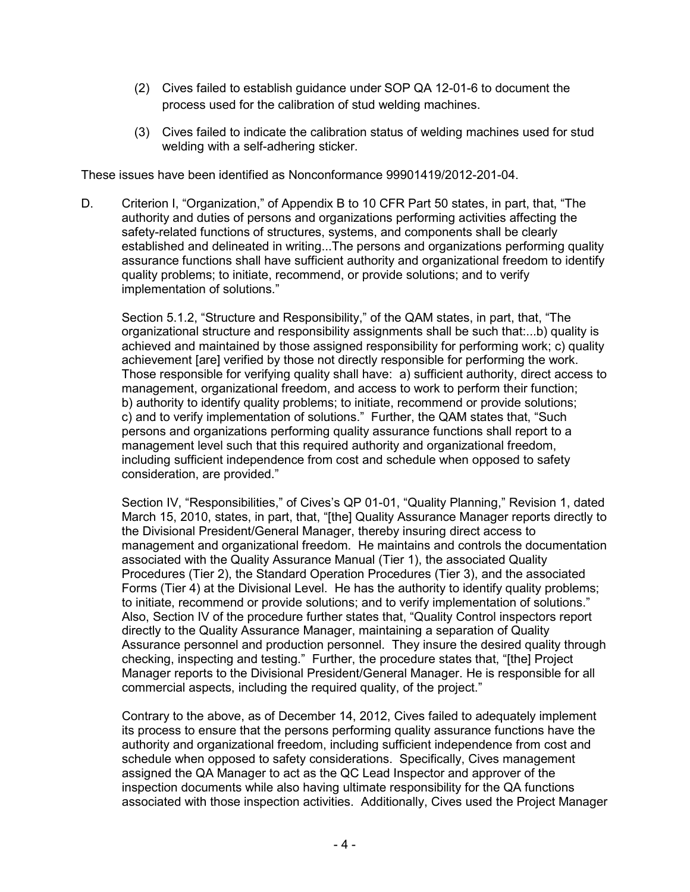- (2) Cives failed to establish guidance under SOP QA 12-01-6 to document the process used for the calibration of stud welding machines.
- (3) Cives failed to indicate the calibration status of welding machines used for stud welding with a self-adhering sticker.

These issues have been identified as Nonconformance 99901419/2012-201-04.

D. Criterion I, "Organization," of Appendix B to 10 CFR Part 50 states, in part, that, "The authority and duties of persons and organizations performing activities affecting the safety-related functions of structures, systems, and components shall be clearly established and delineated in writing...The persons and organizations performing quality assurance functions shall have sufficient authority and organizational freedom to identify quality problems; to initiate, recommend, or provide solutions; and to verify implementation of solutions."

Section 5.1.2, "Structure and Responsibility," of the QAM states, in part, that, "The organizational structure and responsibility assignments shall be such that:...b) quality is achieved and maintained by those assigned responsibility for performing work; c) quality achievement [are] verified by those not directly responsible for performing the work. Those responsible for verifying quality shall have: a) sufficient authority, direct access to management, organizational freedom, and access to work to perform their function; b) authority to identify quality problems; to initiate, recommend or provide solutions; c) and to verify implementation of solutions." Further, the QAM states that, "Such persons and organizations performing quality assurance functions shall report to a management level such that this required authority and organizational freedom, including sufficient independence from cost and schedule when opposed to safety consideration, are provided."

Section IV, "Responsibilities," of Cives's QP 01-01, "Quality Planning," Revision 1, dated March 15, 2010, states, in part, that, "[the] Quality Assurance Manager reports directly to the Divisional President/General Manager, thereby insuring direct access to management and organizational freedom. He maintains and controls the documentation associated with the Quality Assurance Manual (Tier 1), the associated Quality Procedures (Tier 2), the Standard Operation Procedures (Tier 3), and the associated Forms (Tier 4) at the Divisional Level. He has the authority to identify quality problems; to initiate, recommend or provide solutions; and to verify implementation of solutions." Also, Section IV of the procedure further states that, "Quality Control inspectors report directly to the Quality Assurance Manager, maintaining a separation of Quality Assurance personnel and production personnel. They insure the desired quality through checking, inspecting and testing." Further, the procedure states that, "[the] Project Manager reports to the Divisional President/General Manager. He is responsible for all commercial aspects, including the required quality, of the project."

Contrary to the above, as of December 14, 2012, Cives failed to adequately implement its process to ensure that the persons performing quality assurance functions have the authority and organizational freedom, including sufficient independence from cost and schedule when opposed to safety considerations. Specifically, Cives management assigned the QA Manager to act as the QC Lead Inspector and approver of the inspection documents while also having ultimate responsibility for the QA functions associated with those inspection activities. Additionally, Cives used the Project Manager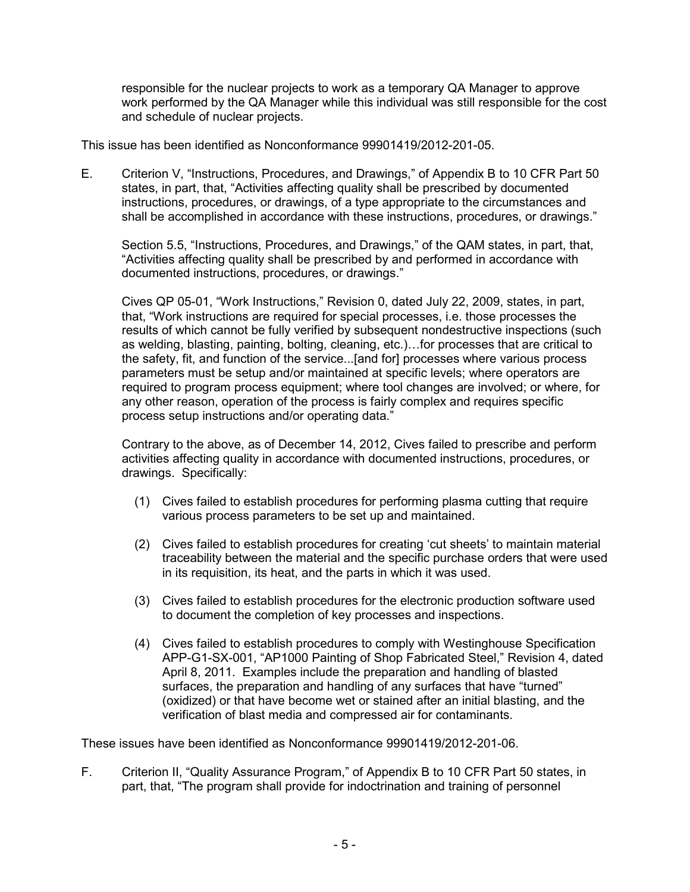responsible for the nuclear projects to work as a temporary QA Manager to approve work performed by the QA Manager while this individual was still responsible for the cost and schedule of nuclear projects.

This issue has been identified as Nonconformance 99901419/2012-201-05.

E. Criterion V, "Instructions, Procedures, and Drawings," of Appendix B to 10 CFR Part 50 states, in part, that, "Activities affecting quality shall be prescribed by documented instructions, procedures, or drawings, of a type appropriate to the circumstances and shall be accomplished in accordance with these instructions, procedures, or drawings."

Section 5.5, "Instructions, Procedures, and Drawings," of the QAM states, in part, that, "Activities affecting quality shall be prescribed by and performed in accordance with documented instructions, procedures, or drawings."

Cives QP 05-01, "Work Instructions," Revision 0, dated July 22, 2009, states, in part, that, "Work instructions are required for special processes, i.e. those processes the results of which cannot be fully verified by subsequent nondestructive inspections (such as welding, blasting, painting, bolting, cleaning, etc.)…for processes that are critical to the safety, fit, and function of the service...[and for] processes where various process parameters must be setup and/or maintained at specific levels; where operators are required to program process equipment; where tool changes are involved; or where, for any other reason, operation of the process is fairly complex and requires specific process setup instructions and/or operating data."

Contrary to the above, as of December 14, 2012, Cives failed to prescribe and perform activities affecting quality in accordance with documented instructions, procedures, or drawings. Specifically:

- (1) Cives failed to establish procedures for performing plasma cutting that require various process parameters to be set up and maintained.
- (2) Cives failed to establish procedures for creating 'cut sheets' to maintain material traceability between the material and the specific purchase orders that were used in its requisition, its heat, and the parts in which it was used.
- (3) Cives failed to establish procedures for the electronic production software used to document the completion of key processes and inspections.
- (4) Cives failed to establish procedures to comply with Westinghouse Specification APP-G1-SX-001, "AP1000 Painting of Shop Fabricated Steel," Revision 4, dated April 8, 2011. Examples include the preparation and handling of blasted surfaces, the preparation and handling of any surfaces that have "turned" (oxidized) or that have become wet or stained after an initial blasting, and the verification of blast media and compressed air for contaminants.

These issues have been identified as Nonconformance 99901419/2012-201-06.

F. Criterion II, "Quality Assurance Program," of Appendix B to 10 CFR Part 50 states, in part, that, "The program shall provide for indoctrination and training of personnel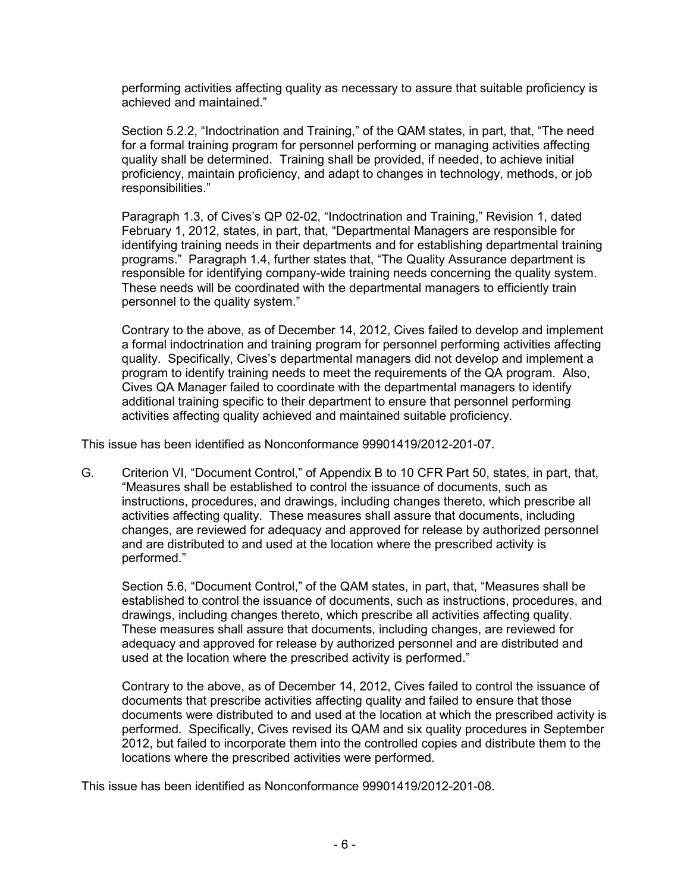performing activities affecting quality as necessary to assure that suitable proficiency is achieved and maintained."

Section 5.2.2, "Indoctrination and Training," of the QAM states, in part, that, "The need for a formal training program for personnel performing or managing activities affecting quality shall be determined. Training shall be provided, if needed, to achieve initial proficiency, maintain proficiency, and adapt to changes in technology, methods, or job responsibilities."

Paragraph 1.3, of Cives's QP 02-02, "Indoctrination and Training," Revision 1, dated February 1, 2012, states, in part, that, "Departmental Managers are responsible for identifying training needs in their departments and for establishing departmental training programs." Paragraph 1.4, further states that, "The Quality Assurance department is responsible for identifying company-wide training needs concerning the quality system. These needs will be coordinated with the departmental managers to efficiently train personnel to the quality system."

Contrary to the above, as of December 14, 2012, Cives failed to develop and implement a formal indoctrination and training program for personnel performing activities affecting quality. Specifically, Cives's departmental managers did not develop and implement a program to identify training needs to meet the requirements of the QA program. Also, Cives QA Manager failed to coordinate with the departmental managers to identify additional training specific to their department to ensure that personnel performing activities affecting quality achieved and maintained suitable proficiency.

This issue has been identified as Nonconformance 99901419/2012-201-07.

G. Criterion VI, "Document Control," of Appendix B to 10 CFR Part 50, states, in part, that, "Measures shall be established to control the issuance of documents, such as instructions, procedures, and drawings, including changes thereto, which prescribe all activities affecting quality. These measures shall assure that documents, including changes, are reviewed for adequacy and approved for release by authorized personnel and are distributed to and used at the location where the prescribed activity is performed."

Section 5.6, "Document Control," of the QAM states, in part, that, "Measures shall be established to control the issuance of documents, such as instructions, procedures, and drawings, including changes thereto, which prescribe all activities affecting quality. These measures shall assure that documents, including changes, are reviewed for adequacy and approved for release by authorized personnel and are distributed and used at the location where the prescribed activity is performed."

Contrary to the above, as of December 14, 2012, Cives failed to control the issuance of documents that prescribe activities affecting quality and failed to ensure that those documents were distributed to and used at the location at which the prescribed activity is performed. Specifically, Cives revised its QAM and six quality procedures in September 2012, but failed to incorporate them into the controlled copies and distribute them to the locations where the prescribed activities were performed.

This issue has been identified as Nonconformance 99901419/2012-201-08.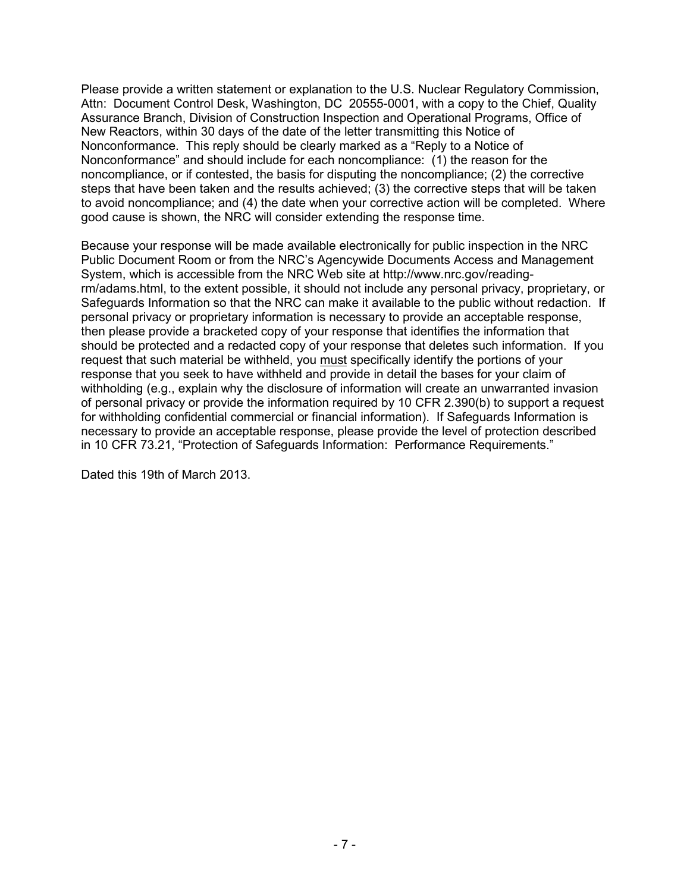Please provide a written statement or explanation to the U.S. Nuclear Regulatory Commission, Attn: Document Control Desk, Washington, DC 20555-0001, with a copy to the Chief, Quality Assurance Branch, Division of Construction Inspection and Operational Programs, Office of New Reactors, within 30 days of the date of the letter transmitting this Notice of Nonconformance. This reply should be clearly marked as a "Reply to a Notice of Nonconformance" and should include for each noncompliance: (1) the reason for the noncompliance, or if contested, the basis for disputing the noncompliance; (2) the corrective steps that have been taken and the results achieved; (3) the corrective steps that will be taken to avoid noncompliance; and (4) the date when your corrective action will be completed. Where good cause is shown, the NRC will consider extending the response time.

Because your response will be made available electronically for public inspection in the NRC Public Document Room or from the NRC's Agencywide Documents Access and Management System, which is accessible from the NRC Web site at http://www.nrc.gov/readingrm/adams.html, to the extent possible, it should not include any personal privacy, proprietary, or Safeguards Information so that the NRC can make it available to the public without redaction. If personal privacy or proprietary information is necessary to provide an acceptable response, then please provide a bracketed copy of your response that identifies the information that should be protected and a redacted copy of your response that deletes such information. If you request that such material be withheld, you must specifically identify the portions of your response that you seek to have withheld and provide in detail the bases for your claim of withholding (e.g., explain why the disclosure of information will create an unwarranted invasion of personal privacy or provide the information required by 10 CFR 2.390(b) to support a request for withholding confidential commercial or financial information). If Safeguards Information is necessary to provide an acceptable response, please provide the level of protection described in 10 CFR 73.21, "Protection of Safeguards Information: Performance Requirements."

Dated this 19th of March 2013.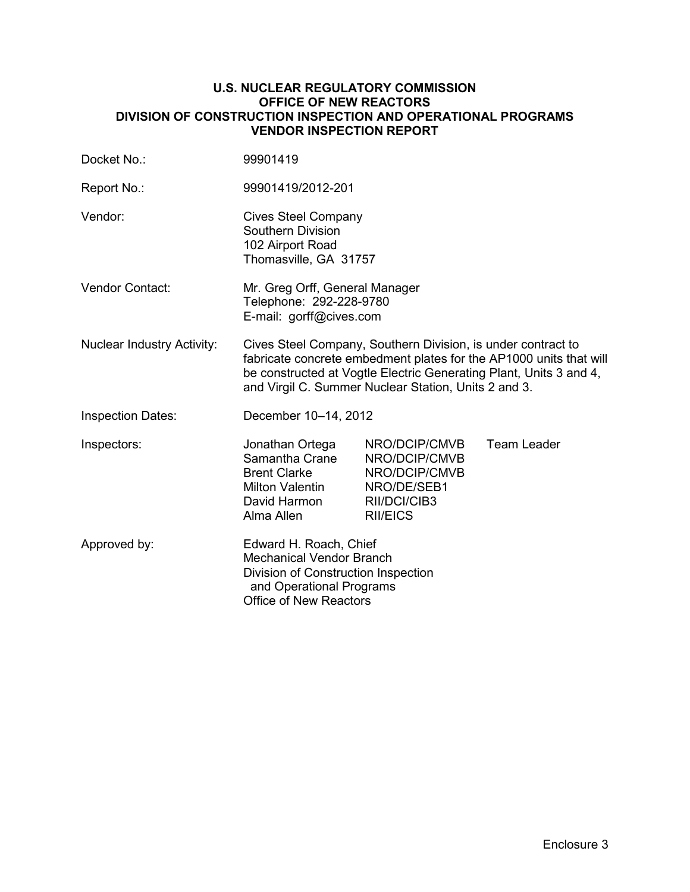### **U.S. NUCLEAR REGULATORY COMMISSION OFFICE OF NEW REACTORS DIVISION OF CONSTRUCTION INSPECTION AND OPERATIONAL PROGRAMS VENDOR INSPECTION REPORT**

| Docket No.:                       | 99901419                                                                                                                                                                                                                                                         |                                                                                                   |                    |
|-----------------------------------|------------------------------------------------------------------------------------------------------------------------------------------------------------------------------------------------------------------------------------------------------------------|---------------------------------------------------------------------------------------------------|--------------------|
| Report No.:                       | 99901419/2012-201                                                                                                                                                                                                                                                |                                                                                                   |                    |
| Vendor:                           | <b>Cives Steel Company</b><br><b>Southern Division</b><br>102 Airport Road<br>Thomasville, GA 31757                                                                                                                                                              |                                                                                                   |                    |
| <b>Vendor Contact:</b>            | Mr. Greg Orff, General Manager<br>Telephone: 292-228-9780<br>E-mail: gorff@cives.com                                                                                                                                                                             |                                                                                                   |                    |
| <b>Nuclear Industry Activity:</b> | Cives Steel Company, Southern Division, is under contract to<br>fabricate concrete embedment plates for the AP1000 units that will<br>be constructed at Vogtle Electric Generating Plant, Units 3 and 4,<br>and Virgil C. Summer Nuclear Station, Units 2 and 3. |                                                                                                   |                    |
| <b>Inspection Dates:</b>          | December 10-14, 2012                                                                                                                                                                                                                                             |                                                                                                   |                    |
| Inspectors:                       | Jonathan Ortega<br>Samantha Crane<br><b>Brent Clarke</b><br>Milton Valentin<br>David Harmon<br>Alma Allen                                                                                                                                                        | NRO/DCIP/CMVB<br>NRO/DCIP/CMVB<br>NRO/DCIP/CMVB<br>NRO/DE/SEB1<br>RII/DCI/CIB3<br><b>RII/EICS</b> | <b>Team Leader</b> |
| Approved by:                      | Edward H. Roach, Chief<br><b>Mechanical Vendor Branch</b><br>Division of Construction Inspection<br>and Operational Programs<br><b>Office of New Reactors</b>                                                                                                    |                                                                                                   |                    |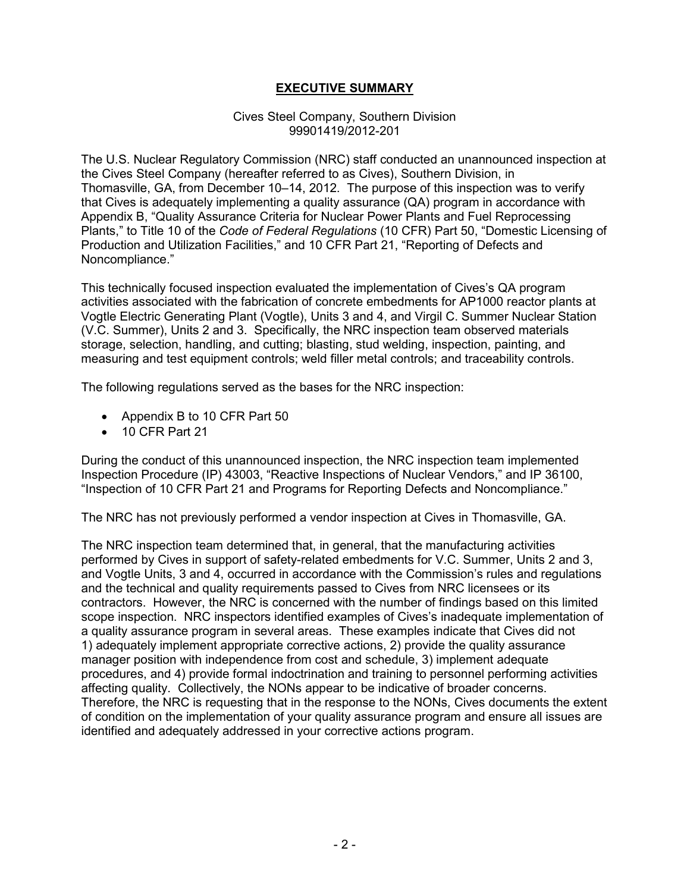# **EXECUTIVE SUMMARY**

### Cives Steel Company, Southern Division 99901419/2012-201

The U.S. Nuclear Regulatory Commission (NRC) staff conducted an unannounced inspection at the Cives Steel Company (hereafter referred to as Cives), Southern Division, in Thomasville, GA, from December 10–14, 2012. The purpose of this inspection was to verify that Cives is adequately implementing a quality assurance (QA) program in accordance with Appendix B, "Quality Assurance Criteria for Nuclear Power Plants and Fuel Reprocessing Plants," to Title 10 of the *Code of Federal Regulations* (10 CFR) Part 50, "Domestic Licensing of Production and Utilization Facilities," and 10 CFR Part 21, "Reporting of Defects and Noncompliance."

This technically focused inspection evaluated the implementation of Cives's QA program activities associated with the fabrication of concrete embedments for AP1000 reactor plants at Vogtle Electric Generating Plant (Vogtle), Units 3 and 4, and Virgil C. Summer Nuclear Station (V.C. Summer), Units 2 and 3. Specifically, the NRC inspection team observed materials storage, selection, handling, and cutting; blasting, stud welding, inspection, painting, and measuring and test equipment controls; weld filler metal controls; and traceability controls.

The following regulations served as the bases for the NRC inspection:

- Appendix B to 10 CFR Part 50
- 10 CFR Part 21

During the conduct of this unannounced inspection, the NRC inspection team implemented Inspection Procedure (IP) 43003, "Reactive Inspections of Nuclear Vendors," and IP 36100, "Inspection of 10 CFR Part 21 and Programs for Reporting Defects and Noncompliance."

The NRC has not previously performed a vendor inspection at Cives in Thomasville, GA.

The NRC inspection team determined that, in general, that the manufacturing activities performed by Cives in support of safety-related embedments for V.C. Summer, Units 2 and 3, and Vogtle Units, 3 and 4, occurred in accordance with the Commission's rules and regulations and the technical and quality requirements passed to Cives from NRC licensees or its contractors. However, the NRC is concerned with the number of findings based on this limited scope inspection. NRC inspectors identified examples of Cives's inadequate implementation of a quality assurance program in several areas. These examples indicate that Cives did not 1) adequately implement appropriate corrective actions, 2) provide the quality assurance manager position with independence from cost and schedule, 3) implement adequate procedures, and 4) provide formal indoctrination and training to personnel performing activities affecting quality. Collectively, the NONs appear to be indicative of broader concerns. Therefore, the NRC is requesting that in the response to the NONs, Cives documents the extent of condition on the implementation of your quality assurance program and ensure all issues are identified and adequately addressed in your corrective actions program.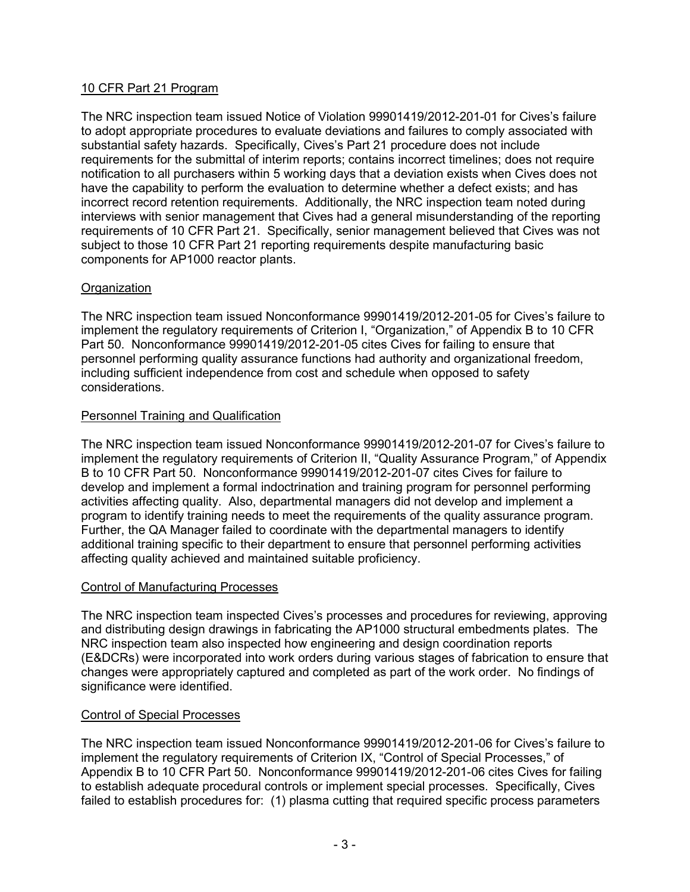# 10 CFR Part 21 Program

The NRC inspection team issued Notice of Violation 99901419/2012-201-01 for Cives's failure to adopt appropriate procedures to evaluate deviations and failures to comply associated with substantial safety hazards. Specifically, Cives's Part 21 procedure does not include requirements for the submittal of interim reports; contains incorrect timelines; does not require notification to all purchasers within 5 working days that a deviation exists when Cives does not have the capability to perform the evaluation to determine whether a defect exists; and has incorrect record retention requirements. Additionally, the NRC inspection team noted during interviews with senior management that Cives had a general misunderstanding of the reporting requirements of 10 CFR Part 21. Specifically, senior management believed that Cives was not subject to those 10 CFR Part 21 reporting requirements despite manufacturing basic components for AP1000 reactor plants.

# **Organization**

The NRC inspection team issued Nonconformance 99901419/2012-201-05 for Cives's failure to implement the regulatory requirements of Criterion I, "Organization," of Appendix B to 10 CFR Part 50. Nonconformance 99901419/2012-201-05 cites Cives for failing to ensure that personnel performing quality assurance functions had authority and organizational freedom, including sufficient independence from cost and schedule when opposed to safety considerations.

# Personnel Training and Qualification

The NRC inspection team issued Nonconformance 99901419/2012-201-07 for Cives's failure to implement the regulatory requirements of Criterion II, "Quality Assurance Program," of Appendix B to 10 CFR Part 50. Nonconformance 99901419/2012-201-07 cites Cives for failure to develop and implement a formal indoctrination and training program for personnel performing activities affecting quality. Also, departmental managers did not develop and implement a program to identify training needs to meet the requirements of the quality assurance program. Further, the QA Manager failed to coordinate with the departmental managers to identify additional training specific to their department to ensure that personnel performing activities affecting quality achieved and maintained suitable proficiency.

### Control of Manufacturing Processes

The NRC inspection team inspected Cives's processes and procedures for reviewing, approving and distributing design drawings in fabricating the AP1000 structural embedments plates. The NRC inspection team also inspected how engineering and design coordination reports (E&DCRs) were incorporated into work orders during various stages of fabrication to ensure that changes were appropriately captured and completed as part of the work order. No findings of significance were identified.

### Control of Special Processes

The NRC inspection team issued Nonconformance 99901419/2012-201-06 for Cives's failure to implement the regulatory requirements of Criterion IX, "Control of Special Processes," of Appendix B to 10 CFR Part 50. Nonconformance 99901419/2012-201-06 cites Cives for failing to establish adequate procedural controls or implement special processes. Specifically, Cives failed to establish procedures for: (1) plasma cutting that required specific process parameters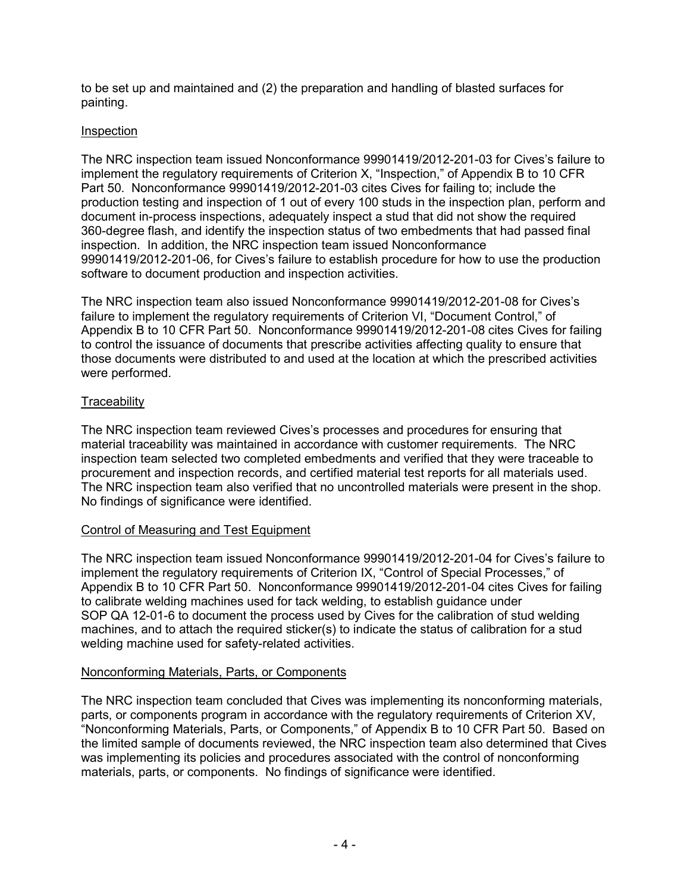to be set up and maintained and (2) the preparation and handling of blasted surfaces for painting.

## Inspection

The NRC inspection team issued Nonconformance 99901419/2012-201-03 for Cives's failure to implement the regulatory requirements of Criterion X, "Inspection," of Appendix B to 10 CFR Part 50. Nonconformance 99901419/2012-201-03 cites Cives for failing to; include the production testing and inspection of 1 out of every 100 studs in the inspection plan, perform and document in-process inspections, adequately inspect a stud that did not show the required 360-degree flash, and identify the inspection status of two embedments that had passed final inspection. In addition, the NRC inspection team issued Nonconformance 99901419/2012-201-06, for Cives's failure to establish procedure for how to use the production software to document production and inspection activities.

The NRC inspection team also issued Nonconformance 99901419/2012-201-08 for Cives's failure to implement the regulatory requirements of Criterion VI, "Document Control," of Appendix B to 10 CFR Part 50. Nonconformance 99901419/2012-201-08 cites Cives for failing to control the issuance of documents that prescribe activities affecting quality to ensure that those documents were distributed to and used at the location at which the prescribed activities were performed.

# **Traceability**

The NRC inspection team reviewed Cives's processes and procedures for ensuring that material traceability was maintained in accordance with customer requirements. The NRC inspection team selected two completed embedments and verified that they were traceable to procurement and inspection records, and certified material test reports for all materials used. The NRC inspection team also verified that no uncontrolled materials were present in the shop. No findings of significance were identified.

# Control of Measuring and Test Equipment

The NRC inspection team issued Nonconformance 99901419/2012-201-04 for Cives's failure to implement the regulatory requirements of Criterion IX, "Control of Special Processes," of Appendix B to 10 CFR Part 50. Nonconformance 99901419/2012-201-04 cites Cives for failing to calibrate welding machines used for tack welding, to establish guidance under SOP QA 12-01-6 to document the process used by Cives for the calibration of stud welding machines, and to attach the required sticker(s) to indicate the status of calibration for a stud welding machine used for safety-related activities.

### Nonconforming Materials, Parts, or Components

The NRC inspection team concluded that Cives was implementing its nonconforming materials, parts, or components program in accordance with the regulatory requirements of Criterion XV, "Nonconforming Materials, Parts, or Components," of Appendix B to 10 CFR Part 50. Based on the limited sample of documents reviewed, the NRC inspection team also determined that Cives was implementing its policies and procedures associated with the control of nonconforming materials, parts, or components. No findings of significance were identified.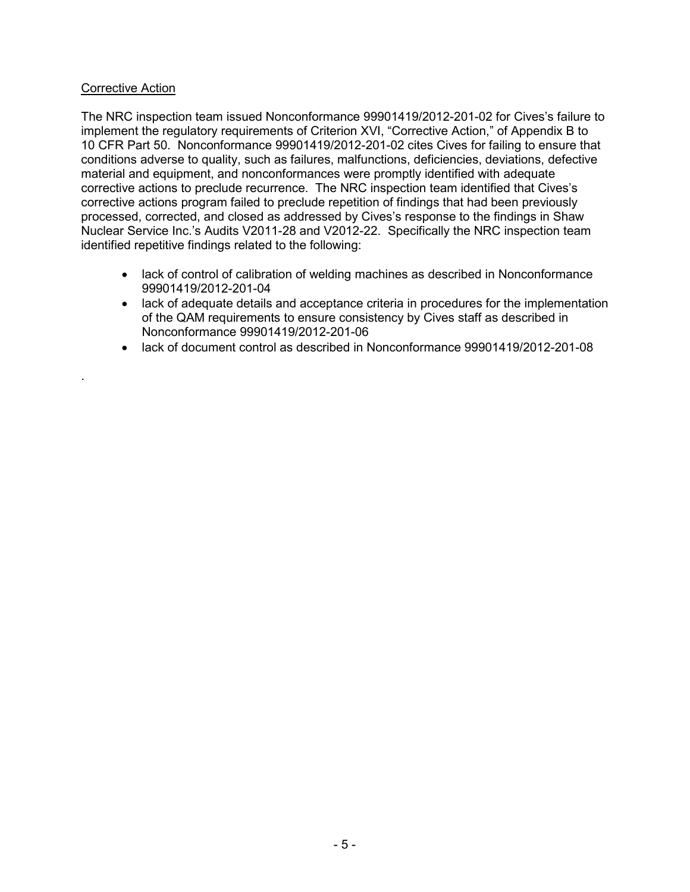### Corrective Action

.

The NRC inspection team issued Nonconformance 99901419/2012-201-02 for Cives's failure to implement the regulatory requirements of Criterion XVI, "Corrective Action," of Appendix B to 10 CFR Part 50. Nonconformance 99901419/2012-201-02 cites Cives for failing to ensure that conditions adverse to quality, such as failures, malfunctions, deficiencies, deviations, defective material and equipment, and nonconformances were promptly identified with adequate corrective actions to preclude recurrence. The NRC inspection team identified that Cives's corrective actions program failed to preclude repetition of findings that had been previously processed, corrected, and closed as addressed by Cives's response to the findings in Shaw Nuclear Service Inc.'s Audits V2011-28 and V2012-22. Specifically the NRC inspection team identified repetitive findings related to the following:

- lack of control of calibration of welding machines as described in Nonconformance 99901419/2012-201-04
- lack of adequate details and acceptance criteria in procedures for the implementation of the QAM requirements to ensure consistency by Cives staff as described in Nonconformance 99901419/2012-201-06
- lack of document control as described in Nonconformance 99901419/2012-201-08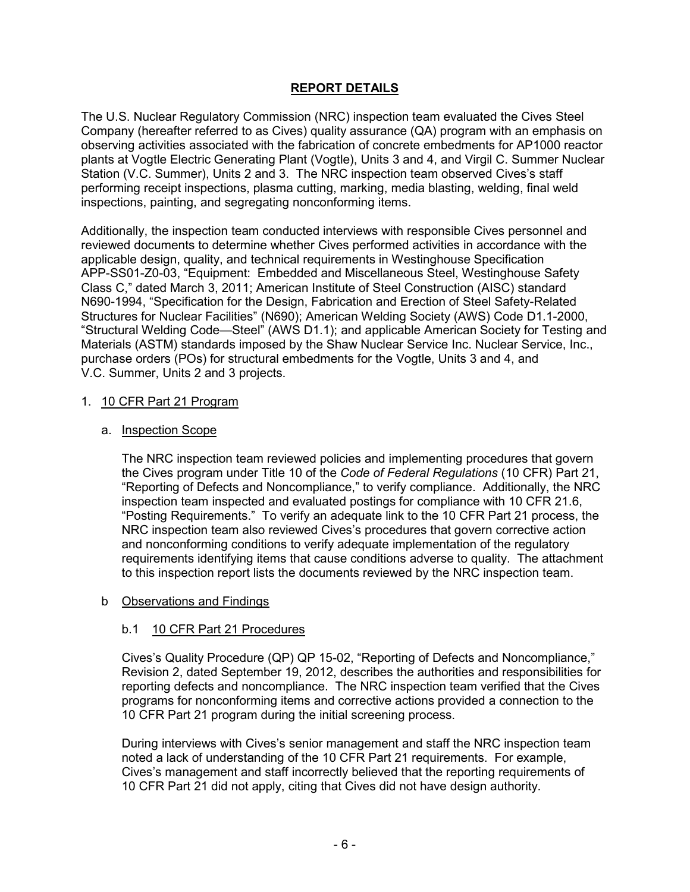# **REPORT DETAILS**

The U.S. Nuclear Regulatory Commission (NRC) inspection team evaluated the Cives Steel Company (hereafter referred to as Cives) quality assurance (QA) program with an emphasis on observing activities associated with the fabrication of concrete embedments for AP1000 reactor plants at Vogtle Electric Generating Plant (Vogtle), Units 3 and 4, and Virgil C. Summer Nuclear Station (V.C. Summer), Units 2 and 3. The NRC inspection team observed Cives's staff performing receipt inspections, plasma cutting, marking, media blasting, welding, final weld inspections, painting, and segregating nonconforming items.

Additionally, the inspection team conducted interviews with responsible Cives personnel and reviewed documents to determine whether Cives performed activities in accordance with the applicable design, quality, and technical requirements in Westinghouse Specification APP-SS01-Z0-03, "Equipment: Embedded and Miscellaneous Steel, Westinghouse Safety Class C," dated March 3, 2011; American Institute of Steel Construction (AISC) standard N690-1994, "Specification for the Design, Fabrication and Erection of Steel Safety-Related Structures for Nuclear Facilities" (N690); American Welding Society (AWS) Code D1.1-2000, "Structural Welding Code—Steel" (AWS D1.1); and applicable American Society for Testing and Materials (ASTM) standards imposed by the Shaw Nuclear Service Inc. Nuclear Service, Inc., purchase orders (POs) for structural embedments for the Vogtle, Units 3 and 4, and V.C. Summer, Units 2 and 3 projects.

### 1. 10 CFR Part 21 Program

### a. Inspection Scope

The NRC inspection team reviewed policies and implementing procedures that govern the Cives program under Title 10 of the *Code of Federal Regulations* (10 CFR) Part 21, "Reporting of Defects and Noncompliance," to verify compliance. Additionally, the NRC inspection team inspected and evaluated postings for compliance with 10 CFR 21.6, "Posting Requirements." To verify an adequate link to the 10 CFR Part 21 process, the NRC inspection team also reviewed Cives's procedures that govern corrective action and nonconforming conditions to verify adequate implementation of the regulatory requirements identifying items that cause conditions adverse to quality. The attachment to this inspection report lists the documents reviewed by the NRC inspection team.

#### b Observations and Findings

### b.1 10 CFR Part 21 Procedures

Cives's Quality Procedure (QP) QP 15-02, "Reporting of Defects and Noncompliance," Revision 2, dated September 19, 2012, describes the authorities and responsibilities for reporting defects and noncompliance. The NRC inspection team verified that the Cives programs for nonconforming items and corrective actions provided a connection to the 10 CFR Part 21 program during the initial screening process.

During interviews with Cives's senior management and staff the NRC inspection team noted a lack of understanding of the 10 CFR Part 21 requirements. For example, Cives's management and staff incorrectly believed that the reporting requirements of 10 CFR Part 21 did not apply, citing that Cives did not have design authority.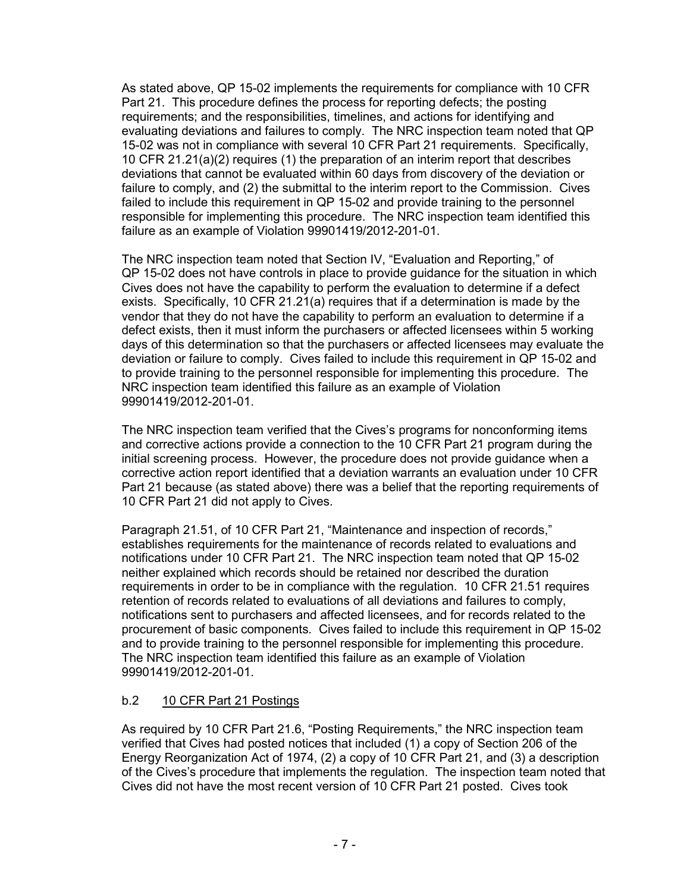As stated above, QP 15-02 implements the requirements for compliance with 10 CFR Part 21. This procedure defines the process for reporting defects; the posting requirements; and the responsibilities, timelines, and actions for identifying and evaluating deviations and failures to comply. The NRC inspection team noted that QP 15-02 was not in compliance with several 10 CFR Part 21 requirements. Specifically, 10 CFR 21.21(a)(2) requires (1) the preparation of an interim report that describes deviations that cannot be evaluated within 60 days from discovery of the deviation or failure to comply, and (2) the submittal to the interim report to the Commission. Cives failed to include this requirement in QP 15-02 and provide training to the personnel responsible for implementing this procedure. The NRC inspection team identified this failure as an example of Violation 99901419/2012-201-01.

The NRC inspection team noted that Section IV, "Evaluation and Reporting," of QP 15-02 does not have controls in place to provide guidance for the situation in which Cives does not have the capability to perform the evaluation to determine if a defect exists. Specifically, 10 CFR 21.21(a) requires that if a determination is made by the vendor that they do not have the capability to perform an evaluation to determine if a defect exists, then it must inform the purchasers or affected licensees within 5 working days of this determination so that the purchasers or affected licensees may evaluate the deviation or failure to comply. Cives failed to include this requirement in QP 15-02 and to provide training to the personnel responsible for implementing this procedure. The NRC inspection team identified this failure as an example of Violation 99901419/2012-201-01.

The NRC inspection team verified that the Cives's programs for nonconforming items and corrective actions provide a connection to the 10 CFR Part 21 program during the initial screening process. However, the procedure does not provide guidance when a corrective action report identified that a deviation warrants an evaluation under 10 CFR Part 21 because (as stated above) there was a belief that the reporting requirements of 10 CFR Part 21 did not apply to Cives.

Paragraph 21.51, of 10 CFR Part 21, "Maintenance and inspection of records," establishes requirements for the maintenance of records related to evaluations and notifications under 10 CFR Part 21. The NRC inspection team noted that QP 15-02 neither explained which records should be retained nor described the duration requirements in order to be in compliance with the regulation. 10 CFR 21.51 requires retention of records related to evaluations of all deviations and failures to comply, notifications sent to purchasers and affected licensees, and for records related to the procurement of basic components. Cives failed to include this requirement in QP 15-02 and to provide training to the personnel responsible for implementing this procedure. The NRC inspection team identified this failure as an example of Violation 99901419/2012-201-01.

# b.2 10 CFR Part 21 Postings

As required by 10 CFR Part 21.6, "Posting Requirements," the NRC inspection team verified that Cives had posted notices that included (1) a copy of Section 206 of the Energy Reorganization Act of 1974, (2) a copy of 10 CFR Part 21, and (3) a description of the Cives's procedure that implements the regulation. The inspection team noted that Cives did not have the most recent version of 10 CFR Part 21 posted. Cives took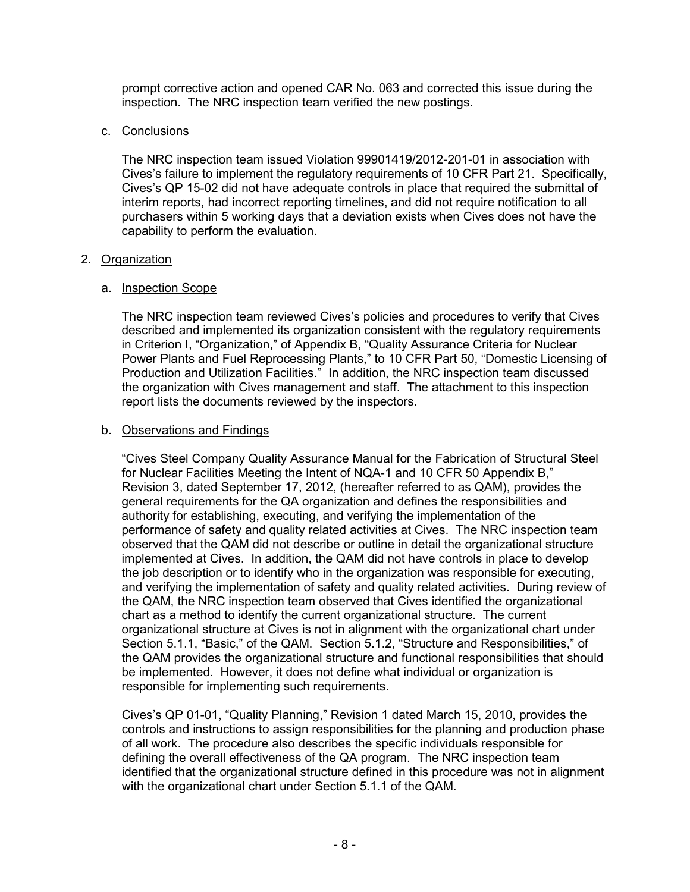prompt corrective action and opened CAR No. 063 and corrected this issue during the inspection. The NRC inspection team verified the new postings.

# c. Conclusions

The NRC inspection team issued Violation 99901419/2012-201-01 in association with Cives's failure to implement the regulatory requirements of 10 CFR Part 21. Specifically, Cives's QP 15-02 did not have adequate controls in place that required the submittal of interim reports, had incorrect reporting timelines, and did not require notification to all purchasers within 5 working days that a deviation exists when Cives does not have the capability to perform the evaluation.

# 2. Organization

# a. Inspection Scope

The NRC inspection team reviewed Cives's policies and procedures to verify that Cives described and implemented its organization consistent with the regulatory requirements in Criterion I, "Organization," of Appendix B, "Quality Assurance Criteria for Nuclear Power Plants and Fuel Reprocessing Plants," to 10 CFR Part 50, "Domestic Licensing of Production and Utilization Facilities." In addition, the NRC inspection team discussed the organization with Cives management and staff. The attachment to this inspection report lists the documents reviewed by the inspectors.

# b. Observations and Findings

"Cives Steel Company Quality Assurance Manual for the Fabrication of Structural Steel for Nuclear Facilities Meeting the Intent of NQA-1 and 10 CFR 50 Appendix B," Revision 3, dated September 17, 2012, (hereafter referred to as QAM), provides the general requirements for the QA organization and defines the responsibilities and authority for establishing, executing, and verifying the implementation of the performance of safety and quality related activities at Cives. The NRC inspection team observed that the QAM did not describe or outline in detail the organizational structure implemented at Cives. In addition, the QAM did not have controls in place to develop the job description or to identify who in the organization was responsible for executing, and verifying the implementation of safety and quality related activities. During review of the QAM, the NRC inspection team observed that Cives identified the organizational chart as a method to identify the current organizational structure. The current organizational structure at Cives is not in alignment with the organizational chart under Section 5.1.1, "Basic," of the QAM. Section 5.1.2, "Structure and Responsibilities," of the QAM provides the organizational structure and functional responsibilities that should be implemented. However, it does not define what individual or organization is responsible for implementing such requirements.

Cives's QP 01-01, "Quality Planning," Revision 1 dated March 15, 2010, provides the controls and instructions to assign responsibilities for the planning and production phase of all work. The procedure also describes the specific individuals responsible for defining the overall effectiveness of the QA program. The NRC inspection team identified that the organizational structure defined in this procedure was not in alignment with the organizational chart under Section 5.1.1 of the QAM.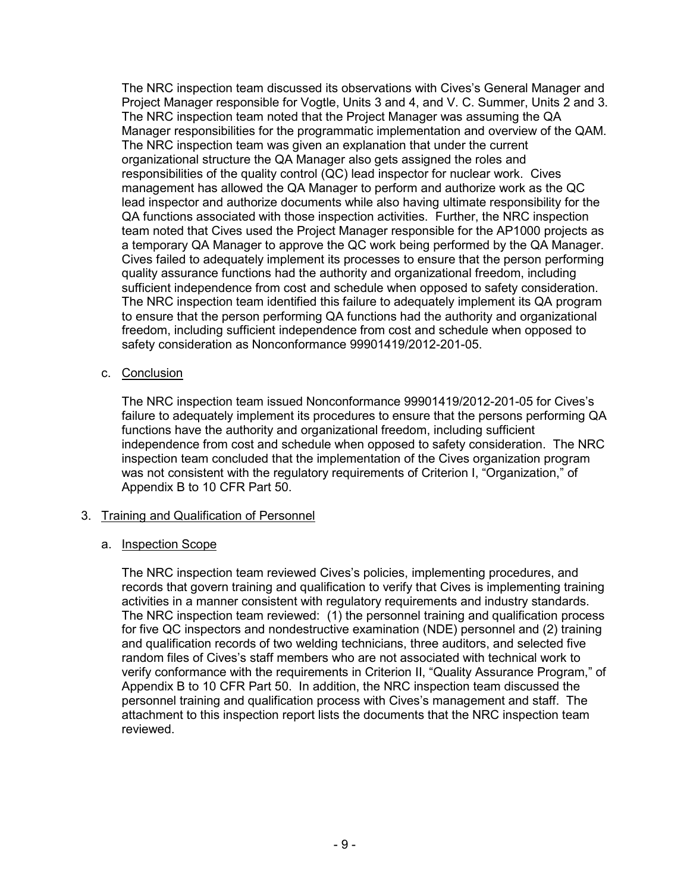The NRC inspection team discussed its observations with Cives's General Manager and Project Manager responsible for Vogtle, Units 3 and 4, and V. C. Summer, Units 2 and 3. The NRC inspection team noted that the Project Manager was assuming the QA Manager responsibilities for the programmatic implementation and overview of the QAM. The NRC inspection team was given an explanation that under the current organizational structure the QA Manager also gets assigned the roles and responsibilities of the quality control (QC) lead inspector for nuclear work. Cives management has allowed the QA Manager to perform and authorize work as the QC lead inspector and authorize documents while also having ultimate responsibility for the QA functions associated with those inspection activities. Further, the NRC inspection team noted that Cives used the Project Manager responsible for the AP1000 projects as a temporary QA Manager to approve the QC work being performed by the QA Manager. Cives failed to adequately implement its processes to ensure that the person performing quality assurance functions had the authority and organizational freedom, including sufficient independence from cost and schedule when opposed to safety consideration. The NRC inspection team identified this failure to adequately implement its QA program to ensure that the person performing QA functions had the authority and organizational freedom, including sufficient independence from cost and schedule when opposed to safety consideration as Nonconformance 99901419/2012-201-05.

c. Conclusion

The NRC inspection team issued Nonconformance 99901419/2012-201-05 for Cives's failure to adequately implement its procedures to ensure that the persons performing QA functions have the authority and organizational freedom, including sufficient independence from cost and schedule when opposed to safety consideration. The NRC inspection team concluded that the implementation of the Cives organization program was not consistent with the regulatory requirements of Criterion I, "Organization," of Appendix B to 10 CFR Part 50.

### 3. Training and Qualification of Personnel

### a. Inspection Scope

The NRC inspection team reviewed Cives's policies, implementing procedures, and records that govern training and qualification to verify that Cives is implementing training activities in a manner consistent with regulatory requirements and industry standards. The NRC inspection team reviewed: (1) the personnel training and qualification process for five QC inspectors and nondestructive examination (NDE) personnel and (2) training and qualification records of two welding technicians, three auditors, and selected five random files of Cives's staff members who are not associated with technical work to verify conformance with the requirements in Criterion II, "Quality Assurance Program," of Appendix B to 10 CFR Part 50. In addition, the NRC inspection team discussed the personnel training and qualification process with Cives's management and staff. The attachment to this inspection report lists the documents that the NRC inspection team reviewed.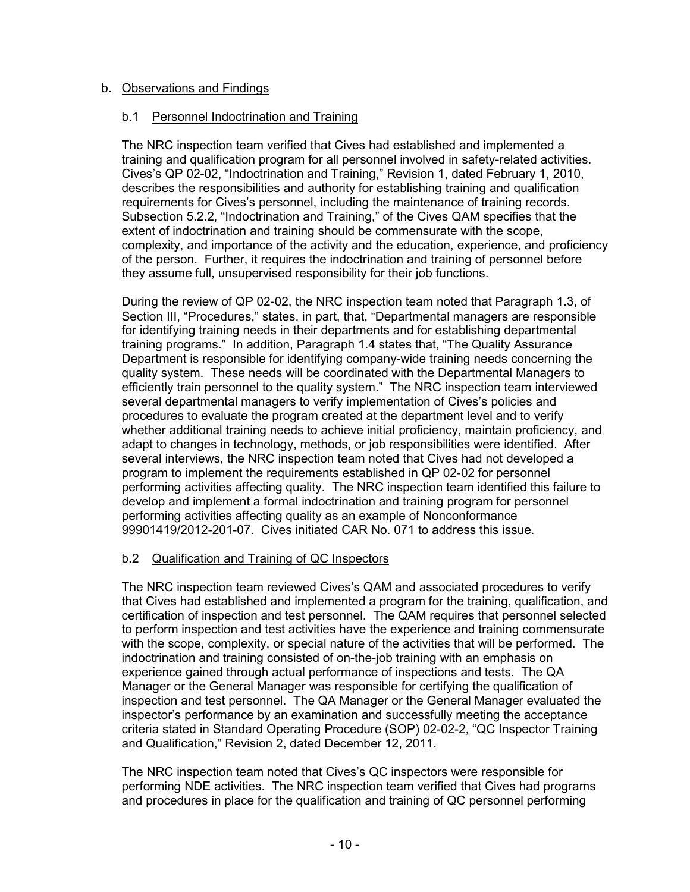# b. Observations and Findings

# b.1 Personnel Indoctrination and Training

The NRC inspection team verified that Cives had established and implemented a training and qualification program for all personnel involved in safety-related activities. Cives's QP 02-02, "Indoctrination and Training," Revision 1, dated February 1, 2010, describes the responsibilities and authority for establishing training and qualification requirements for Cives's personnel, including the maintenance of training records. Subsection 5.2.2, "Indoctrination and Training," of the Cives QAM specifies that the extent of indoctrination and training should be commensurate with the scope, complexity, and importance of the activity and the education, experience, and proficiency of the person. Further, it requires the indoctrination and training of personnel before they assume full, unsupervised responsibility for their job functions.

During the review of QP 02-02, the NRC inspection team noted that Paragraph 1.3, of Section III, "Procedures," states, in part, that, "Departmental managers are responsible for identifying training needs in their departments and for establishing departmental training programs." In addition, Paragraph 1.4 states that, "The Quality Assurance Department is responsible for identifying company-wide training needs concerning the quality system. These needs will be coordinated with the Departmental Managers to efficiently train personnel to the quality system." The NRC inspection team interviewed several departmental managers to verify implementation of Cives's policies and procedures to evaluate the program created at the department level and to verify whether additional training needs to achieve initial proficiency, maintain proficiency, and adapt to changes in technology, methods, or job responsibilities were identified. After several interviews, the NRC inspection team noted that Cives had not developed a program to implement the requirements established in QP 02-02 for personnel performing activities affecting quality. The NRC inspection team identified this failure to develop and implement a formal indoctrination and training program for personnel performing activities affecting quality as an example of Nonconformance 99901419/2012-201-07. Cives initiated CAR No. 071 to address this issue.

# b.2 Qualification and Training of QC Inspectors

The NRC inspection team reviewed Cives's QAM and associated procedures to verify that Cives had established and implemented a program for the training, qualification, and certification of inspection and test personnel. The QAM requires that personnel selected to perform inspection and test activities have the experience and training commensurate with the scope, complexity, or special nature of the activities that will be performed. The indoctrination and training consisted of on-the-job training with an emphasis on experience gained through actual performance of inspections and tests. The QA Manager or the General Manager was responsible for certifying the qualification of inspection and test personnel. The QA Manager or the General Manager evaluated the inspector's performance by an examination and successfully meeting the acceptance criteria stated in Standard Operating Procedure (SOP) 02-02-2, "QC Inspector Training and Qualification," Revision 2, dated December 12, 2011.

The NRC inspection team noted that Cives's QC inspectors were responsible for performing NDE activities. The NRC inspection team verified that Cives had programs and procedures in place for the qualification and training of QC personnel performing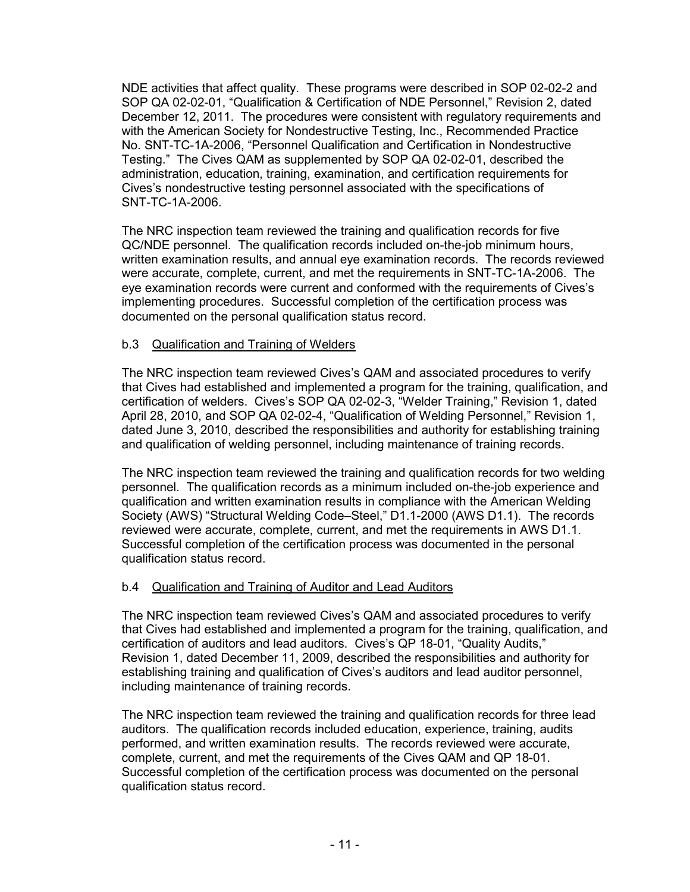NDE activities that affect quality. These programs were described in SOP 02-02-2 and SOP QA 02-02-01, "Qualification & Certification of NDE Personnel," Revision 2, dated December 12, 2011. The procedures were consistent with regulatory requirements and with the American Society for Nondestructive Testing, Inc., Recommended Practice No. SNT-TC-1A-2006, "Personnel Qualification and Certification in Nondestructive Testing." The Cives QAM as supplemented by SOP QA 02-02-01, described the administration, education, training, examination, and certification requirements for Cives's nondestructive testing personnel associated with the specifications of SNT-TC-1A-2006.

The NRC inspection team reviewed the training and qualification records for five QC/NDE personnel. The qualification records included on-the-job minimum hours, written examination results, and annual eye examination records. The records reviewed were accurate, complete, current, and met the requirements in SNT-TC-1A-2006. The eye examination records were current and conformed with the requirements of Cives's implementing procedures. Successful completion of the certification process was documented on the personal qualification status record.

### b.3 Qualification and Training of Welders

The NRC inspection team reviewed Cives's QAM and associated procedures to verify that Cives had established and implemented a program for the training, qualification, and certification of welders. Cives's SOP QA 02-02-3, "Welder Training," Revision 1, dated April 28, 2010, and SOP QA 02-02-4, "Qualification of Welding Personnel," Revision 1, dated June 3, 2010, described the responsibilities and authority for establishing training and qualification of welding personnel, including maintenance of training records.

The NRC inspection team reviewed the training and qualification records for two welding personnel. The qualification records as a minimum included on-the-job experience and qualification and written examination results in compliance with the American Welding Society (AWS) "Structural Welding Code–Steel," D1.1-2000 (AWS D1.1). The records reviewed were accurate, complete, current, and met the requirements in AWS D1.1. Successful completion of the certification process was documented in the personal qualification status record.

### b.4 Qualification and Training of Auditor and Lead Auditors

The NRC inspection team reviewed Cives's QAM and associated procedures to verify that Cives had established and implemented a program for the training, qualification, and certification of auditors and lead auditors. Cives's QP 18-01, "Quality Audits," Revision 1, dated December 11, 2009, described the responsibilities and authority for establishing training and qualification of Cives's auditors and lead auditor personnel, including maintenance of training records.

The NRC inspection team reviewed the training and qualification records for three lead auditors. The qualification records included education, experience, training, audits performed, and written examination results. The records reviewed were accurate, complete, current, and met the requirements of the Cives QAM and QP 18-01. Successful completion of the certification process was documented on the personal qualification status record.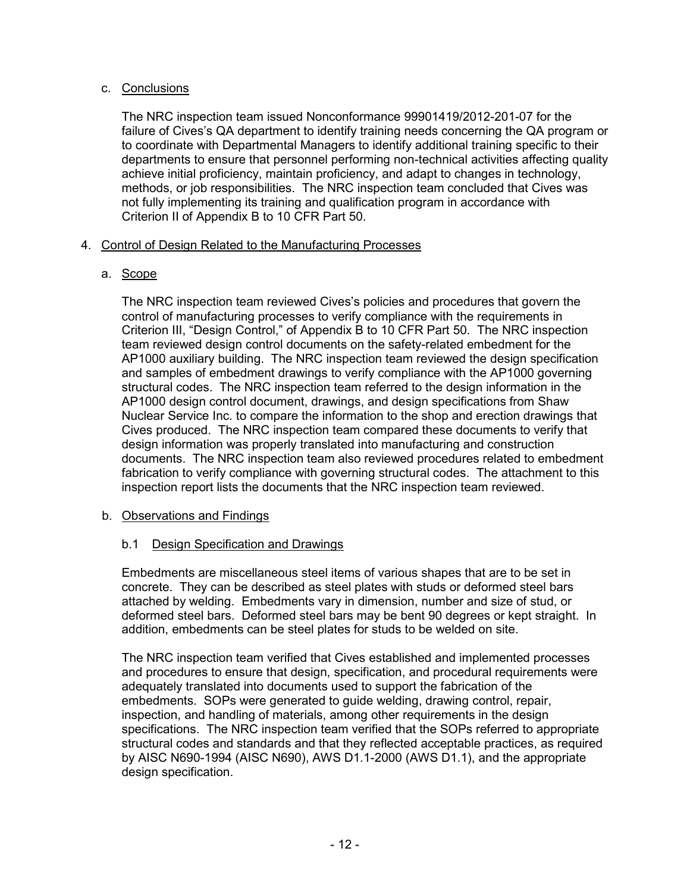# c. Conclusions

The NRC inspection team issued Nonconformance 99901419/2012-201-07 for the failure of Cives's QA department to identify training needs concerning the QA program or to coordinate with Departmental Managers to identify additional training specific to their departments to ensure that personnel performing non-technical activities affecting quality achieve initial proficiency, maintain proficiency, and adapt to changes in technology, methods, or job responsibilities. The NRC inspection team concluded that Cives was not fully implementing its training and qualification program in accordance with Criterion II of Appendix B to 10 CFR Part 50.

# 4. Control of Design Related to the Manufacturing Processes

# a. Scope

The NRC inspection team reviewed Cives's policies and procedures that govern the control of manufacturing processes to verify compliance with the requirements in Criterion III, "Design Control," of Appendix B to 10 CFR Part 50. The NRC inspection team reviewed design control documents on the safety-related embedment for the AP1000 auxiliary building. The NRC inspection team reviewed the design specification and samples of embedment drawings to verify compliance with the AP1000 governing structural codes. The NRC inspection team referred to the design information in the AP1000 design control document, drawings, and design specifications from Shaw Nuclear Service Inc. to compare the information to the shop and erection drawings that Cives produced. The NRC inspection team compared these documents to verify that design information was properly translated into manufacturing and construction documents. The NRC inspection team also reviewed procedures related to embedment fabrication to verify compliance with governing structural codes. The attachment to this inspection report lists the documents that the NRC inspection team reviewed.

### b. Observations and Findings

# b.1 Design Specification and Drawings

Embedments are miscellaneous steel items of various shapes that are to be set in concrete. They can be described as steel plates with studs or deformed steel bars attached by welding. Embedments vary in dimension, number and size of stud, or deformed steel bars. Deformed steel bars may be bent 90 degrees or kept straight. In addition, embedments can be steel plates for studs to be welded on site.

The NRC inspection team verified that Cives established and implemented processes and procedures to ensure that design, specification, and procedural requirements were adequately translated into documents used to support the fabrication of the embedments. SOPs were generated to guide welding, drawing control, repair, inspection, and handling of materials, among other requirements in the design specifications. The NRC inspection team verified that the SOPs referred to appropriate structural codes and standards and that they reflected acceptable practices, as required by AISC N690-1994 (AISC N690), AWS D1.1-2000 (AWS D1.1), and the appropriate design specification.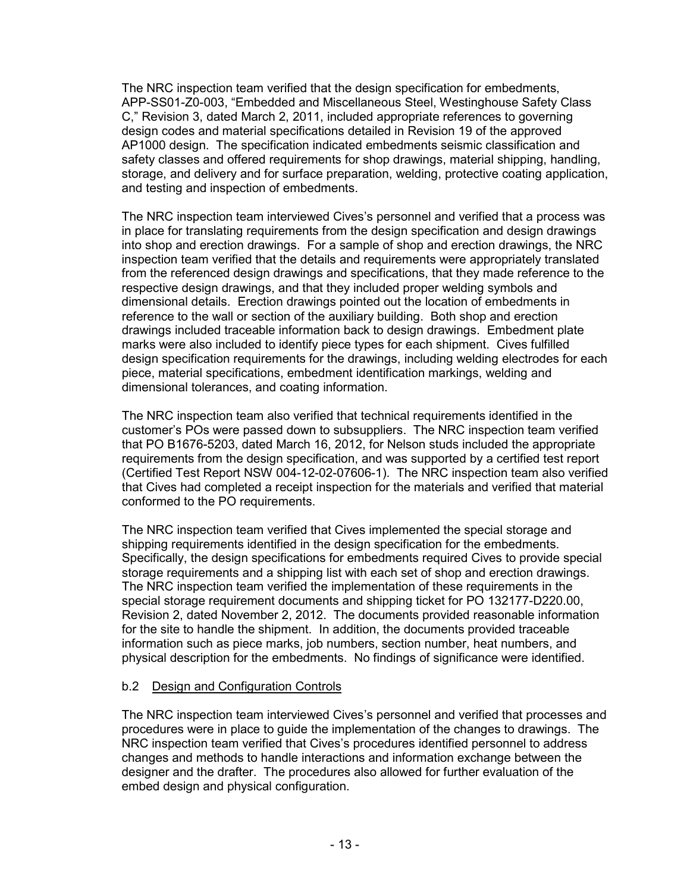The NRC inspection team verified that the design specification for embedments, APP-SS01-Z0-003, "Embedded and Miscellaneous Steel, Westinghouse Safety Class C," Revision 3, dated March 2, 2011, included appropriate references to governing design codes and material specifications detailed in Revision 19 of the approved AP1000 design. The specification indicated embedments seismic classification and safety classes and offered requirements for shop drawings, material shipping, handling, storage, and delivery and for surface preparation, welding, protective coating application, and testing and inspection of embedments.

The NRC inspection team interviewed Cives's personnel and verified that a process was in place for translating requirements from the design specification and design drawings into shop and erection drawings. For a sample of shop and erection drawings, the NRC inspection team verified that the details and requirements were appropriately translated from the referenced design drawings and specifications, that they made reference to the respective design drawings, and that they included proper welding symbols and dimensional details. Erection drawings pointed out the location of embedments in reference to the wall or section of the auxiliary building. Both shop and erection drawings included traceable information back to design drawings. Embedment plate marks were also included to identify piece types for each shipment. Cives fulfilled design specification requirements for the drawings, including welding electrodes for each piece, material specifications, embedment identification markings, welding and dimensional tolerances, and coating information.

The NRC inspection team also verified that technical requirements identified in the customer's POs were passed down to subsuppliers. The NRC inspection team verified that PO B1676-5203, dated March 16, 2012, for Nelson studs included the appropriate requirements from the design specification, and was supported by a certified test report (Certified Test Report NSW 004-12-02-07606-1). The NRC inspection team also verified that Cives had completed a receipt inspection for the materials and verified that material conformed to the PO requirements.

The NRC inspection team verified that Cives implemented the special storage and shipping requirements identified in the design specification for the embedments. Specifically, the design specifications for embedments required Cives to provide special storage requirements and a shipping list with each set of shop and erection drawings. The NRC inspection team verified the implementation of these requirements in the special storage requirement documents and shipping ticket for PO 132177-D220.00, Revision 2, dated November 2, 2012. The documents provided reasonable information for the site to handle the shipment. In addition, the documents provided traceable information such as piece marks, job numbers, section number, heat numbers, and physical description for the embedments. No findings of significance were identified.

### b.2 Design and Configuration Controls

The NRC inspection team interviewed Cives's personnel and verified that processes and procedures were in place to guide the implementation of the changes to drawings. The NRC inspection team verified that Cives's procedures identified personnel to address changes and methods to handle interactions and information exchange between the designer and the drafter. The procedures also allowed for further evaluation of the embed design and physical configuration.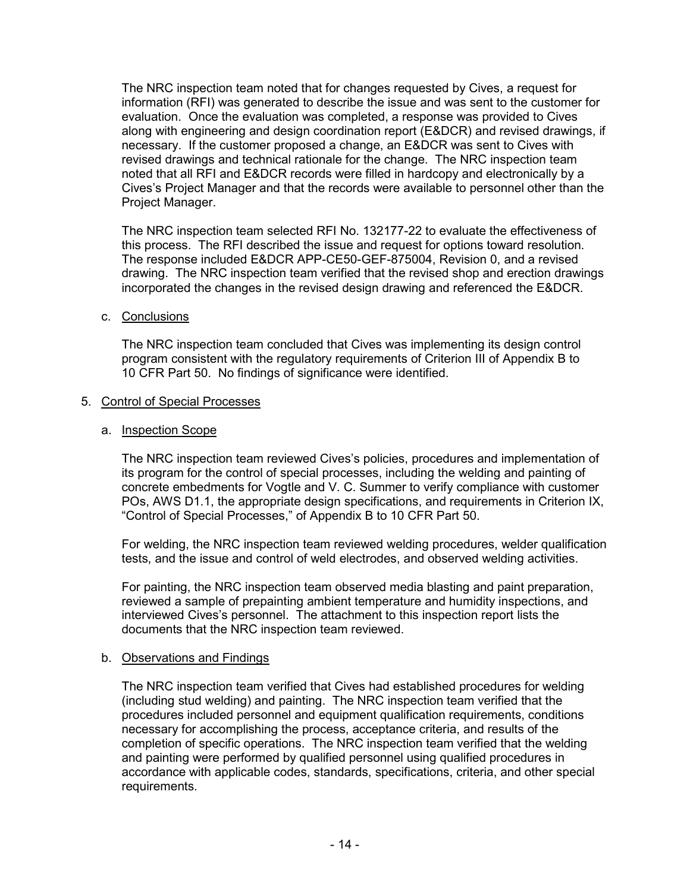The NRC inspection team noted that for changes requested by Cives, a request for information (RFI) was generated to describe the issue and was sent to the customer for evaluation. Once the evaluation was completed, a response was provided to Cives along with engineering and design coordination report (E&DCR) and revised drawings, if necessary. If the customer proposed a change, an E&DCR was sent to Cives with revised drawings and technical rationale for the change. The NRC inspection team noted that all RFI and E&DCR records were filled in hardcopy and electronically by a Cives's Project Manager and that the records were available to personnel other than the Project Manager.

The NRC inspection team selected RFI No. 132177-22 to evaluate the effectiveness of this process. The RFI described the issue and request for options toward resolution. The response included E&DCR APP-CE50-GEF-875004, Revision 0, and a revised drawing. The NRC inspection team verified that the revised shop and erection drawings incorporated the changes in the revised design drawing and referenced the E&DCR.

### c. Conclusions

The NRC inspection team concluded that Cives was implementing its design control program consistent with the regulatory requirements of Criterion III of Appendix B to 10 CFR Part 50. No findings of significance were identified.

### 5. Control of Special Processes

### a. Inspection Scope

The NRC inspection team reviewed Cives's policies, procedures and implementation of its program for the control of special processes, including the welding and painting of concrete embedments for Vogtle and V. C. Summer to verify compliance with customer POs, AWS D1.1, the appropriate design specifications, and requirements in Criterion IX, "Control of Special Processes," of Appendix B to 10 CFR Part 50.

For welding, the NRC inspection team reviewed welding procedures, welder qualification tests, and the issue and control of weld electrodes, and observed welding activities.

For painting, the NRC inspection team observed media blasting and paint preparation, reviewed a sample of prepainting ambient temperature and humidity inspections, and interviewed Cives's personnel. The attachment to this inspection report lists the documents that the NRC inspection team reviewed.

#### b. Observations and Findings

The NRC inspection team verified that Cives had established procedures for welding (including stud welding) and painting. The NRC inspection team verified that the procedures included personnel and equipment qualification requirements, conditions necessary for accomplishing the process, acceptance criteria, and results of the completion of specific operations. The NRC inspection team verified that the welding and painting were performed by qualified personnel using qualified procedures in accordance with applicable codes, standards, specifications, criteria, and other special requirements.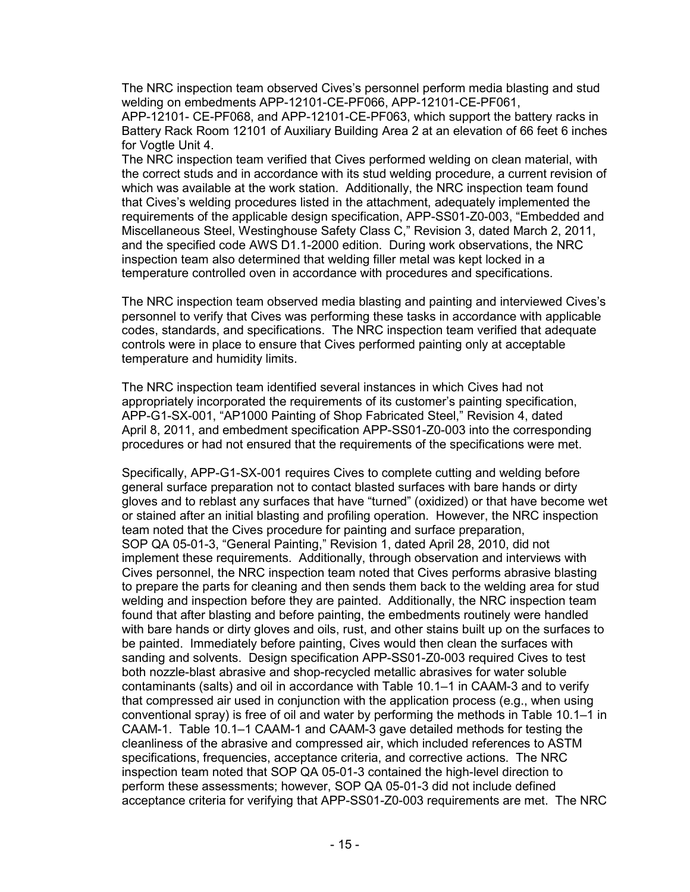The NRC inspection team observed Cives's personnel perform media blasting and stud welding on embedments APP-12101-CE-PF066, APP-12101-CE-PF061,

APP-12101- CE-PF068, and APP-12101-CE-PF063, which support the battery racks in Battery Rack Room 12101 of Auxiliary Building Area 2 at an elevation of 66 feet 6 inches for Vogtle Unit 4.

The NRC inspection team verified that Cives performed welding on clean material, with the correct studs and in accordance with its stud welding procedure, a current revision of which was available at the work station. Additionally, the NRC inspection team found that Cives's welding procedures listed in the attachment, adequately implemented the requirements of the applicable design specification, APP-SS01-Z0-003, "Embedded and Miscellaneous Steel, Westinghouse Safety Class C," Revision 3, dated March 2, 2011, and the specified code AWS D1.1-2000 edition. During work observations, the NRC inspection team also determined that welding filler metal was kept locked in a temperature controlled oven in accordance with procedures and specifications.

The NRC inspection team observed media blasting and painting and interviewed Cives's personnel to verify that Cives was performing these tasks in accordance with applicable codes, standards, and specifications. The NRC inspection team verified that adequate controls were in place to ensure that Cives performed painting only at acceptable temperature and humidity limits.

The NRC inspection team identified several instances in which Cives had not appropriately incorporated the requirements of its customer's painting specification, APP-G1-SX-001, "AP1000 Painting of Shop Fabricated Steel," Revision 4, dated April 8, 2011, and embedment specification APP-SS01-Z0-003 into the corresponding procedures or had not ensured that the requirements of the specifications were met.

Specifically, APP-G1-SX-001 requires Cives to complete cutting and welding before general surface preparation not to contact blasted surfaces with bare hands or dirty gloves and to reblast any surfaces that have "turned" (oxidized) or that have become wet or stained after an initial blasting and profiling operation. However, the NRC inspection team noted that the Cives procedure for painting and surface preparation, SOP QA 05-01-3, "General Painting," Revision 1, dated April 28, 2010, did not implement these requirements. Additionally, through observation and interviews with Cives personnel, the NRC inspection team noted that Cives performs abrasive blasting to prepare the parts for cleaning and then sends them back to the welding area for stud welding and inspection before they are painted. Additionally, the NRC inspection team found that after blasting and before painting, the embedments routinely were handled with bare hands or dirty gloves and oils, rust, and other stains built up on the surfaces to be painted. Immediately before painting, Cives would then clean the surfaces with sanding and solvents. Design specification APP-SS01-Z0-003 required Cives to test both nozzle-blast abrasive and shop-recycled metallic abrasives for water soluble contaminants (salts) and oil in accordance with Table 10.1–1 in CAAM-3 and to verify that compressed air used in conjunction with the application process (e.g., when using conventional spray) is free of oil and water by performing the methods in Table 10.1–1 in CAAM-1. Table 10.1–1 CAAM-1 and CAAM-3 gave detailed methods for testing the cleanliness of the abrasive and compressed air, which included references to ASTM specifications, frequencies, acceptance criteria, and corrective actions. The NRC inspection team noted that SOP QA 05-01-3 contained the high-level direction to perform these assessments; however, SOP QA 05-01-3 did not include defined acceptance criteria for verifying that APP-SS01-Z0-003 requirements are met. The NRC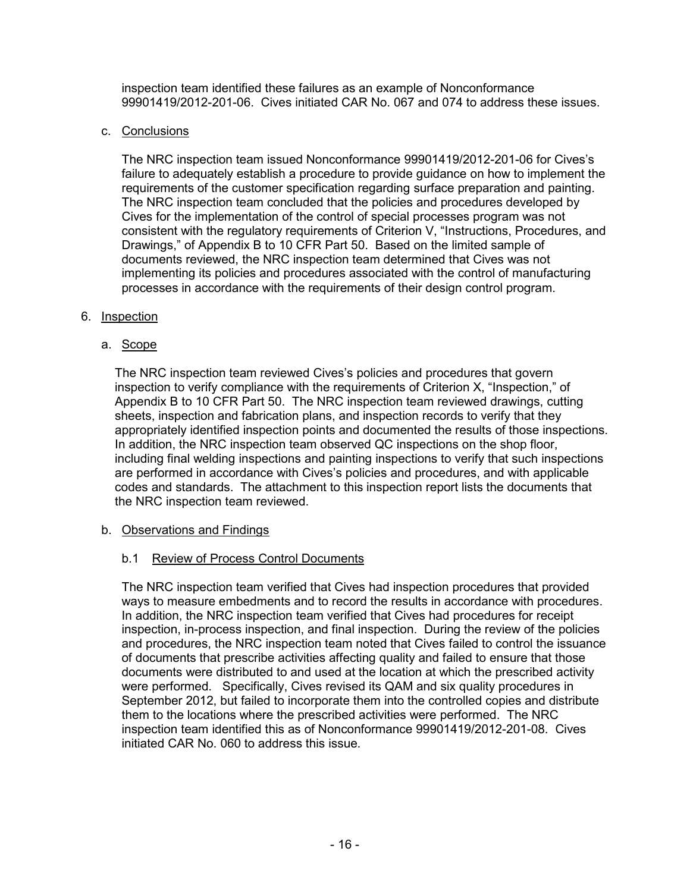inspection team identified these failures as an example of Nonconformance 99901419/2012-201-06. Cives initiated CAR No. 067 and 074 to address these issues.

### c. Conclusions

The NRC inspection team issued Nonconformance 99901419/2012-201-06 for Cives's failure to adequately establish a procedure to provide guidance on how to implement the requirements of the customer specification regarding surface preparation and painting. The NRC inspection team concluded that the policies and procedures developed by Cives for the implementation of the control of special processes program was not consistent with the regulatory requirements of Criterion V, "Instructions, Procedures, and Drawings," of Appendix B to 10 CFR Part 50. Based on the limited sample of documents reviewed, the NRC inspection team determined that Cives was not implementing its policies and procedures associated with the control of manufacturing processes in accordance with the requirements of their design control program.

### 6. Inspection

# a. Scope

The NRC inspection team reviewed Cives's policies and procedures that govern inspection to verify compliance with the requirements of Criterion X, "Inspection," of Appendix B to 10 CFR Part 50. The NRC inspection team reviewed drawings, cutting sheets, inspection and fabrication plans, and inspection records to verify that they appropriately identified inspection points and documented the results of those inspections. In addition, the NRC inspection team observed QC inspections on the shop floor, including final welding inspections and painting inspections to verify that such inspections are performed in accordance with Cives's policies and procedures, and with applicable codes and standards. The attachment to this inspection report lists the documents that the NRC inspection team reviewed.

# b. Observations and Findings

# b.1 Review of Process Control Documents

The NRC inspection team verified that Cives had inspection procedures that provided ways to measure embedments and to record the results in accordance with procedures. In addition, the NRC inspection team verified that Cives had procedures for receipt inspection, in-process inspection, and final inspection. During the review of the policies and procedures, the NRC inspection team noted that Cives failed to control the issuance of documents that prescribe activities affecting quality and failed to ensure that those documents were distributed to and used at the location at which the prescribed activity were performed. Specifically, Cives revised its QAM and six quality procedures in September 2012, but failed to incorporate them into the controlled copies and distribute them to the locations where the prescribed activities were performed. The NRC inspection team identified this as of Nonconformance 99901419/2012-201-08. Cives initiated CAR No. 060 to address this issue.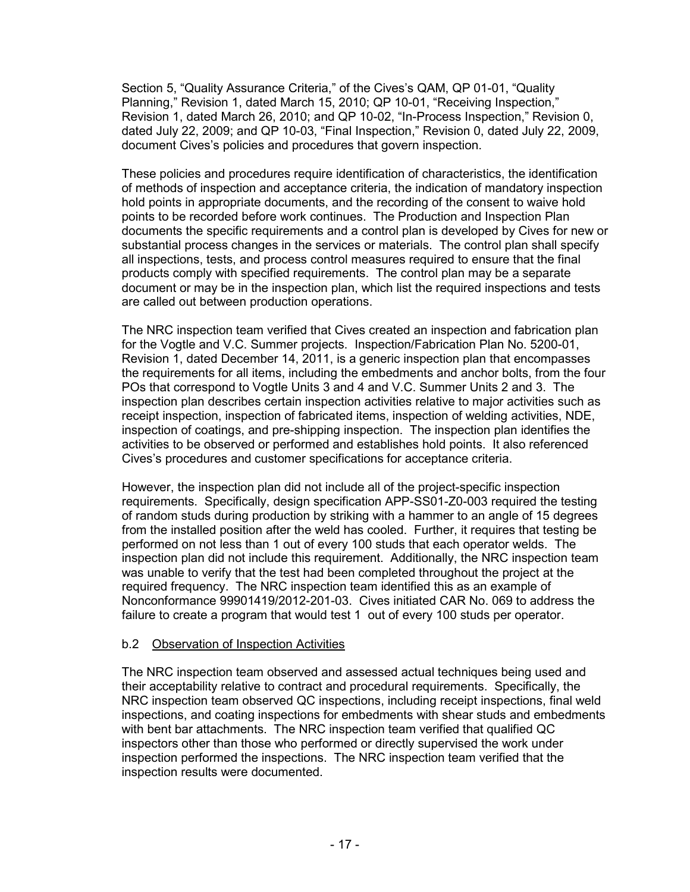Section 5, "Quality Assurance Criteria," of the Cives's QAM, QP 01-01, "Quality Planning," Revision 1, dated March 15, 2010; QP 10-01, "Receiving Inspection," Revision 1, dated March 26, 2010; and QP 10-02, "In-Process Inspection," Revision 0, dated July 22, 2009; and QP 10-03, "Final Inspection," Revision 0, dated July 22, 2009, document Cives's policies and procedures that govern inspection.

These policies and procedures require identification of characteristics, the identification of methods of inspection and acceptance criteria, the indication of mandatory inspection hold points in appropriate documents, and the recording of the consent to waive hold points to be recorded before work continues. The Production and Inspection Plan documents the specific requirements and a control plan is developed by Cives for new or substantial process changes in the services or materials. The control plan shall specify all inspections, tests, and process control measures required to ensure that the final products comply with specified requirements. The control plan may be a separate document or may be in the inspection plan, which list the required inspections and tests are called out between production operations.

The NRC inspection team verified that Cives created an inspection and fabrication plan for the Vogtle and V.C. Summer projects. Inspection/Fabrication Plan No. 5200-01, Revision 1, dated December 14, 2011, is a generic inspection plan that encompasses the requirements for all items, including the embedments and anchor bolts, from the four POs that correspond to Vogtle Units 3 and 4 and V.C. Summer Units 2 and 3. The inspection plan describes certain inspection activities relative to major activities such as receipt inspection, inspection of fabricated items, inspection of welding activities, NDE, inspection of coatings, and pre-shipping inspection. The inspection plan identifies the activities to be observed or performed and establishes hold points. It also referenced Cives's procedures and customer specifications for acceptance criteria.

However, the inspection plan did not include all of the project-specific inspection requirements. Specifically, design specification APP-SS01-Z0-003 required the testing of random studs during production by striking with a hammer to an angle of 15 degrees from the installed position after the weld has cooled. Further, it requires that testing be performed on not less than 1 out of every 100 studs that each operator welds. The inspection plan did not include this requirement. Additionally, the NRC inspection team was unable to verify that the test had been completed throughout the project at the required frequency. The NRC inspection team identified this as an example of Nonconformance 99901419/2012-201-03. Cives initiated CAR No. 069 to address the failure to create a program that would test 1 out of every 100 studs per operator.

# b.2 Observation of Inspection Activities

The NRC inspection team observed and assessed actual techniques being used and their acceptability relative to contract and procedural requirements. Specifically, the NRC inspection team observed QC inspections, including receipt inspections, final weld inspections, and coating inspections for embedments with shear studs and embedments with bent bar attachments. The NRC inspection team verified that qualified QC inspectors other than those who performed or directly supervised the work under inspection performed the inspections. The NRC inspection team verified that the inspection results were documented.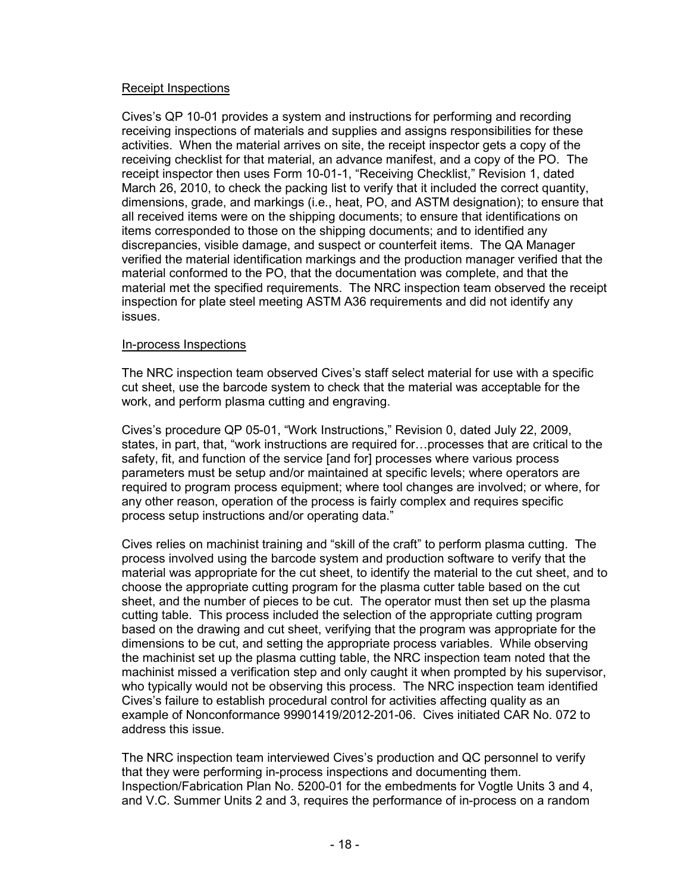### Receipt Inspections

Cives's QP 10-01 provides a system and instructions for performing and recording receiving inspections of materials and supplies and assigns responsibilities for these activities. When the material arrives on site, the receipt inspector gets a copy of the receiving checklist for that material, an advance manifest, and a copy of the PO. The receipt inspector then uses Form 10-01-1, "Receiving Checklist," Revision 1, dated March 26, 2010, to check the packing list to verify that it included the correct quantity, dimensions, grade, and markings (i.e., heat, PO, and ASTM designation); to ensure that all received items were on the shipping documents; to ensure that identifications on items corresponded to those on the shipping documents; and to identified any discrepancies, visible damage, and suspect or counterfeit items. The QA Manager verified the material identification markings and the production manager verified that the material conformed to the PO, that the documentation was complete, and that the material met the specified requirements. The NRC inspection team observed the receipt inspection for plate steel meeting ASTM A36 requirements and did not identify any issues.

### In-process Inspections

The NRC inspection team observed Cives's staff select material for use with a specific cut sheet, use the barcode system to check that the material was acceptable for the work, and perform plasma cutting and engraving.

Cives's procedure QP 05-01, "Work Instructions," Revision 0, dated July 22, 2009, states, in part, that, "work instructions are required for…processes that are critical to the safety, fit, and function of the service [and for] processes where various process parameters must be setup and/or maintained at specific levels; where operators are required to program process equipment; where tool changes are involved; or where, for any other reason, operation of the process is fairly complex and requires specific process setup instructions and/or operating data."

Cives relies on machinist training and "skill of the craft" to perform plasma cutting. The process involved using the barcode system and production software to verify that the material was appropriate for the cut sheet, to identify the material to the cut sheet, and to choose the appropriate cutting program for the plasma cutter table based on the cut sheet, and the number of pieces to be cut. The operator must then set up the plasma cutting table. This process included the selection of the appropriate cutting program based on the drawing and cut sheet, verifying that the program was appropriate for the dimensions to be cut, and setting the appropriate process variables. While observing the machinist set up the plasma cutting table, the NRC inspection team noted that the machinist missed a verification step and only caught it when prompted by his supervisor, who typically would not be observing this process. The NRC inspection team identified Cives's failure to establish procedural control for activities affecting quality as an example of Nonconformance 99901419/2012-201-06. Cives initiated CAR No. 072 to address this issue.

The NRC inspection team interviewed Cives's production and QC personnel to verify that they were performing in-process inspections and documenting them. Inspection/Fabrication Plan No. 5200-01 for the embedments for Vogtle Units 3 and 4, and V.C. Summer Units 2 and 3, requires the performance of in-process on a random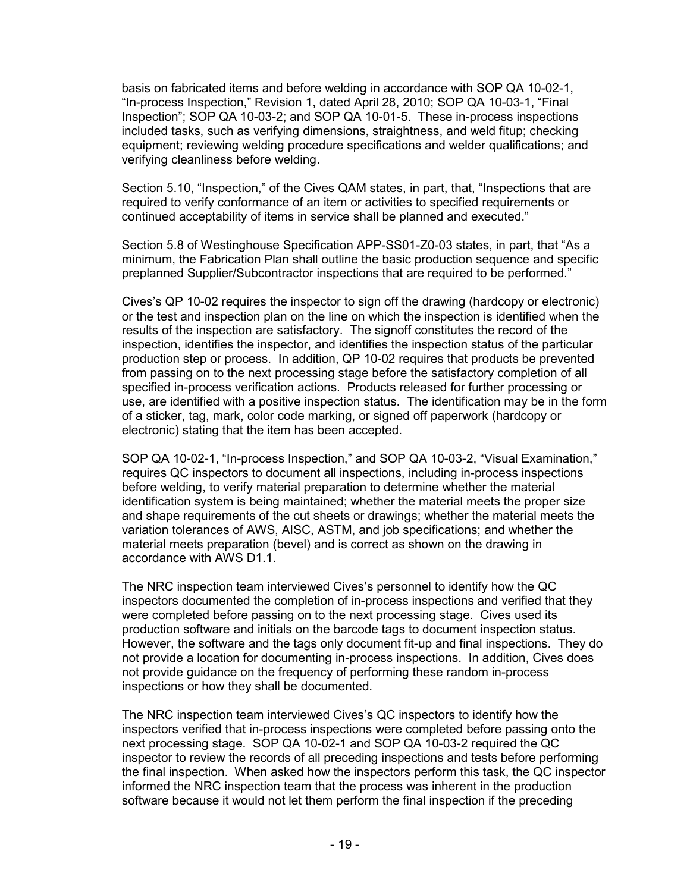basis on fabricated items and before welding in accordance with SOP QA 10-02-1, "In-process Inspection," Revision 1, dated April 28, 2010; SOP QA 10-03-1, "Final Inspection"; SOP QA 10-03-2; and SOP QA 10-01-5. These in-process inspections included tasks, such as verifying dimensions, straightness, and weld fitup; checking equipment; reviewing welding procedure specifications and welder qualifications; and verifying cleanliness before welding.

Section 5.10, "Inspection," of the Cives QAM states, in part, that, "Inspections that are required to verify conformance of an item or activities to specified requirements or continued acceptability of items in service shall be planned and executed."

Section 5.8 of Westinghouse Specification APP-SS01-Z0-03 states, in part, that "As a minimum, the Fabrication Plan shall outline the basic production sequence and specific preplanned Supplier/Subcontractor inspections that are required to be performed."

Cives's QP 10-02 requires the inspector to sign off the drawing (hardcopy or electronic) or the test and inspection plan on the line on which the inspection is identified when the results of the inspection are satisfactory. The signoff constitutes the record of the inspection, identifies the inspector, and identifies the inspection status of the particular production step or process. In addition, QP 10-02 requires that products be prevented from passing on to the next processing stage before the satisfactory completion of all specified in-process verification actions. Products released for further processing or use, are identified with a positive inspection status. The identification may be in the form of a sticker, tag, mark, color code marking, or signed off paperwork (hardcopy or electronic) stating that the item has been accepted.

SOP QA 10-02-1, "In-process Inspection," and SOP QA 10-03-2, "Visual Examination," requires QC inspectors to document all inspections, including in-process inspections before welding, to verify material preparation to determine whether the material identification system is being maintained; whether the material meets the proper size and shape requirements of the cut sheets or drawings; whether the material meets the variation tolerances of AWS, AISC, ASTM, and job specifications; and whether the material meets preparation (bevel) and is correct as shown on the drawing in accordance with AWS D1.1.

The NRC inspection team interviewed Cives's personnel to identify how the QC inspectors documented the completion of in-process inspections and verified that they were completed before passing on to the next processing stage. Cives used its production software and initials on the barcode tags to document inspection status. However, the software and the tags only document fit-up and final inspections. They do not provide a location for documenting in-process inspections. In addition, Cives does not provide guidance on the frequency of performing these random in-process inspections or how they shall be documented.

The NRC inspection team interviewed Cives's QC inspectors to identify how the inspectors verified that in-process inspections were completed before passing onto the next processing stage. SOP QA 10-02-1 and SOP QA 10-03-2 required the QC inspector to review the records of all preceding inspections and tests before performing the final inspection. When asked how the inspectors perform this task, the QC inspector informed the NRC inspection team that the process was inherent in the production software because it would not let them perform the final inspection if the preceding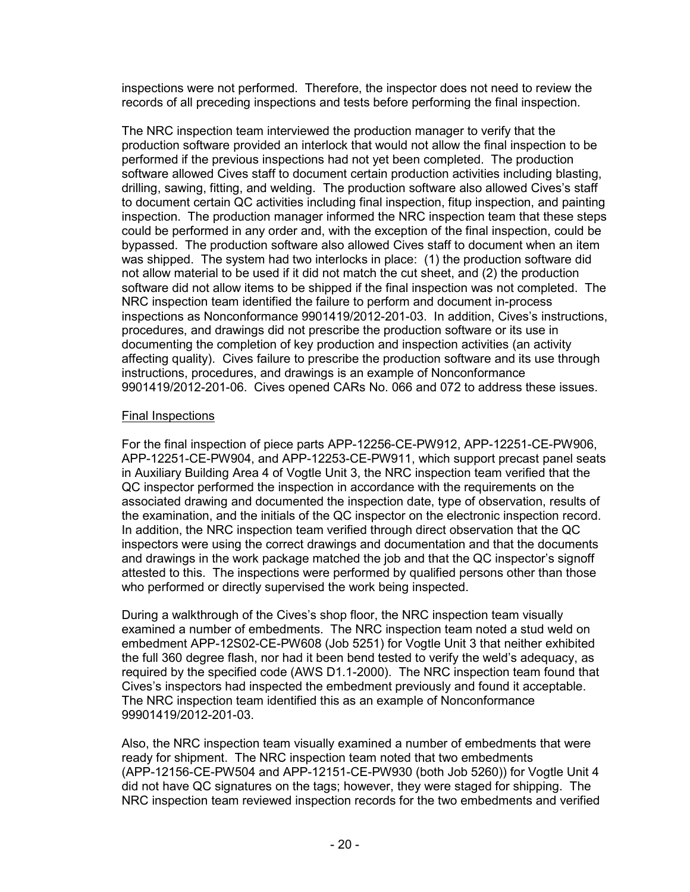inspections were not performed. Therefore, the inspector does not need to review the records of all preceding inspections and tests before performing the final inspection.

The NRC inspection team interviewed the production manager to verify that the production software provided an interlock that would not allow the final inspection to be performed if the previous inspections had not yet been completed. The production software allowed Cives staff to document certain production activities including blasting, drilling, sawing, fitting, and welding. The production software also allowed Cives's staff to document certain QC activities including final inspection, fitup inspection, and painting inspection. The production manager informed the NRC inspection team that these steps could be performed in any order and, with the exception of the final inspection, could be bypassed. The production software also allowed Cives staff to document when an item was shipped. The system had two interlocks in place: (1) the production software did not allow material to be used if it did not match the cut sheet, and (2) the production software did not allow items to be shipped if the final inspection was not completed. The NRC inspection team identified the failure to perform and document in-process inspections as Nonconformance 9901419/2012-201-03. In addition, Cives's instructions, procedures, and drawings did not prescribe the production software or its use in documenting the completion of key production and inspection activities (an activity affecting quality). Cives failure to prescribe the production software and its use through instructions, procedures, and drawings is an example of Nonconformance 9901419/2012-201-06. Cives opened CARs No. 066 and 072 to address these issues.

### Final Inspections

For the final inspection of piece parts APP-12256-CE-PW912, APP-12251-CE-PW906, APP-12251-CE-PW904, and APP-12253-CE-PW911, which support precast panel seats in Auxiliary Building Area 4 of Vogtle Unit 3, the NRC inspection team verified that the QC inspector performed the inspection in accordance with the requirements on the associated drawing and documented the inspection date, type of observation, results of the examination, and the initials of the QC inspector on the electronic inspection record. In addition, the NRC inspection team verified through direct observation that the QC inspectors were using the correct drawings and documentation and that the documents and drawings in the work package matched the job and that the QC inspector's signoff attested to this. The inspections were performed by qualified persons other than those who performed or directly supervised the work being inspected.

During a walkthrough of the Cives's shop floor, the NRC inspection team visually examined a number of embedments. The NRC inspection team noted a stud weld on embedment APP-12S02-CE-PW608 (Job 5251) for Vogtle Unit 3 that neither exhibited the full 360 degree flash, nor had it been bend tested to verify the weld's adequacy, as required by the specified code (AWS D1.1-2000). The NRC inspection team found that Cives's inspectors had inspected the embedment previously and found it acceptable. The NRC inspection team identified this as an example of Nonconformance 99901419/2012-201-03.

Also, the NRC inspection team visually examined a number of embedments that were ready for shipment. The NRC inspection team noted that two embedments (APP-12156-CE-PW504 and APP-12151-CE-PW930 (both Job 5260)) for Vogtle Unit 4 did not have QC signatures on the tags; however, they were staged for shipping. The NRC inspection team reviewed inspection records for the two embedments and verified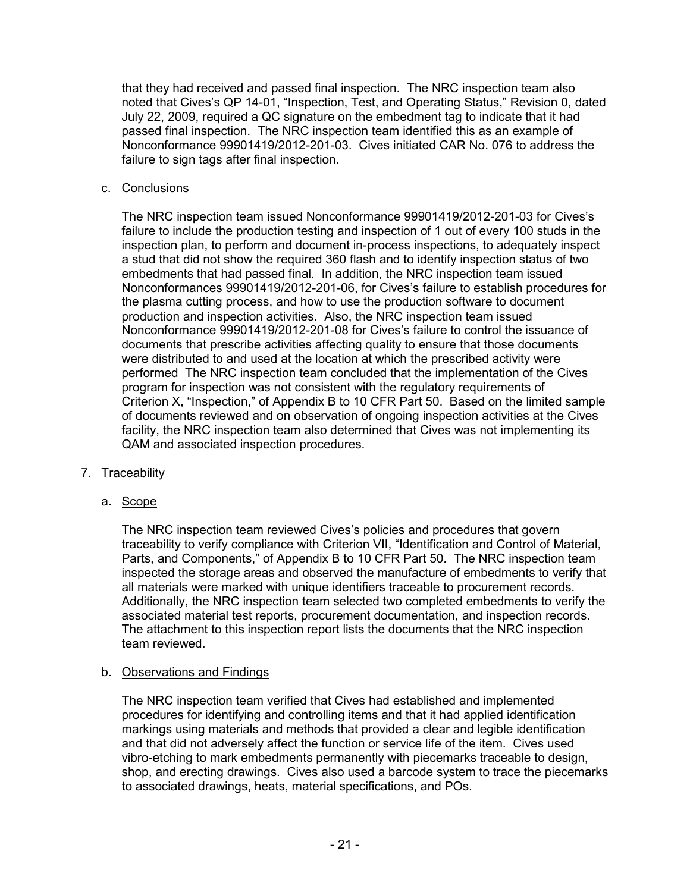that they had received and passed final inspection. The NRC inspection team also noted that Cives's QP 14-01, "Inspection, Test, and Operating Status," Revision 0, dated July 22, 2009, required a QC signature on the embedment tag to indicate that it had passed final inspection. The NRC inspection team identified this as an example of Nonconformance 99901419/2012-201-03. Cives initiated CAR No. 076 to address the failure to sign tags after final inspection.

## c. Conclusions

The NRC inspection team issued Nonconformance 99901419/2012-201-03 for Cives's failure to include the production testing and inspection of 1 out of every 100 studs in the inspection plan, to perform and document in-process inspections, to adequately inspect a stud that did not show the required 360 flash and to identify inspection status of two embedments that had passed final. In addition, the NRC inspection team issued Nonconformances 99901419/2012-201-06, for Cives's failure to establish procedures for the plasma cutting process, and how to use the production software to document production and inspection activities. Also, the NRC inspection team issued Nonconformance 99901419/2012-201-08 for Cives's failure to control the issuance of documents that prescribe activities affecting quality to ensure that those documents were distributed to and used at the location at which the prescribed activity were performed The NRC inspection team concluded that the implementation of the Cives program for inspection was not consistent with the regulatory requirements of Criterion X, "Inspection," of Appendix B to 10 CFR Part 50. Based on the limited sample of documents reviewed and on observation of ongoing inspection activities at the Cives facility, the NRC inspection team also determined that Cives was not implementing its QAM and associated inspection procedures.

### 7. Traceability

# a. Scope

The NRC inspection team reviewed Cives's policies and procedures that govern traceability to verify compliance with Criterion VII, "Identification and Control of Material, Parts, and Components," of Appendix B to 10 CFR Part 50. The NRC inspection team inspected the storage areas and observed the manufacture of embedments to verify that all materials were marked with unique identifiers traceable to procurement records. Additionally, the NRC inspection team selected two completed embedments to verify the associated material test reports, procurement documentation, and inspection records. The attachment to this inspection report lists the documents that the NRC inspection team reviewed.

### b. Observations and Findings

The NRC inspection team verified that Cives had established and implemented procedures for identifying and controlling items and that it had applied identification markings using materials and methods that provided a clear and legible identification and that did not adversely affect the function or service life of the item. Cives used vibro-etching to mark embedments permanently with piecemarks traceable to design, shop, and erecting drawings. Cives also used a barcode system to trace the piecemarks to associated drawings, heats, material specifications, and POs.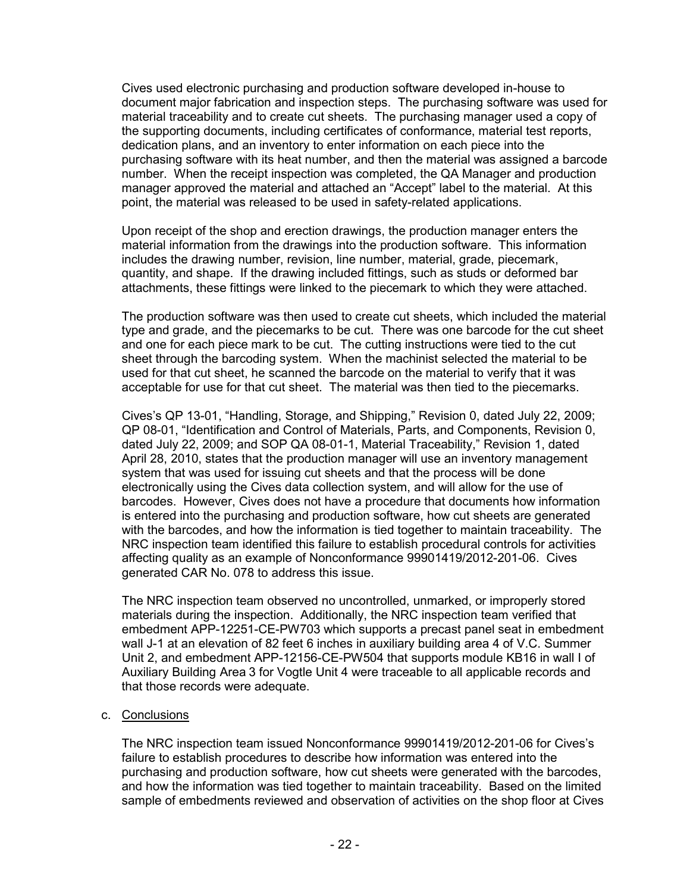Cives used electronic purchasing and production software developed in-house to document major fabrication and inspection steps. The purchasing software was used for material traceability and to create cut sheets. The purchasing manager used a copy of the supporting documents, including certificates of conformance, material test reports, dedication plans, and an inventory to enter information on each piece into the purchasing software with its heat number, and then the material was assigned a barcode number. When the receipt inspection was completed, the QA Manager and production manager approved the material and attached an "Accept" label to the material. At this point, the material was released to be used in safety-related applications.

Upon receipt of the shop and erection drawings, the production manager enters the material information from the drawings into the production software. This information includes the drawing number, revision, line number, material, grade, piecemark, quantity, and shape. If the drawing included fittings, such as studs or deformed bar attachments, these fittings were linked to the piecemark to which they were attached.

The production software was then used to create cut sheets, which included the material type and grade, and the piecemarks to be cut. There was one barcode for the cut sheet and one for each piece mark to be cut. The cutting instructions were tied to the cut sheet through the barcoding system. When the machinist selected the material to be used for that cut sheet, he scanned the barcode on the material to verify that it was acceptable for use for that cut sheet. The material was then tied to the piecemarks.

Cives's QP 13-01, "Handling, Storage, and Shipping," Revision 0, dated July 22, 2009; QP 08-01, "Identification and Control of Materials, Parts, and Components, Revision 0, dated July 22, 2009; and SOP QA 08-01-1, Material Traceability," Revision 1, dated April 28, 2010, states that the production manager will use an inventory management system that was used for issuing cut sheets and that the process will be done electronically using the Cives data collection system, and will allow for the use of barcodes. However, Cives does not have a procedure that documents how information is entered into the purchasing and production software, how cut sheets are generated with the barcodes, and how the information is tied together to maintain traceability. The NRC inspection team identified this failure to establish procedural controls for activities affecting quality as an example of Nonconformance 99901419/2012-201-06. Cives generated CAR No. 078 to address this issue.

The NRC inspection team observed no uncontrolled, unmarked, or improperly stored materials during the inspection. Additionally, the NRC inspection team verified that embedment APP-12251-CE-PW703 which supports a precast panel seat in embedment wall J-1 at an elevation of 82 feet 6 inches in auxiliary building area 4 of V.C. Summer Unit 2, and embedment APP-12156-CE-PW504 that supports module KB16 in wall I of Auxiliary Building Area 3 for Vogtle Unit 4 were traceable to all applicable records and that those records were adequate.

### c. Conclusions

The NRC inspection team issued Nonconformance 99901419/2012-201-06 for Cives's failure to establish procedures to describe how information was entered into the purchasing and production software, how cut sheets were generated with the barcodes, and how the information was tied together to maintain traceability. Based on the limited sample of embedments reviewed and observation of activities on the shop floor at Cives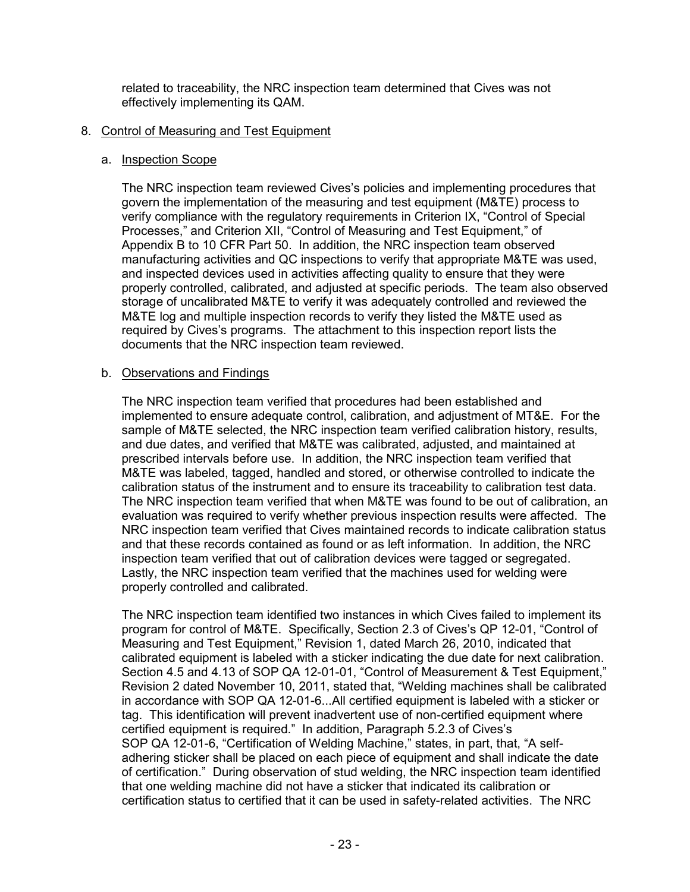related to traceability, the NRC inspection team determined that Cives was not effectively implementing its QAM.

### 8. Control of Measuring and Test Equipment

#### a. Inspection Scope

The NRC inspection team reviewed Cives's policies and implementing procedures that govern the implementation of the measuring and test equipment (M&TE) process to verify compliance with the regulatory requirements in Criterion IX, "Control of Special Processes," and Criterion XII, "Control of Measuring and Test Equipment," of Appendix B to 10 CFR Part 50. In addition, the NRC inspection team observed manufacturing activities and QC inspections to verify that appropriate M&TE was used, and inspected devices used in activities affecting quality to ensure that they were properly controlled, calibrated, and adjusted at specific periods. The team also observed storage of uncalibrated M&TE to verify it was adequately controlled and reviewed the M&TE log and multiple inspection records to verify they listed the M&TE used as required by Cives's programs. The attachment to this inspection report lists the documents that the NRC inspection team reviewed.

### b. Observations and Findings

The NRC inspection team verified that procedures had been established and implemented to ensure adequate control, calibration, and adjustment of MT&E. For the sample of M&TE selected, the NRC inspection team verified calibration history, results, and due dates, and verified that M&TE was calibrated, adjusted, and maintained at prescribed intervals before use. In addition, the NRC inspection team verified that M&TE was labeled, tagged, handled and stored, or otherwise controlled to indicate the calibration status of the instrument and to ensure its traceability to calibration test data. The NRC inspection team verified that when M&TE was found to be out of calibration, an evaluation was required to verify whether previous inspection results were affected. The NRC inspection team verified that Cives maintained records to indicate calibration status and that these records contained as found or as left information. In addition, the NRC inspection team verified that out of calibration devices were tagged or segregated. Lastly, the NRC inspection team verified that the machines used for welding were properly controlled and calibrated.

The NRC inspection team identified two instances in which Cives failed to implement its program for control of M&TE. Specifically, Section 2.3 of Cives's QP 12-01, "Control of Measuring and Test Equipment," Revision 1, dated March 26, 2010, indicated that calibrated equipment is labeled with a sticker indicating the due date for next calibration. Section 4.5 and 4.13 of SOP QA 12-01-01, "Control of Measurement & Test Equipment," Revision 2 dated November 10, 2011, stated that, "Welding machines shall be calibrated in accordance with SOP QA 12-01-6...All certified equipment is labeled with a sticker or tag. This identification will prevent inadvertent use of non-certified equipment where certified equipment is required." In addition, Paragraph 5.2.3 of Cives's SOP QA 12-01-6, "Certification of Welding Machine," states, in part, that, "A selfadhering sticker shall be placed on each piece of equipment and shall indicate the date of certification." During observation of stud welding, the NRC inspection team identified that one welding machine did not have a sticker that indicated its calibration or certification status to certified that it can be used in safety-related activities. The NRC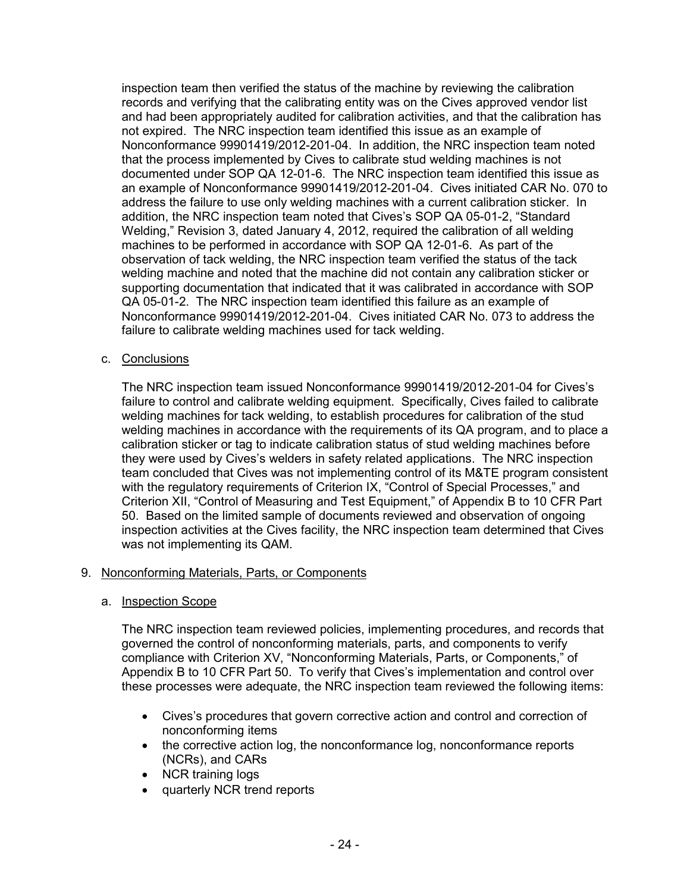inspection team then verified the status of the machine by reviewing the calibration records and verifying that the calibrating entity was on the Cives approved vendor list and had been appropriately audited for calibration activities, and that the calibration has not expired. The NRC inspection team identified this issue as an example of Nonconformance 99901419/2012-201-04. In addition, the NRC inspection team noted that the process implemented by Cives to calibrate stud welding machines is not documented under SOP QA 12-01-6. The NRC inspection team identified this issue as an example of Nonconformance 99901419/2012-201-04. Cives initiated CAR No. 070 to address the failure to use only welding machines with a current calibration sticker. In addition, the NRC inspection team noted that Cives's SOP QA 05-01-2, "Standard Welding," Revision 3, dated January 4, 2012, required the calibration of all welding machines to be performed in accordance with SOP QA 12-01-6. As part of the observation of tack welding, the NRC inspection team verified the status of the tack welding machine and noted that the machine did not contain any calibration sticker or supporting documentation that indicated that it was calibrated in accordance with SOP QA 05-01-2. The NRC inspection team identified this failure as an example of Nonconformance 99901419/2012-201-04. Cives initiated CAR No. 073 to address the failure to calibrate welding machines used for tack welding.

c. Conclusions

The NRC inspection team issued Nonconformance 99901419/2012-201-04 for Cives's failure to control and calibrate welding equipment. Specifically, Cives failed to calibrate welding machines for tack welding, to establish procedures for calibration of the stud welding machines in accordance with the requirements of its QA program, and to place a calibration sticker or tag to indicate calibration status of stud welding machines before they were used by Cives's welders in safety related applications. The NRC inspection team concluded that Cives was not implementing control of its M&TE program consistent with the regulatory requirements of Criterion IX, "Control of Special Processes," and Criterion XII, "Control of Measuring and Test Equipment," of Appendix B to 10 CFR Part 50. Based on the limited sample of documents reviewed and observation of ongoing inspection activities at the Cives facility, the NRC inspection team determined that Cives was not implementing its QAM.

# 9. Nonconforming Materials, Parts, or Components

a. Inspection Scope

The NRC inspection team reviewed policies, implementing procedures, and records that governed the control of nonconforming materials, parts, and components to verify compliance with Criterion XV, "Nonconforming Materials, Parts, or Components," of Appendix B to 10 CFR Part 50. To verify that Cives's implementation and control over these processes were adequate, the NRC inspection team reviewed the following items:

- Cives's procedures that govern corrective action and control and correction of nonconforming items
- the corrective action log, the nonconformance log, nonconformance reports (NCRs), and CARs
- NCR training logs
- quarterly NCR trend reports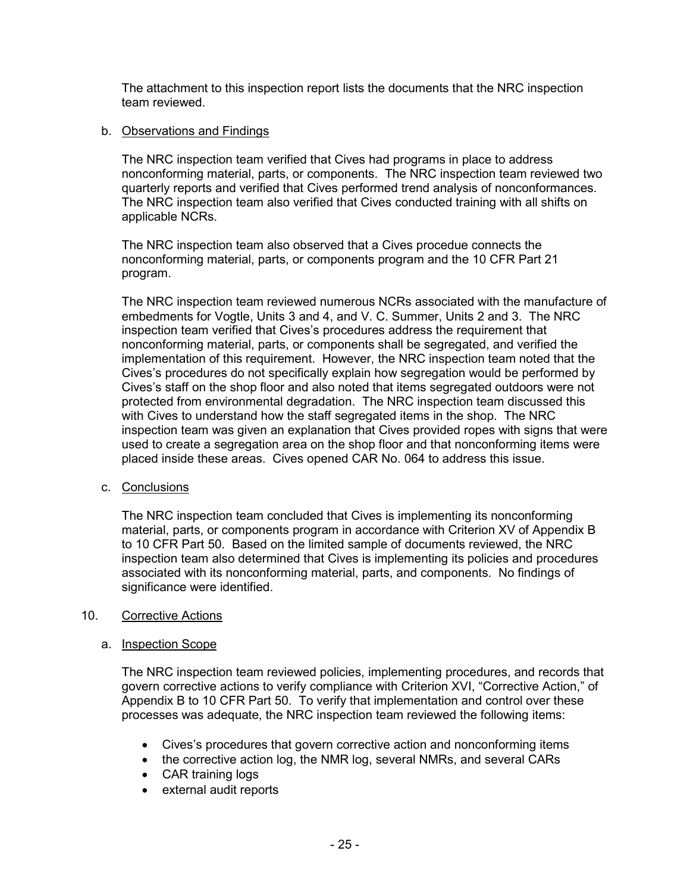The attachment to this inspection report lists the documents that the NRC inspection team reviewed.

### b. Observations and Findings

The NRC inspection team verified that Cives had programs in place to address nonconforming material, parts, or components. The NRC inspection team reviewed two quarterly reports and verified that Cives performed trend analysis of nonconformances. The NRC inspection team also verified that Cives conducted training with all shifts on applicable NCRs.

The NRC inspection team also observed that a Cives procedue connects the nonconforming material, parts, or components program and the 10 CFR Part 21 program.

The NRC inspection team reviewed numerous NCRs associated with the manufacture of embedments for Vogtle, Units 3 and 4, and V. C. Summer, Units 2 and 3. The NRC inspection team verified that Cives's procedures address the requirement that nonconforming material, parts, or components shall be segregated, and verified the implementation of this requirement. However, the NRC inspection team noted that the Cives's procedures do not specifically explain how segregation would be performed by Cives's staff on the shop floor and also noted that items segregated outdoors were not protected from environmental degradation. The NRC inspection team discussed this with Cives to understand how the staff segregated items in the shop. The NRC inspection team was given an explanation that Cives provided ropes with signs that were used to create a segregation area on the shop floor and that nonconforming items were placed inside these areas. Cives opened CAR No. 064 to address this issue.

### c. Conclusions

The NRC inspection team concluded that Cives is implementing its nonconforming material, parts, or components program in accordance with Criterion XV of Appendix B to 10 CFR Part 50. Based on the limited sample of documents reviewed, the NRC inspection team also determined that Cives is implementing its policies and procedures associated with its nonconforming material, parts, and components. No findings of significance were identified.

### 10. Corrective Actions

### a. Inspection Scope

The NRC inspection team reviewed policies, implementing procedures, and records that govern corrective actions to verify compliance with Criterion XVI, "Corrective Action," of Appendix B to 10 CFR Part 50. To verify that implementation and control over these processes was adequate, the NRC inspection team reviewed the following items:

- Cives's procedures that govern corrective action and nonconforming items
- the corrective action log, the NMR log, several NMRs, and several CARs
- CAR training logs
- external audit reports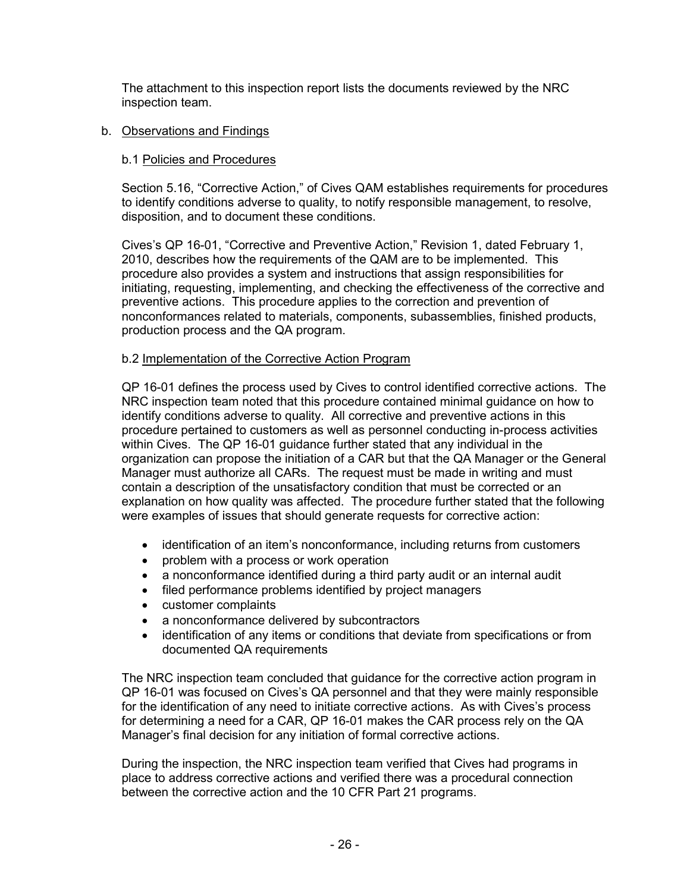The attachment to this inspection report lists the documents reviewed by the NRC inspection team.

# b. Observations and Findings

## b.1 Policies and Procedures

Section 5.16, "Corrective Action," of Cives QAM establishes requirements for procedures to identify conditions adverse to quality, to notify responsible management, to resolve, disposition, and to document these conditions.

Cives's QP 16-01, "Corrective and Preventive Action," Revision 1, dated February 1, 2010, describes how the requirements of the QAM are to be implemented. This procedure also provides a system and instructions that assign responsibilities for initiating, requesting, implementing, and checking the effectiveness of the corrective and preventive actions. This procedure applies to the correction and prevention of nonconformances related to materials, components, subassemblies, finished products, production process and the QA program.

# b.2 Implementation of the Corrective Action Program

QP 16-01 defines the process used by Cives to control identified corrective actions. The NRC inspection team noted that this procedure contained minimal guidance on how to identify conditions adverse to quality. All corrective and preventive actions in this procedure pertained to customers as well as personnel conducting in-process activities within Cives. The QP 16-01 guidance further stated that any individual in the organization can propose the initiation of a CAR but that the QA Manager or the General Manager must authorize all CARs. The request must be made in writing and must contain a description of the unsatisfactory condition that must be corrected or an explanation on how quality was affected. The procedure further stated that the following were examples of issues that should generate requests for corrective action:

- identification of an item's nonconformance, including returns from customers
- problem with a process or work operation
- a nonconformance identified during a third party audit or an internal audit
- filed performance problems identified by project managers
- customer complaints
- a nonconformance delivered by subcontractors
- identification of any items or conditions that deviate from specifications or from documented QA requirements

The NRC inspection team concluded that guidance for the corrective action program in QP 16-01 was focused on Cives's QA personnel and that they were mainly responsible for the identification of any need to initiate corrective actions. As with Cives's process for determining a need for a CAR, QP 16-01 makes the CAR process rely on the QA Manager's final decision for any initiation of formal corrective actions.

During the inspection, the NRC inspection team verified that Cives had programs in place to address corrective actions and verified there was a procedural connection between the corrective action and the 10 CFR Part 21 programs.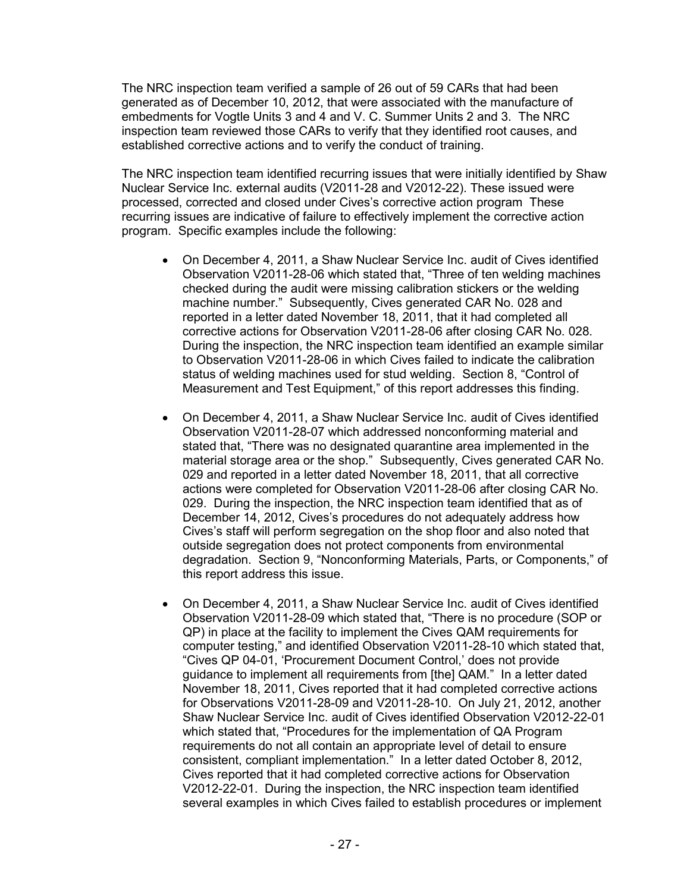The NRC inspection team verified a sample of 26 out of 59 CARs that had been generated as of December 10, 2012, that were associated with the manufacture of embedments for Vogtle Units 3 and 4 and V. C. Summer Units 2 and 3. The NRC inspection team reviewed those CARs to verify that they identified root causes, and established corrective actions and to verify the conduct of training.

The NRC inspection team identified recurring issues that were initially identified by Shaw Nuclear Service Inc. external audits (V2011-28 and V2012-22). These issued were processed, corrected and closed under Cives's corrective action program These recurring issues are indicative of failure to effectively implement the corrective action program. Specific examples include the following:

- On December 4, 2011, a Shaw Nuclear Service Inc. audit of Cives identified Observation V2011-28-06 which stated that, "Three of ten welding machines checked during the audit were missing calibration stickers or the welding machine number." Subsequently, Cives generated CAR No. 028 and reported in a letter dated November 18, 2011, that it had completed all corrective actions for Observation V2011-28-06 after closing CAR No. 028. During the inspection, the NRC inspection team identified an example similar to Observation V2011-28-06 in which Cives failed to indicate the calibration status of welding machines used for stud welding. Section 8, "Control of Measurement and Test Equipment," of this report addresses this finding.
- On December 4, 2011, a Shaw Nuclear Service Inc. audit of Cives identified Observation V2011-28-07 which addressed nonconforming material and stated that, "There was no designated quarantine area implemented in the material storage area or the shop." Subsequently, Cives generated CAR No. 029 and reported in a letter dated November 18, 2011, that all corrective actions were completed for Observation V2011-28-06 after closing CAR No. 029. During the inspection, the NRC inspection team identified that as of December 14, 2012, Cives's procedures do not adequately address how Cives's staff will perform segregation on the shop floor and also noted that outside segregation does not protect components from environmental degradation. Section 9, "Nonconforming Materials, Parts, or Components," of this report address this issue.
- On December 4, 2011, a Shaw Nuclear Service Inc. audit of Cives identified Observation V2011-28-09 which stated that, "There is no procedure (SOP or QP) in place at the facility to implement the Cives QAM requirements for computer testing," and identified Observation V2011-28-10 which stated that, "Cives QP 04-01, 'Procurement Document Control,' does not provide guidance to implement all requirements from [the] QAM." In a letter dated November 18, 2011, Cives reported that it had completed corrective actions for Observations V2011-28-09 and V2011-28-10. On July 21, 2012, another Shaw Nuclear Service Inc. audit of Cives identified Observation V2012-22-01 which stated that, "Procedures for the implementation of QA Program requirements do not all contain an appropriate level of detail to ensure consistent, compliant implementation." In a letter dated October 8, 2012, Cives reported that it had completed corrective actions for Observation V2012-22-01. During the inspection, the NRC inspection team identified several examples in which Cives failed to establish procedures or implement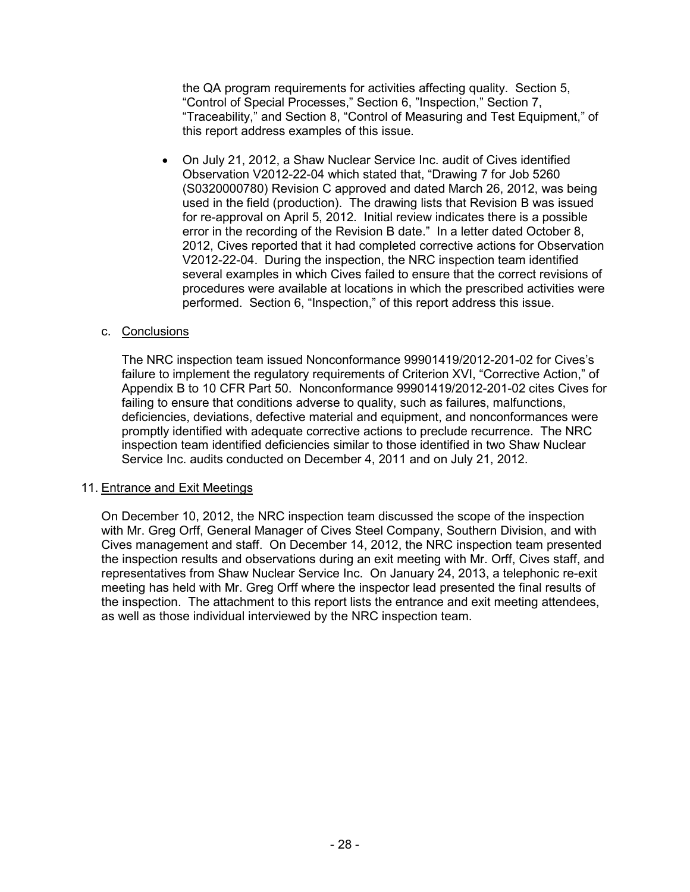the QA program requirements for activities affecting quality. Section 5, "Control of Special Processes," Section 6, "Inspection," Section 7, "Traceability," and Section 8, "Control of Measuring and Test Equipment," of this report address examples of this issue.

• On July 21, 2012, a Shaw Nuclear Service Inc. audit of Cives identified Observation V2012-22-04 which stated that, "Drawing 7 for Job 5260 (S0320000780) Revision C approved and dated March 26, 2012, was being used in the field (production). The drawing lists that Revision B was issued for re-approval on April 5, 2012. Initial review indicates there is a possible error in the recording of the Revision B date." In a letter dated October 8, 2012, Cives reported that it had completed corrective actions for Observation V2012-22-04. During the inspection, the NRC inspection team identified several examples in which Cives failed to ensure that the correct revisions of procedures were available at locations in which the prescribed activities were performed. Section 6, "Inspection," of this report address this issue.

### c. Conclusions

The NRC inspection team issued Nonconformance 99901419/2012-201-02 for Cives's failure to implement the regulatory requirements of Criterion XVI, "Corrective Action," of Appendix B to 10 CFR Part 50. Nonconformance 99901419/2012-201-02 cites Cives for failing to ensure that conditions adverse to quality, such as failures, malfunctions, deficiencies, deviations, defective material and equipment, and nonconformances were promptly identified with adequate corrective actions to preclude recurrence. The NRC inspection team identified deficiencies similar to those identified in two Shaw Nuclear Service Inc. audits conducted on December 4, 2011 and on July 21, 2012.

### 11. Entrance and Exit Meetings

On December 10, 2012, the NRC inspection team discussed the scope of the inspection with Mr. Greg Orff, General Manager of Cives Steel Company, Southern Division, and with Cives management and staff. On December 14, 2012, the NRC inspection team presented the inspection results and observations during an exit meeting with Mr. Orff, Cives staff, and representatives from Shaw Nuclear Service Inc. On January 24, 2013, a telephonic re-exit meeting has held with Mr. Greg Orff where the inspector lead presented the final results of the inspection. The attachment to this report lists the entrance and exit meeting attendees, as well as those individual interviewed by the NRC inspection team.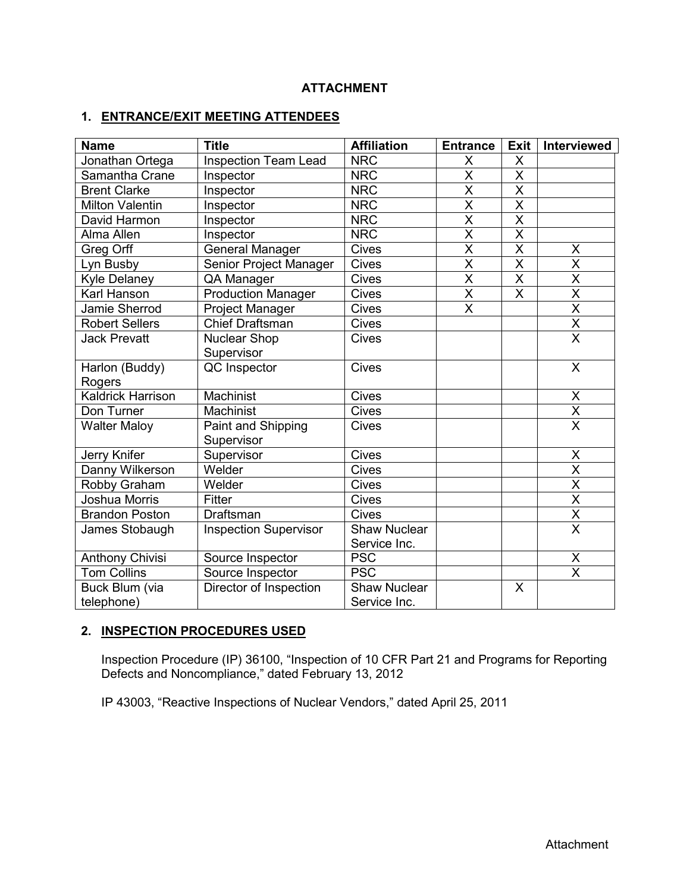# **ATTACHMENT**

# **1. ENTRANCE/EXIT MEETING ATTENDEES**

| <b>Name</b>              | <b>Title</b>                 | <b>Affiliation</b>  | <b>Entrance</b>         | <b>Exit</b>             | Interviewed                         |
|--------------------------|------------------------------|---------------------|-------------------------|-------------------------|-------------------------------------|
| Jonathan Ortega          | <b>Inspection Team Lead</b>  | <b>NRC</b>          | X                       | X                       |                                     |
| Samantha Crane           | Inspector                    | <b>NRC</b>          | X                       | $\times$                |                                     |
| <b>Brent Clarke</b>      | Inspector                    | <b>NRC</b>          | X                       | X                       |                                     |
| <b>Milton Valentin</b>   | Inspector                    | <b>NRC</b>          | $\overline{\mathsf{x}}$ | $\overline{\mathsf{x}}$ |                                     |
| David Harmon             | Inspector                    | <b>NRC</b>          | $\overline{\mathsf{x}}$ | $\overline{\mathsf{x}}$ |                                     |
| Alma Allen               | Inspector                    | <b>NRC</b>          | $\overline{\mathsf{x}}$ | $\overline{\mathsf{x}}$ |                                     |
| Greg Orff                | <b>General Manager</b>       | <b>Cives</b>        | $\overline{\mathsf{x}}$ | $\overline{\mathsf{x}}$ | X                                   |
| Lyn Busby                | Senior Project Manager       | <b>Cives</b>        | $\overline{\mathsf{x}}$ | $\overline{\mathsf{x}}$ | $\overline{\mathsf{x}}$             |
| <b>Kyle Delaney</b>      | QA Manager                   | <b>Cives</b>        | $\overline{\mathsf{x}}$ | $\overline{\mathsf{X}}$ | $\overline{\mathsf{x}}$             |
| Karl Hanson              | <b>Production Manager</b>    | <b>Cives</b>        | $\overline{\mathsf{x}}$ | $\overline{\mathsf{x}}$ | $\overline{\mathsf{x}}$             |
| Jamie Sherrod            | Project Manager              | <b>Cives</b>        | $\overline{\mathsf{x}}$ |                         | $\overline{\mathsf{x}}$             |
| <b>Robert Sellers</b>    | <b>Chief Draftsman</b>       | <b>Cives</b>        |                         |                         | $\overline{\mathsf{X}}$             |
| <b>Jack Prevatt</b>      | <b>Nuclear Shop</b>          | <b>Cives</b>        |                         |                         | $\overline{\mathsf{x}}$             |
|                          | Supervisor                   |                     |                         |                         |                                     |
| Harlon (Buddy)           | QC Inspector                 | <b>Cives</b>        |                         |                         | $\mathsf{X}$                        |
| Rogers                   |                              |                     |                         |                         |                                     |
| <b>Kaldrick Harrison</b> | Machinist                    | <b>Cives</b>        |                         |                         | $\frac{x}{x}$                       |
| Don Turner               | Machinist                    | <b>Cives</b>        |                         |                         |                                     |
| <b>Walter Maloy</b>      | Paint and Shipping           | <b>Cives</b>        |                         |                         | $\overline{\mathsf{X}}$             |
|                          | Supervisor                   |                     |                         |                         |                                     |
| Jerry Knifer             | Supervisor                   | <b>Cives</b>        |                         |                         | X                                   |
| Danny Wilkerson          | Welder                       | Cives               |                         |                         | $\overline{\mathsf{x}}$             |
| Robby Graham             | Welder                       | <b>Cives</b>        |                         |                         | $\overline{\mathsf{X}}$             |
| <b>Joshua Morris</b>     | Fitter                       | <b>Cives</b>        |                         |                         | $\overline{\mathsf{X}}$             |
| <b>Brandon Poston</b>    | Draftsman                    | <b>Cives</b>        |                         |                         | $\frac{\overline{X}}{\overline{X}}$ |
| James Stobaugh           | <b>Inspection Supervisor</b> | <b>Shaw Nuclear</b> |                         |                         |                                     |
|                          |                              | Service Inc.        |                         |                         |                                     |
| Anthony Chivisi          | Source Inspector             | <b>PSC</b>          |                         |                         | $\pmb{\times}$                      |
| <b>Tom Collins</b>       | Source Inspector             | <b>PSC</b>          |                         |                         | $\overline{\mathsf{x}}$             |
| Buck Blum (via           | Director of Inspection       | Shaw Nuclear        |                         | X                       |                                     |
| telephone)               |                              | Service Inc.        |                         |                         |                                     |

### **2. INSPECTION PROCEDURES USED**

Inspection Procedure (IP) 36100, "Inspection of 10 CFR Part 21 and Programs for Reporting Defects and Noncompliance," dated February 13, 2012

IP 43003, "Reactive Inspections of Nuclear Vendors," dated April 25, 2011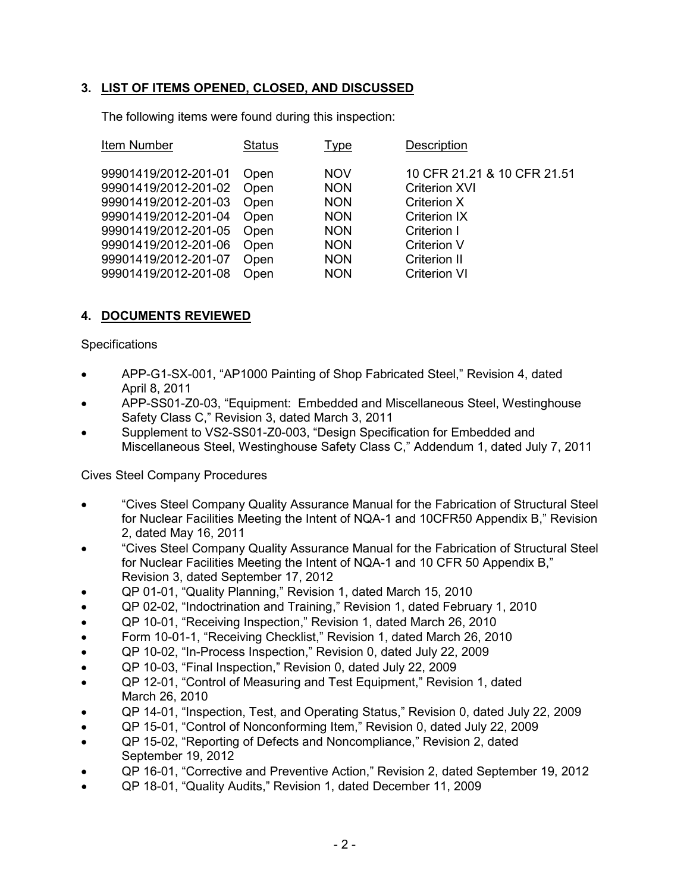# **3. LIST OF ITEMS OPENED, CLOSED, AND DISCUSSED**

The following items were found during this inspection:

| Item Number                                                                                                          | <b>Status</b>                        | Type                                                               | Description                                                                                              |
|----------------------------------------------------------------------------------------------------------------------|--------------------------------------|--------------------------------------------------------------------|----------------------------------------------------------------------------------------------------------|
| 99901419/2012-201-01<br>99901419/2012-201-02<br>99901419/2012-201-03<br>99901419/2012-201-04<br>99901419/2012-201-05 | Open<br>Open<br>Open<br>Open<br>Open | <b>NOV</b><br><b>NON</b><br><b>NON</b><br><b>NON</b><br><b>NON</b> | 10 CFR 21.21 & 10 CFR 21.51<br><b>Criterion XVI</b><br>Criterion X<br><b>Criterion IX</b><br>Criterion I |
|                                                                                                                      |                                      |                                                                    |                                                                                                          |
| 99901419/2012-201-06<br>99901419/2012-201-07                                                                         | Open<br>Open                         | <b>NON</b><br><b>NON</b>                                           | <b>Criterion V</b><br>Criterion II                                                                       |
| 99901419/2012-201-08                                                                                                 | Open                                 | <b>NON</b>                                                         | <b>Criterion VI</b>                                                                                      |

# **4. DOCUMENTS REVIEWED**

### **Specifications**

- APP-G1-SX-001, "AP1000 Painting of Shop Fabricated Steel," Revision 4, dated April 8, 2011
- APP-SS01-Z0-03, "Equipment: Embedded and Miscellaneous Steel, Westinghouse Safety Class C," Revision 3, dated March 3, 2011
- Supplement to VS2-SS01-Z0-003, "Design Specification for Embedded and Miscellaneous Steel, Westinghouse Safety Class C," Addendum 1, dated July 7, 2011

### Cives Steel Company Procedures

- "Cives Steel Company Quality Assurance Manual for the Fabrication of Structural Steel for Nuclear Facilities Meeting the Intent of NQA-1 and 10CFR50 Appendix B," Revision 2, dated May 16, 2011
- "Cives Steel Company Quality Assurance Manual for the Fabrication of Structural Steel for Nuclear Facilities Meeting the Intent of NQA-1 and 10 CFR 50 Appendix B," Revision 3, dated September 17, 2012
- QP 01-01, "Quality Planning," Revision 1, dated March 15, 2010
- QP 02-02, "Indoctrination and Training," Revision 1, dated February 1, 2010
- QP 10-01, "Receiving Inspection," Revision 1, dated March 26, 2010
- Form 10-01-1, "Receiving Checklist," Revision 1, dated March 26, 2010
- QP 10-02, "In-Process Inspection," Revision 0, dated July 22, 2009
- QP 10-03, "Final Inspection," Revision 0, dated July 22, 2009
- QP 12-01, "Control of Measuring and Test Equipment," Revision 1, dated March 26, 2010
- QP 14-01, "Inspection, Test, and Operating Status," Revision 0, dated July 22, 2009
- QP 15-01, "Control of Nonconforming Item," Revision 0, dated July 22, 2009
- QP 15-02, "Reporting of Defects and Noncompliance," Revision 2, dated September 19, 2012
- QP 16-01, "Corrective and Preventive Action," Revision 2, dated September 19, 2012
- QP 18-01, "Quality Audits," Revision 1, dated December 11, 2009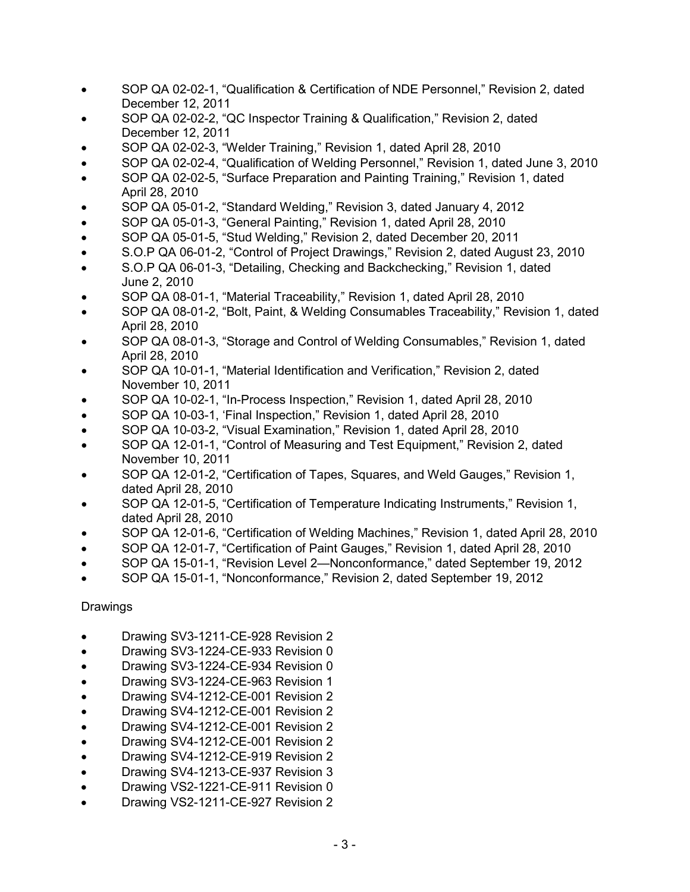- SOP QA 02-02-1, "Qualification & Certification of NDE Personnel," Revision 2, dated December 12, 2011
- SOP QA 02-02-2, "QC Inspector Training & Qualification," Revision 2, dated December 12, 2011
- SOP QA 02-02-3, "Welder Training," Revision 1, dated April 28, 2010
- SOP QA 02-02-4, "Qualification of Welding Personnel," Revision 1, dated June 3, 2010
- SOP QA 02-02-5, "Surface Preparation and Painting Training," Revision 1, dated April 28, 2010
- SOP QA 05-01-2, "Standard Welding," Revision 3, dated January 4, 2012
- SOP QA 05-01-3, "General Painting," Revision 1, dated April 28, 2010
- SOP QA 05-01-5, "Stud Welding," Revision 2, dated December 20, 2011
- S.O.P QA 06-01-2, "Control of Project Drawings," Revision 2, dated August 23, 2010
- S.O.P QA 06-01-3, "Detailing, Checking and Backchecking," Revision 1, dated June 2, 2010
- SOP QA 08-01-1, "Material Traceability," Revision 1, dated April 28, 2010
- SOP QA 08-01-2, "Bolt, Paint, & Welding Consumables Traceability," Revision 1, dated April 28, 2010
- SOP QA 08-01-3, "Storage and Control of Welding Consumables," Revision 1, dated April 28, 2010
- SOP QA 10-01-1, "Material Identification and Verification," Revision 2, dated November 10, 2011
- SOP QA 10-02-1, "In-Process Inspection," Revision 1, dated April 28, 2010
- SOP QA 10-03-1, 'Final Inspection," Revision 1, dated April 28, 2010
- SOP QA 10-03-2, "Visual Examination," Revision 1, dated April 28, 2010
- SOP QA 12-01-1, "Control of Measuring and Test Equipment," Revision 2, dated November 10, 2011
- SOP QA 12-01-2, "Certification of Tapes, Squares, and Weld Gauges," Revision 1, dated April 28, 2010
- SOP QA 12-01-5, "Certification of Temperature Indicating Instruments," Revision 1, dated April 28, 2010
- SOP QA 12-01-6, "Certification of Welding Machines," Revision 1, dated April 28, 2010
- SOP QA 12-01-7, "Certification of Paint Gauges," Revision 1, dated April 28, 2010
- SOP QA 15-01-1, "Revision Level 2—Nonconformance," dated September 19, 2012
- SOP QA 15-01-1, "Nonconformance," Revision 2, dated September 19, 2012

Drawings

- Drawing SV3-1211-CE-928 Revision 2
- Drawing SV3-1224-CE-933 Revision 0
- Drawing SV3-1224-CE-934 Revision 0
- Drawing SV3-1224-CE-963 Revision 1
- Drawing SV4-1212-CE-001 Revision 2
- Drawing SV4-1212-CE-001 Revision 2
- Drawing SV4-1212-CE-001 Revision 2
- Drawing SV4-1212-CE-001 Revision 2
- Drawing SV4-1212-CE-919 Revision 2
- Drawing SV4-1213-CE-937 Revision 3
- Drawing VS2-1221-CE-911 Revision 0
- 
- Drawing VS2-1211-CE-927 Revision 2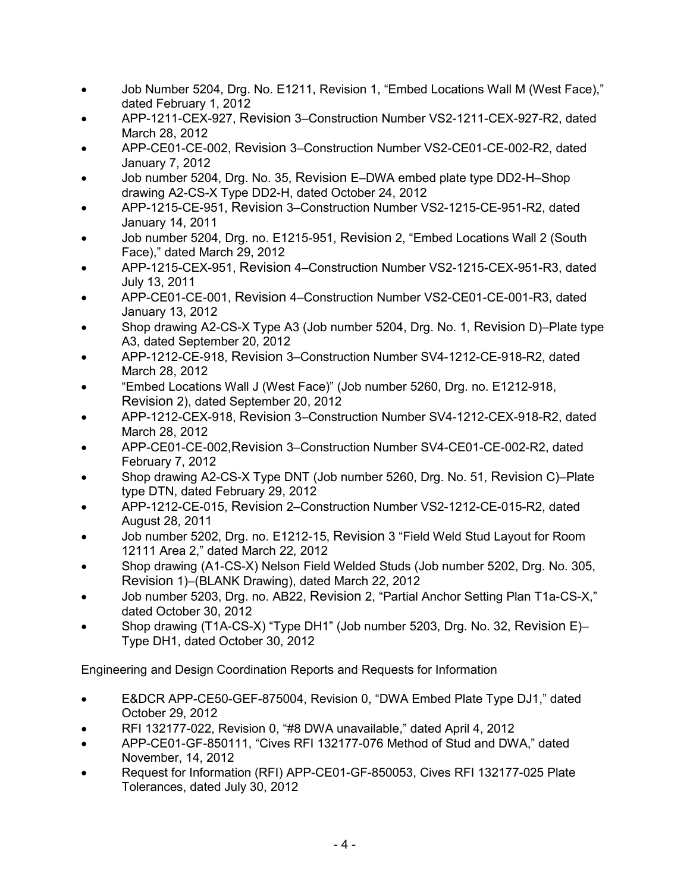- Job Number 5204, Drg. No. E1211, Revision 1, "Embed Locations Wall M (West Face)," dated February 1, 2012
- APP-1211-CEX-927, Revision 3–Construction Number VS2-1211-CEX-927-R2, dated March 28, 2012
- APP-CE01-CE-002, Revision 3–Construction Number VS2-CE01-CE-002-R2, dated January 7, 2012
- Job number 5204, Drg. No. 35, Revision E–DWA embed plate type DD2-H–Shop drawing A2-CS-X Type DD2-H, dated October 24, 2012
- APP-1215-CE-951, Revision 3–Construction Number VS2-1215-CE-951-R2, dated January 14, 2011
- Job number 5204, Drg. no. E1215-951, Revision 2, "Embed Locations Wall 2 (South Face)," dated March 29, 2012
- APP-1215-CEX-951, Revision 4–Construction Number VS2-1215-CEX-951-R3, dated July 13, 2011
- APP-CE01-CE-001, Revision 4–Construction Number VS2-CE01-CE-001-R3, dated January 13, 2012
- Shop drawing A2-CS-X Type A3 (Job number 5204, Drg. No. 1, Revision D)–Plate type A3, dated September 20, 2012
- APP-1212-CE-918, Revision 3–Construction Number SV4-1212-CE-918-R2, dated March 28, 2012
- "Embed Locations Wall J (West Face)" (Job number 5260, Drg. no. E1212-918, Revision 2), dated September 20, 2012
- APP-1212-CEX-918, Revision 3–Construction Number SV4-1212-CEX-918-R2, dated March 28, 2012
- APP-CE01-CE-002,Revision 3–Construction Number SV4-CE01-CE-002-R2, dated February 7, 2012
- Shop drawing A2-CS-X Type DNT (Job number 5260, Drg. No. 51, Revision C)–Plate type DTN, dated February 29, 2012
- APP-1212-CE-015, Revision 2–Construction Number VS2-1212-CE-015-R2, dated August 28, 2011
- Job number 5202, Drg. no. E1212-15, Revision 3 "Field Weld Stud Layout for Room 12111 Area 2," dated March 22, 2012
- Shop drawing (A1-CS-X) Nelson Field Welded Studs (Job number 5202, Drg. No. 305, Revision 1)–(BLANK Drawing), dated March 22, 2012
- Job number 5203, Drg. no. AB22, Revision 2, "Partial Anchor Setting Plan T1a-CS-X," dated October 30, 2012
- Shop drawing (T1A-CS-X) "Type DH1" (Job number 5203, Drg. No. 32, Revision E)– Type DH1, dated October 30, 2012

Engineering and Design Coordination Reports and Requests for Information

- E&DCR APP-CE50-GEF-875004, Revision 0, "DWA Embed Plate Type DJ1," dated October 29, 2012
- RFI 132177-022, Revision 0, "#8 DWA unavailable," dated April 4, 2012
- APP-CE01-GF-850111, "Cives RFI 132177-076 Method of Stud and DWA," dated November, 14, 2012
- Request for Information (RFI) APP-CE01-GF-850053, Cives RFI 132177-025 Plate Tolerances, dated July 30, 2012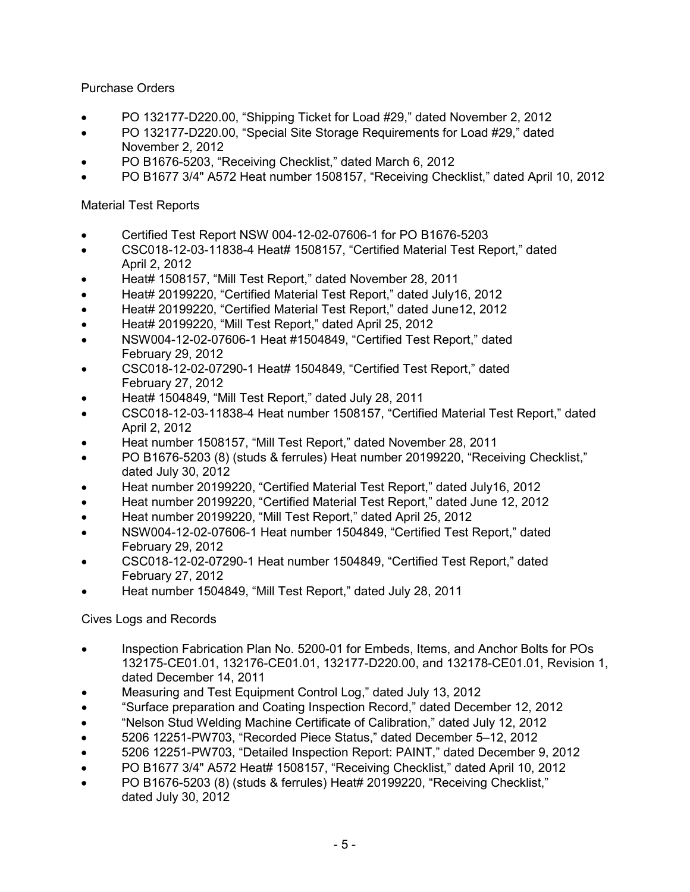Purchase Orders

- PO 132177-D220.00, "Shipping Ticket for Load #29," dated November 2, 2012
- PO 132177-D220.00, "Special Site Storage Requirements for Load #29," dated November 2, 2012
- PO B1676-5203, "Receiving Checklist," dated March 6, 2012
- PO B1677 3/4" A572 Heat number 1508157, "Receiving Checklist," dated April 10, 2012

## Material Test Reports

- Certified Test Report NSW 004-12-02-07606-1 for PO B1676-5203
- CSC018-12-03-11838-4 Heat# 1508157, "Certified Material Test Report," dated April 2, 2012
- Heat# 1508157, "Mill Test Report," dated November 28, 2011
- Heat# 20199220, "Certified Material Test Report," dated July16, 2012
- Heat# 20199220, "Certified Material Test Report," dated June12, 2012
- Heat# 20199220, "Mill Test Report," dated April 25, 2012
- NSW004-12-02-07606-1 Heat #1504849, "Certified Test Report," dated February 29, 2012
- CSC018-12-02-07290-1 Heat# 1504849, "Certified Test Report," dated February 27, 2012
- Heat# 1504849, "Mill Test Report," dated July 28, 2011
- CSC018-12-03-11838-4 Heat number 1508157, "Certified Material Test Report," dated April 2, 2012
- Heat number 1508157, "Mill Test Report," dated November 28, 2011
- PO B1676-5203 (8) (studs & ferrules) Heat number 20199220, "Receiving Checklist," dated July 30, 2012
- Heat number 20199220, "Certified Material Test Report," dated July16, 2012
- Heat number 20199220, "Certified Material Test Report," dated June 12, 2012
- Heat number 20199220, "Mill Test Report," dated April 25, 2012
- NSW004-12-02-07606-1 Heat number 1504849, "Certified Test Report," dated February 29, 2012
- CSC018-12-02-07290-1 Heat number 1504849, "Certified Test Report," dated February 27, 2012
- Heat number 1504849, "Mill Test Report," dated July 28, 2011

# Cives Logs and Records

- Inspection Fabrication Plan No. 5200-01 for Embeds, Items, and Anchor Bolts for POs 132175-CE01.01, 132176-CE01.01, 132177-D220.00, and 132178-CE01.01, Revision 1, dated December 14, 2011
- Measuring and Test Equipment Control Log," dated July 13, 2012
- "Surface preparation and Coating Inspection Record," dated December 12, 2012
- "Nelson Stud Welding Machine Certificate of Calibration," dated July 12, 2012
- 5206 12251-PW703, "Recorded Piece Status," dated December 5–12, 2012
- 5206 12251-PW703, "Detailed Inspection Report: PAINT," dated December 9, 2012
- PO B1677 3/4" A572 Heat# 1508157, "Receiving Checklist," dated April 10, 2012
- PO B1676-5203 (8) (studs & ferrules) Heat# 20199220, "Receiving Checklist," dated July 30, 2012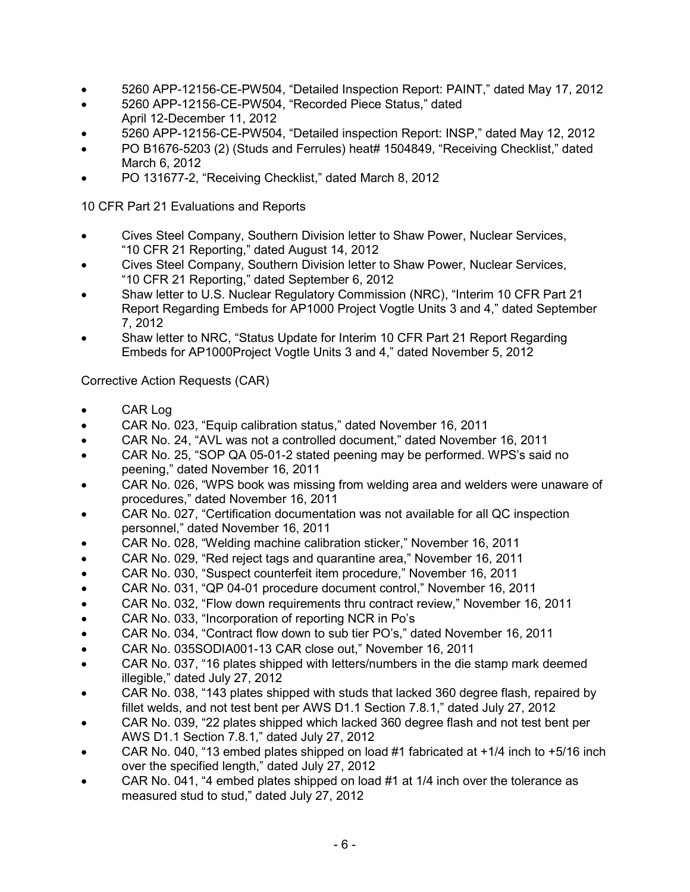- 5260 APP-12156-CE-PW504, "Detailed Inspection Report: PAINT," dated May 17, 2012
- 5260 APP-12156-CE-PW504, "Recorded Piece Status," dated April 12-December 11, 2012
- 5260 APP-12156-CE-PW504, "Detailed inspection Report: INSP," dated May 12, 2012
- PO B1676-5203 (2) (Studs and Ferrules) heat# 1504849, "Receiving Checklist," dated March 6, 2012
- PO 131677-2, "Receiving Checklist," dated March 8, 2012

10 CFR Part 21 Evaluations and Reports

- Cives Steel Company, Southern Division letter to Shaw Power, Nuclear Services, "10 CFR 21 Reporting," dated August 14, 2012
- Cives Steel Company, Southern Division letter to Shaw Power, Nuclear Services, "10 CFR 21 Reporting," dated September 6, 2012
- Shaw letter to U.S. Nuclear Regulatory Commission (NRC), "Interim 10 CFR Part 21 Report Regarding Embeds for AP1000 Project Vogtle Units 3 and 4," dated September 7, 2012
- Shaw letter to NRC, "Status Update for Interim 10 CFR Part 21 Report Regarding Embeds for AP1000Project Vogtle Units 3 and 4," dated November 5, 2012

Corrective Action Requests (CAR)

- CAR Log
- CAR No. 023, "Equip calibration status," dated November 16, 2011
- CAR No. 24, "AVL was not a controlled document," dated November 16, 2011
- CAR No. 25, "SOP QA 05-01-2 stated peening may be performed. WPS's said no peening," dated November 16, 2011
- CAR No. 026, "WPS book was missing from welding area and welders were unaware of procedures," dated November 16, 2011
- CAR No. 027, "Certification documentation was not available for all QC inspection personnel," dated November 16, 2011
- CAR No. 028, "Welding machine calibration sticker," November 16, 2011
- CAR No. 029, "Red reject tags and quarantine area," November 16, 2011
- CAR No. 030, "Suspect counterfeit item procedure," November 16, 2011
- CAR No. 031, "QP 04-01 procedure document control," November 16, 2011
- CAR No. 032, "Flow down requirements thru contract review," November 16, 2011
- CAR No. 033, "Incorporation of reporting NCR in Po's
- CAR No. 034, "Contract flow down to sub tier PO's," dated November 16, 2011
- CAR No. 035SODIA001-13 CAR close out," November 16, 2011
- CAR No. 037, "16 plates shipped with letters/numbers in the die stamp mark deemed illegible," dated July 27, 2012
- CAR No. 038, "143 plates shipped with studs that lacked 360 degree flash, repaired by fillet welds, and not test bent per AWS D1.1 Section 7.8.1," dated July 27, 2012
- CAR No. 039, "22 plates shipped which lacked 360 degree flash and not test bent per AWS D1.1 Section 7.8.1," dated July 27, 2012
- CAR No. 040, "13 embed plates shipped on load #1 fabricated at  $+1/4$  inch to  $+5/16$  inch over the specified length," dated July 27, 2012
- CAR No. 041, "4 embed plates shipped on load #1 at 1/4 inch over the tolerance as measured stud to stud," dated July 27, 2012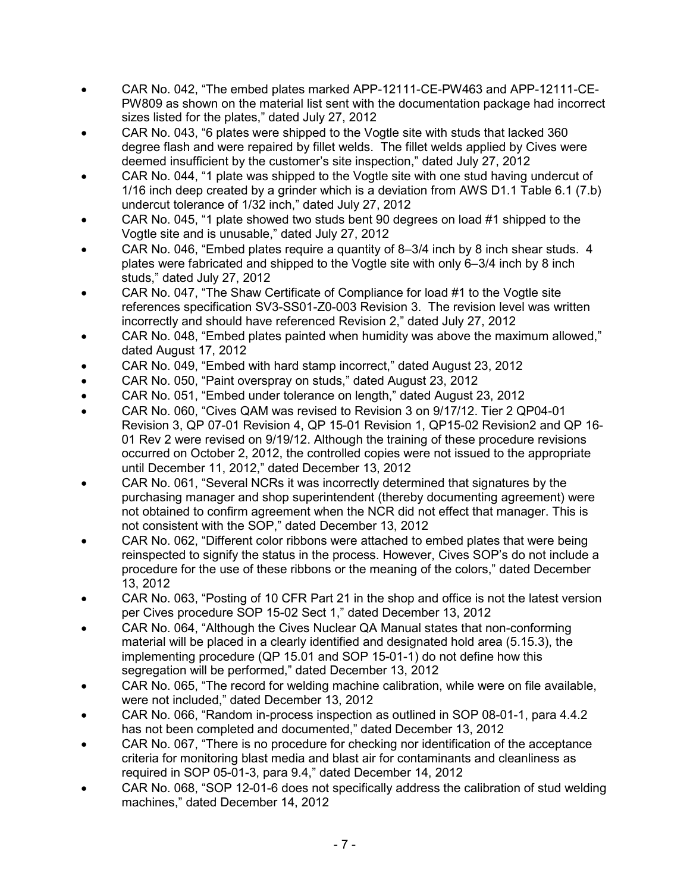- CAR No. 042, "The embed plates marked APP-12111-CE-PW463 and APP-12111-CE-PW809 as shown on the material list sent with the documentation package had incorrect sizes listed for the plates," dated July 27, 2012
- CAR No. 043, "6 plates were shipped to the Vogtle site with studs that lacked 360 degree flash and were repaired by fillet welds. The fillet welds applied by Cives were deemed insufficient by the customer's site inspection," dated July 27, 2012
- CAR No. 044, "1 plate was shipped to the Vogtle site with one stud having undercut of 1/16 inch deep created by a grinder which is a deviation from AWS D1.1 Table 6.1 (7.b) undercut tolerance of 1/32 inch," dated July 27, 2012
- CAR No. 045, "1 plate showed two studs bent 90 degrees on load #1 shipped to the Vogtle site and is unusable," dated July 27, 2012
- CAR No. 046, "Embed plates require a quantity of 8–3/4 inch by 8 inch shear studs. 4 plates were fabricated and shipped to the Vogtle site with only 6–3/4 inch by 8 inch studs," dated July 27, 2012
- CAR No. 047, "The Shaw Certificate of Compliance for load #1 to the Vogtle site references specification SV3-SS01-Z0-003 Revision 3. The revision level was written incorrectly and should have referenced Revision 2," dated July 27, 2012
- CAR No. 048, "Embed plates painted when humidity was above the maximum allowed," dated August 17, 2012
- CAR No. 049, "Embed with hard stamp incorrect," dated August 23, 2012
- CAR No. 050, "Paint overspray on studs," dated August 23, 2012
- CAR No. 051, "Embed under tolerance on length," dated August 23, 2012
- CAR No. 060, "Cives QAM was revised to Revision 3 on 9/17/12. Tier 2 QP04-01 Revision 3, QP 07-01 Revision 4, QP 15-01 Revision 1, QP15-02 Revision2 and QP 16- 01 Rev 2 were revised on 9/19/12. Although the training of these procedure revisions occurred on October 2, 2012, the controlled copies were not issued to the appropriate until December 11, 2012," dated December 13, 2012
- CAR No. 061, "Several NCRs it was incorrectly determined that signatures by the purchasing manager and shop superintendent (thereby documenting agreement) were not obtained to confirm agreement when the NCR did not effect that manager. This is not consistent with the SOP," dated December 13, 2012
- CAR No. 062, "Different color ribbons were attached to embed plates that were being reinspected to signify the status in the process. However, Cives SOP's do not include a procedure for the use of these ribbons or the meaning of the colors," dated December 13, 2012
- CAR No. 063, "Posting of 10 CFR Part 21 in the shop and office is not the latest version per Cives procedure SOP 15-02 Sect 1," dated December 13, 2012
- CAR No. 064, "Although the Cives Nuclear QA Manual states that non-conforming material will be placed in a clearly identified and designated hold area (5.15.3), the implementing procedure (QP 15.01 and SOP 15-01-1) do not define how this segregation will be performed," dated December 13, 2012
- CAR No. 065, "The record for welding machine calibration, while were on file available, were not included," dated December 13, 2012
- CAR No. 066, "Random in-process inspection as outlined in SOP 08-01-1, para 4.4.2 has not been completed and documented," dated December 13, 2012
- CAR No. 067, "There is no procedure for checking nor identification of the acceptance criteria for monitoring blast media and blast air for contaminants and cleanliness as required in SOP 05-01-3, para 9.4," dated December 14, 2012
- CAR No. 068, "SOP 12-01-6 does not specifically address the calibration of stud welding machines," dated December 14, 2012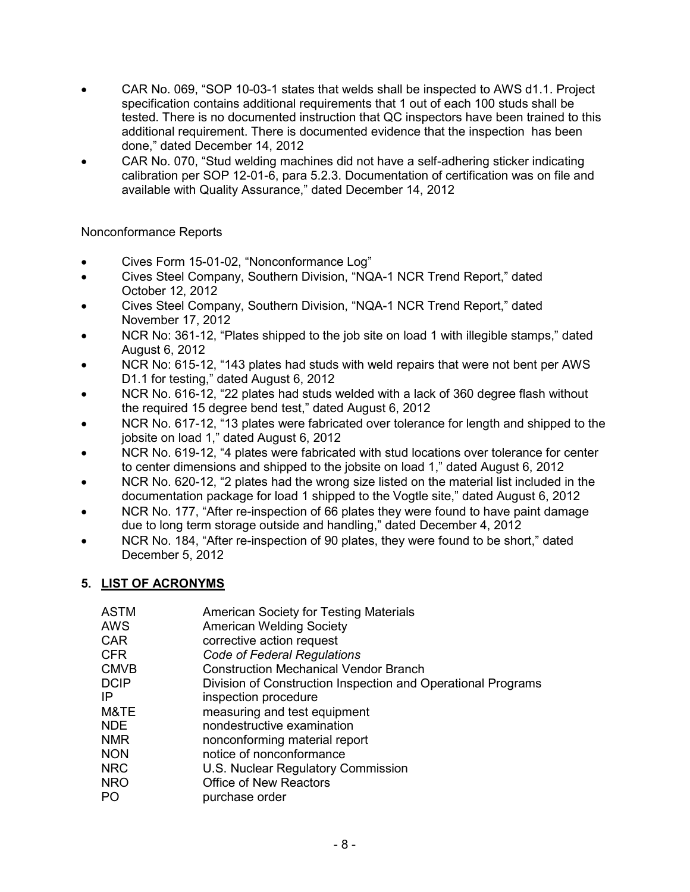- CAR No. 069, "SOP 10-03-1 states that welds shall be inspected to AWS d1.1. Project specification contains additional requirements that 1 out of each 100 studs shall be tested. There is no documented instruction that QC inspectors have been trained to this additional requirement. There is documented evidence that the inspection has been done," dated December 14, 2012
- CAR No. 070, "Stud welding machines did not have a self-adhering sticker indicating calibration per SOP 12-01-6, para 5.2.3. Documentation of certification was on file and available with Quality Assurance," dated December 14, 2012

Nonconformance Reports

- Cives Form 15-01-02, "Nonconformance Log"
- Cives Steel Company, Southern Division, "NQA-1 NCR Trend Report," dated October 12, 2012
- Cives Steel Company, Southern Division, "NQA-1 NCR Trend Report," dated November 17, 2012
- NCR No: 361-12, "Plates shipped to the job site on load 1 with illegible stamps," dated August 6, 2012
- NCR No: 615-12, "143 plates had studs with weld repairs that were not bent per AWS D1.1 for testing," dated August 6, 2012
- NCR No. 616-12, "22 plates had studs welded with a lack of 360 degree flash without the required 15 degree bend test," dated August 6, 2012
- NCR No. 617-12, "13 plates were fabricated over tolerance for length and shipped to the jobsite on load 1," dated August 6, 2012
- NCR No. 619-12, "4 plates were fabricated with stud locations over tolerance for center to center dimensions and shipped to the jobsite on load 1," dated August 6, 2012
- NCR No. 620-12, "2 plates had the wrong size listed on the material list included in the documentation package for load 1 shipped to the Vogtle site," dated August 6, 2012
- NCR No. 177, "After re-inspection of 66 plates they were found to have paint damage due to long term storage outside and handling," dated December 4, 2012
- NCR No. 184, "After re-inspection of 90 plates, they were found to be short," dated December 5, 2012

# **5. LIST OF ACRONYMS**

| <b>ASTM</b> | American Society for Testing Materials                       |
|-------------|--------------------------------------------------------------|
| <b>AWS</b>  | <b>American Welding Society</b>                              |
| <b>CAR</b>  | corrective action request                                    |
| <b>CFR</b>  | Code of Federal Regulations                                  |
| <b>CMVB</b> | <b>Construction Mechanical Vendor Branch</b>                 |
| <b>DCIP</b> | Division of Construction Inspection and Operational Programs |
| IP          | inspection procedure                                         |
| M&TE        | measuring and test equipment                                 |
| <b>NDE</b>  | nondestructive examination                                   |
| <b>NMR</b>  | nonconforming material report                                |
| <b>NON</b>  | notice of nonconformance                                     |
| <b>NRC</b>  | U.S. Nuclear Regulatory Commission                           |
| <b>NRO</b>  | <b>Office of New Reactors</b>                                |
| PO          | purchase order                                               |